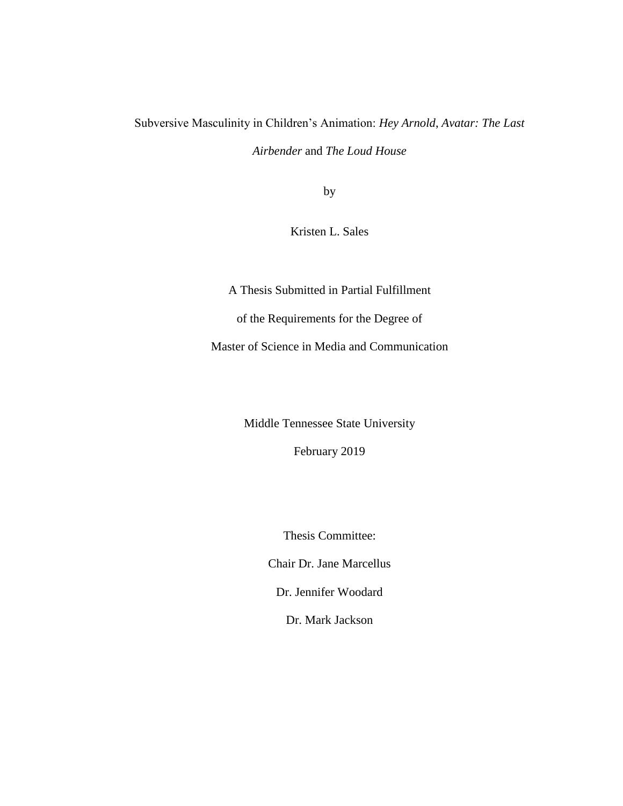# Subversive Masculinity in Children's Animation: *Hey Arnold*, *Avatar: The Last*

*Airbender* and *The Loud House*

by

Kristen L. Sales

A Thesis Submitted in Partial Fulfillment of the Requirements for the Degree of Master of Science in Media and Communication

Middle Tennessee State University

February 2019

Thesis Committee:

Chair Dr. Jane Marcellus

Dr. Jennifer Woodard

Dr. Mark Jackson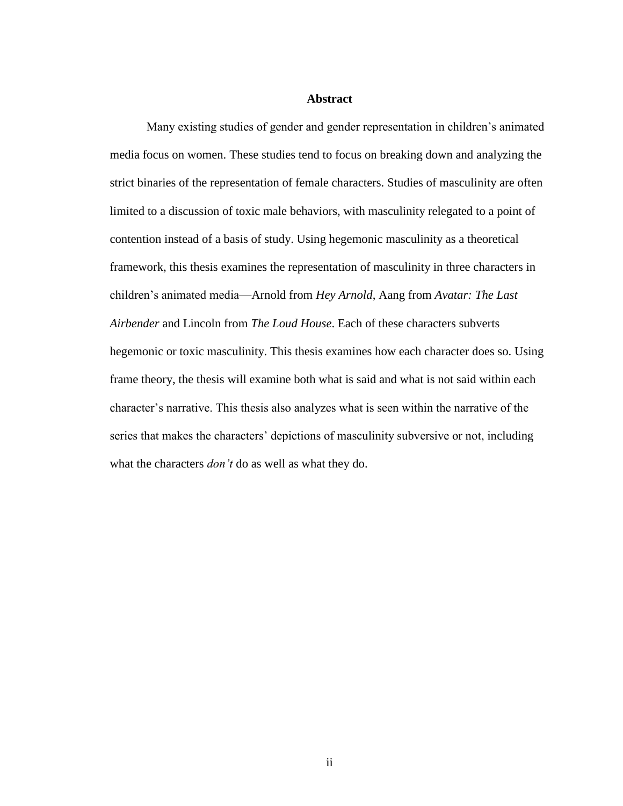#### **Abstract**

Many existing studies of gender and gender representation in children's animated media focus on women. These studies tend to focus on breaking down and analyzing the strict binaries of the representation of female characters. Studies of masculinity are often limited to a discussion of toxic male behaviors, with masculinity relegated to a point of contention instead of a basis of study. Using hegemonic masculinity as a theoretical framework, this thesis examines the representation of masculinity in three characters in children's animated media—Arnold from *Hey Arnold*, Aang from *Avatar: The Last Airbender* and Lincoln from *The Loud House*. Each of these characters subverts hegemonic or toxic masculinity. This thesis examines how each character does so. Using frame theory, the thesis will examine both what is said and what is not said within each character's narrative. This thesis also analyzes what is seen within the narrative of the series that makes the characters' depictions of masculinity subversive or not, including what the characters *don't* do as well as what they do.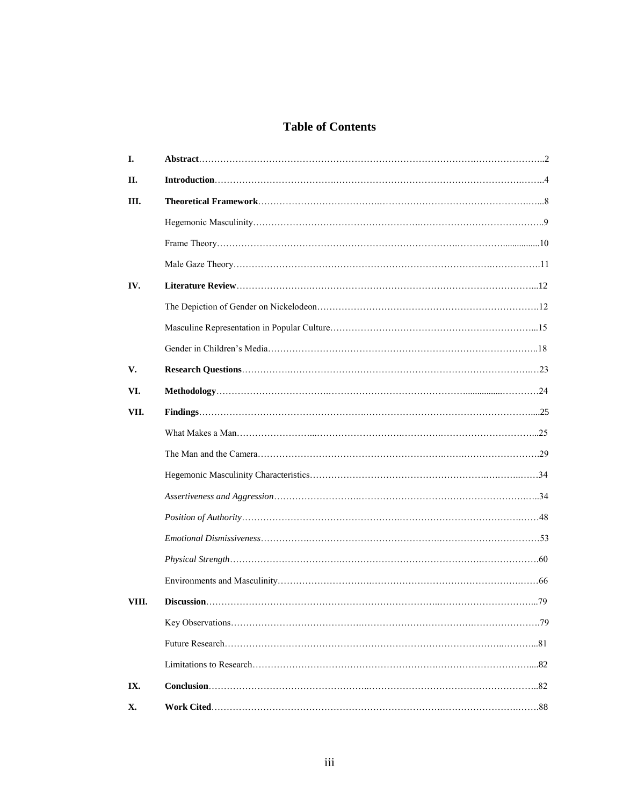# **Table of Contents**

| I.    |  |
|-------|--|
| П.    |  |
| Ш.    |  |
|       |  |
|       |  |
|       |  |
| IV.   |  |
|       |  |
|       |  |
|       |  |
| V.    |  |
| VI.   |  |
| VII.  |  |
|       |  |
|       |  |
|       |  |
|       |  |
|       |  |
|       |  |
|       |  |
|       |  |
| VIII. |  |
|       |  |
|       |  |
|       |  |
| IX.   |  |
| Х.    |  |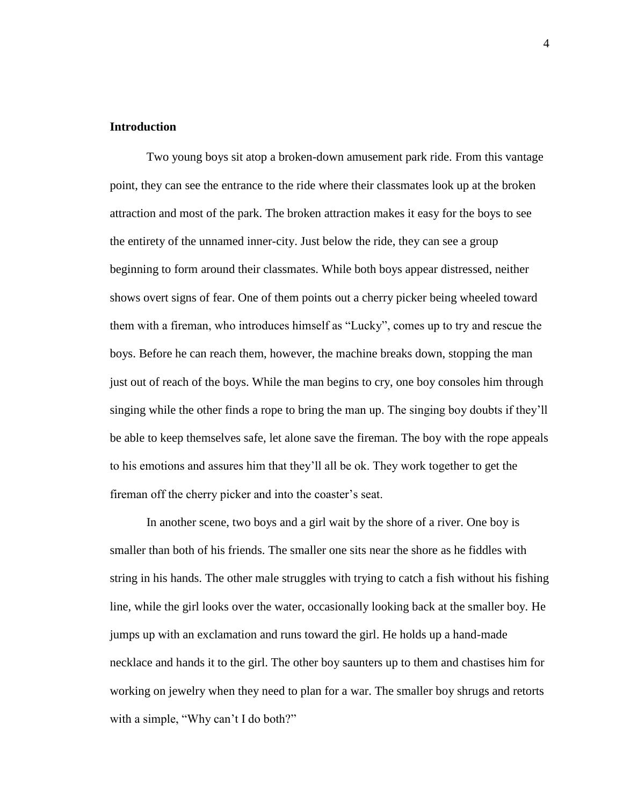# **Introduction**

Two young boys sit atop a broken-down amusement park ride. From this vantage point, they can see the entrance to the ride where their classmates look up at the broken attraction and most of the park. The broken attraction makes it easy for the boys to see the entirety of the unnamed inner-city. Just below the ride, they can see a group beginning to form around their classmates. While both boys appear distressed, neither shows overt signs of fear. One of them points out a cherry picker being wheeled toward them with a fireman, who introduces himself as "Lucky", comes up to try and rescue the boys. Before he can reach them, however, the machine breaks down, stopping the man just out of reach of the boys. While the man begins to cry, one boy consoles him through singing while the other finds a rope to bring the man up. The singing boy doubts if they'll be able to keep themselves safe, let alone save the fireman. The boy with the rope appeals to his emotions and assures him that they'll all be ok. They work together to get the fireman off the cherry picker and into the coaster's seat.

In another scene, two boys and a girl wait by the shore of a river. One boy is smaller than both of his friends. The smaller one sits near the shore as he fiddles with string in his hands. The other male struggles with trying to catch a fish without his fishing line, while the girl looks over the water, occasionally looking back at the smaller boy. He jumps up with an exclamation and runs toward the girl. He holds up a hand-made necklace and hands it to the girl. The other boy saunters up to them and chastises him for working on jewelry when they need to plan for a war. The smaller boy shrugs and retorts with a simple, "Why can't I do both?"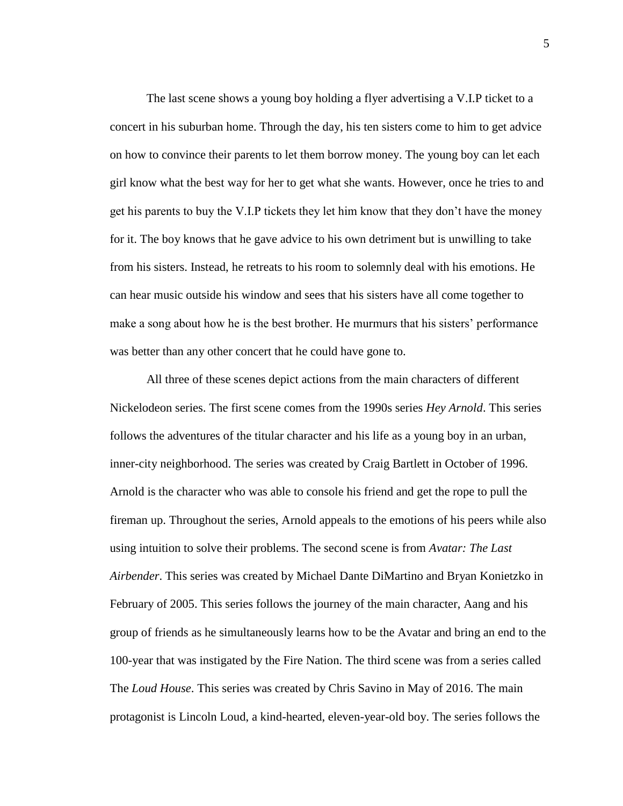The last scene shows a young boy holding a flyer advertising a V.I.P ticket to a concert in his suburban home. Through the day, his ten sisters come to him to get advice on how to convince their parents to let them borrow money. The young boy can let each girl know what the best way for her to get what she wants. However, once he tries to and get his parents to buy the V.I.P tickets they let him know that they don't have the money for it. The boy knows that he gave advice to his own detriment but is unwilling to take from his sisters. Instead, he retreats to his room to solemnly deal with his emotions. He can hear music outside his window and sees that his sisters have all come together to make a song about how he is the best brother. He murmurs that his sisters' performance was better than any other concert that he could have gone to.

All three of these scenes depict actions from the main characters of different Nickelodeon series. The first scene comes from the 1990s series *Hey Arnold*. This series follows the adventures of the titular character and his life as a young boy in an urban, inner-city neighborhood. The series was created by Craig Bartlett in October of 1996. Arnold is the character who was able to console his friend and get the rope to pull the fireman up. Throughout the series, Arnold appeals to the emotions of his peers while also using intuition to solve their problems. The second scene is from *Avatar: The Last Airbender*. This series was created by Michael Dante DiMartino and Bryan Konietzko in February of 2005. This series follows the journey of the main character, Aang and his group of friends as he simultaneously learns how to be the Avatar and bring an end to the 100-year that was instigated by the Fire Nation. The third scene was from a series called The *Loud House*. This series was created by Chris Savino in May of 2016. The main protagonist is Lincoln Loud, a kind-hearted, eleven-year-old boy. The series follows the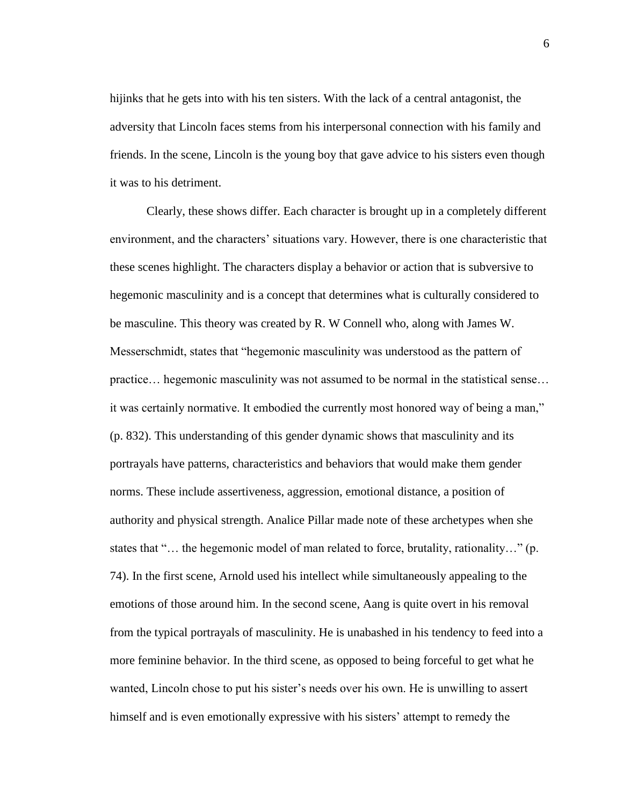hijinks that he gets into with his ten sisters. With the lack of a central antagonist, the adversity that Lincoln faces stems from his interpersonal connection with his family and friends. In the scene, Lincoln is the young boy that gave advice to his sisters even though it was to his detriment.

Clearly, these shows differ. Each character is brought up in a completely different environment, and the characters' situations vary. However, there is one characteristic that these scenes highlight. The characters display a behavior or action that is subversive to hegemonic masculinity and is a concept that determines what is culturally considered to be masculine. This theory was created by R. W Connell who, along with James W. Messerschmidt, states that "hegemonic masculinity was understood as the pattern of practice… hegemonic masculinity was not assumed to be normal in the statistical sense… it was certainly normative. It embodied the currently most honored way of being a man," (p. 832). This understanding of this gender dynamic shows that masculinity and its portrayals have patterns, characteristics and behaviors that would make them gender norms. These include assertiveness, aggression, emotional distance, a position of authority and physical strength. Analice Pillar made note of these archetypes when she states that "… the hegemonic model of man related to force, brutality, rationality…" (p. 74). In the first scene, Arnold used his intellect while simultaneously appealing to the emotions of those around him. In the second scene, Aang is quite overt in his removal from the typical portrayals of masculinity. He is unabashed in his tendency to feed into a more feminine behavior. In the third scene, as opposed to being forceful to get what he wanted, Lincoln chose to put his sister's needs over his own. He is unwilling to assert himself and is even emotionally expressive with his sisters' attempt to remedy the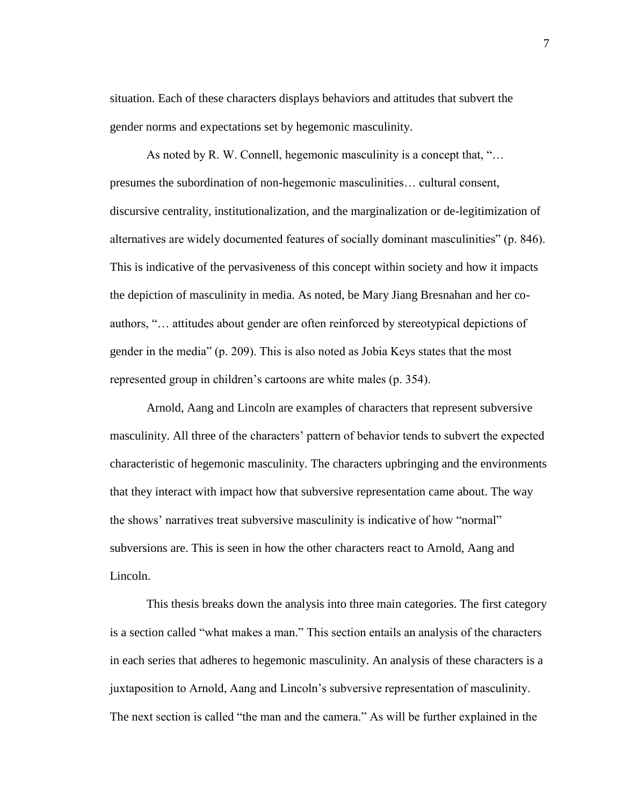situation. Each of these characters displays behaviors and attitudes that subvert the gender norms and expectations set by hegemonic masculinity.

As noted by R. W. Connell, hegemonic masculinity is a concept that, "... presumes the subordination of non-hegemonic masculinities… cultural consent, discursive centrality, institutionalization, and the marginalization or de-legitimization of alternatives are widely documented features of socially dominant masculinities" (p. 846). This is indicative of the pervasiveness of this concept within society and how it impacts the depiction of masculinity in media. As noted, be Mary Jiang Bresnahan and her coauthors, "… attitudes about gender are often reinforced by stereotypical depictions of gender in the media" (p. 209). This is also noted as Jobia Keys states that the most represented group in children's cartoons are white males (p. 354).

Arnold, Aang and Lincoln are examples of characters that represent subversive masculinity. All three of the characters' pattern of behavior tends to subvert the expected characteristic of hegemonic masculinity. The characters upbringing and the environments that they interact with impact how that subversive representation came about. The way the shows' narratives treat subversive masculinity is indicative of how "normal" subversions are. This is seen in how the other characters react to Arnold, Aang and Lincoln.

This thesis breaks down the analysis into three main categories. The first category is a section called "what makes a man." This section entails an analysis of the characters in each series that adheres to hegemonic masculinity. An analysis of these characters is a juxtaposition to Arnold, Aang and Lincoln's subversive representation of masculinity. The next section is called "the man and the camera." As will be further explained in the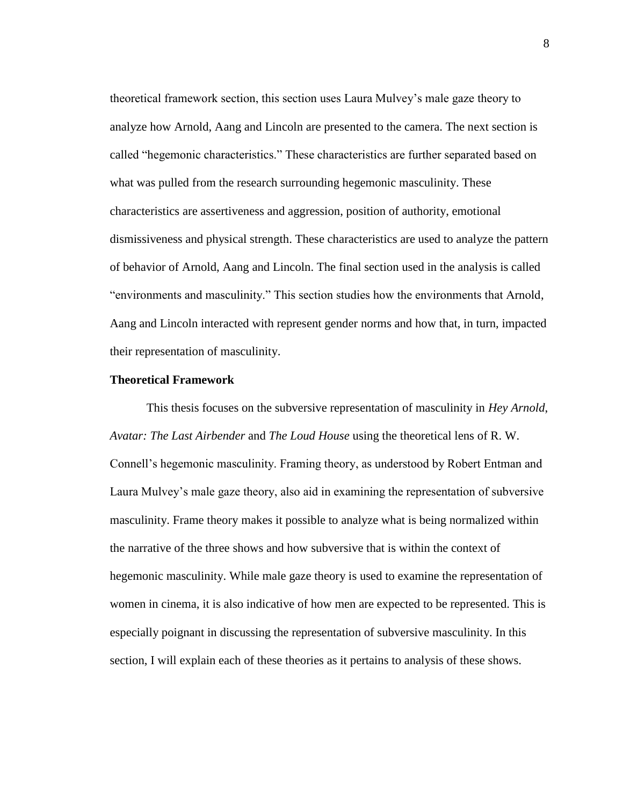theoretical framework section, this section uses Laura Mulvey's male gaze theory to analyze how Arnold, Aang and Lincoln are presented to the camera. The next section is called "hegemonic characteristics." These characteristics are further separated based on what was pulled from the research surrounding hegemonic masculinity. These characteristics are assertiveness and aggression, position of authority, emotional dismissiveness and physical strength. These characteristics are used to analyze the pattern of behavior of Arnold, Aang and Lincoln. The final section used in the analysis is called "environments and masculinity." This section studies how the environments that Arnold, Aang and Lincoln interacted with represent gender norms and how that, in turn, impacted their representation of masculinity.

# **Theoretical Framework**

This thesis focuses on the subversive representation of masculinity in *Hey Arnold*, *Avatar: The Last Airbender* and *The Loud House* using the theoretical lens of R. W. Connell's hegemonic masculinity. Framing theory, as understood by Robert Entman and Laura Mulvey's male gaze theory, also aid in examining the representation of subversive masculinity. Frame theory makes it possible to analyze what is being normalized within the narrative of the three shows and how subversive that is within the context of hegemonic masculinity. While male gaze theory is used to examine the representation of women in cinema, it is also indicative of how men are expected to be represented. This is especially poignant in discussing the representation of subversive masculinity. In this section, I will explain each of these theories as it pertains to analysis of these shows.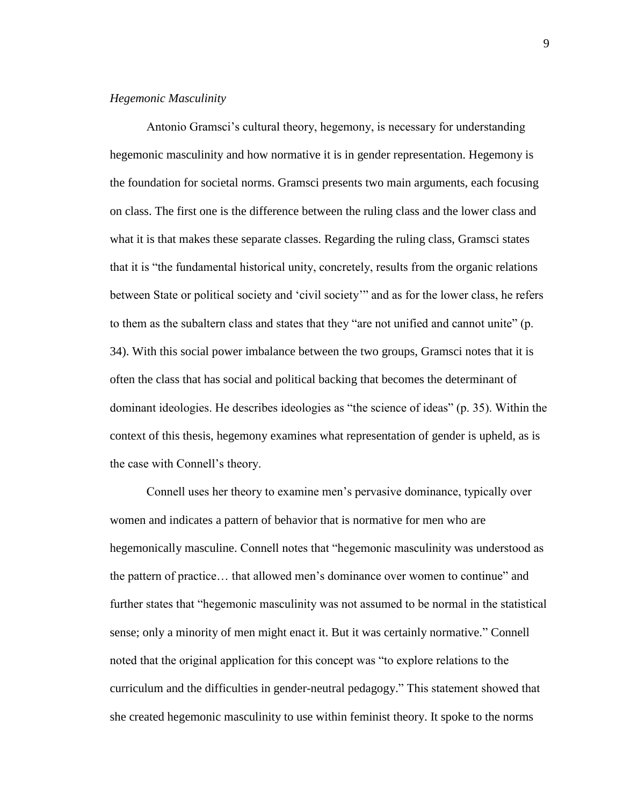# *Hegemonic Masculinity*

Antonio Gramsci's cultural theory, hegemony, is necessary for understanding hegemonic masculinity and how normative it is in gender representation. Hegemony is the foundation for societal norms. Gramsci presents two main arguments, each focusing on class. The first one is the difference between the ruling class and the lower class and what it is that makes these separate classes. Regarding the ruling class, Gramsci states that it is "the fundamental historical unity, concretely, results from the organic relations between State or political society and 'civil society'" and as for the lower class, he refers to them as the subaltern class and states that they "are not unified and cannot unite" (p. 34). With this social power imbalance between the two groups, Gramsci notes that it is often the class that has social and political backing that becomes the determinant of dominant ideologies. He describes ideologies as "the science of ideas" (p. 35). Within the context of this thesis, hegemony examines what representation of gender is upheld, as is the case with Connell's theory.

Connell uses her theory to examine men's pervasive dominance, typically over women and indicates a pattern of behavior that is normative for men who are hegemonically masculine. Connell notes that "hegemonic masculinity was understood as the pattern of practice… that allowed men's dominance over women to continue" and further states that "hegemonic masculinity was not assumed to be normal in the statistical sense; only a minority of men might enact it. But it was certainly normative." Connell noted that the original application for this concept was "to explore relations to the curriculum and the difficulties in gender-neutral pedagogy." This statement showed that she created hegemonic masculinity to use within feminist theory. It spoke to the norms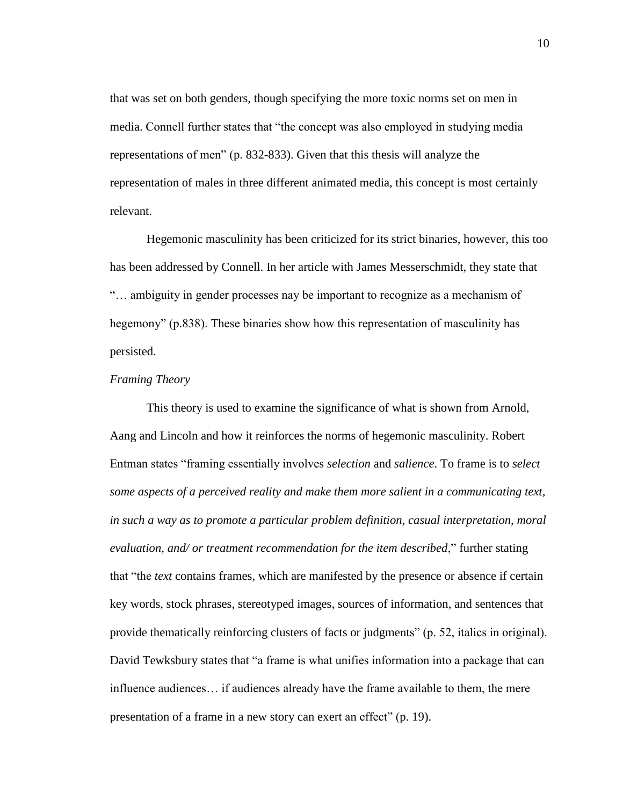that was set on both genders, though specifying the more toxic norms set on men in media. Connell further states that "the concept was also employed in studying media representations of men" (p. 832-833). Given that this thesis will analyze the representation of males in three different animated media, this concept is most certainly relevant.

Hegemonic masculinity has been criticized for its strict binaries, however, this too has been addressed by Connell. In her article with James Messerschmidt, they state that "… ambiguity in gender processes nay be important to recognize as a mechanism of hegemony" (p.838). These binaries show how this representation of masculinity has persisted.

# *Framing Theory*

This theory is used to examine the significance of what is shown from Arnold, Aang and Lincoln and how it reinforces the norms of hegemonic masculinity. Robert Entman states "framing essentially involves *selection* and *salience*. To frame is to *select some aspects of a perceived reality and make them more salient in a communicating text, in such a way as to promote a particular problem definition, casual interpretation, moral evaluation, and/ or treatment recommendation for the item described*," further stating that "the *text* contains frames, which are manifested by the presence or absence if certain key words, stock phrases, stereotyped images, sources of information, and sentences that provide thematically reinforcing clusters of facts or judgments" (p. 52, italics in original). David Tewksbury states that "a frame is what unifies information into a package that can influence audiences… if audiences already have the frame available to them, the mere presentation of a frame in a new story can exert an effect" (p. 19).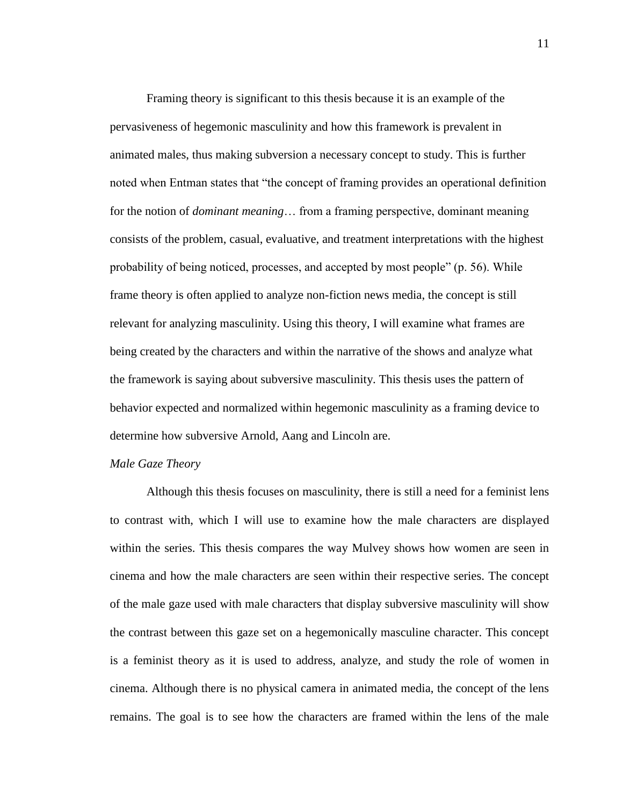Framing theory is significant to this thesis because it is an example of the pervasiveness of hegemonic masculinity and how this framework is prevalent in animated males, thus making subversion a necessary concept to study. This is further noted when Entman states that "the concept of framing provides an operational definition for the notion of *dominant meaning*… from a framing perspective, dominant meaning consists of the problem, casual, evaluative, and treatment interpretations with the highest probability of being noticed, processes, and accepted by most people" (p. 56). While frame theory is often applied to analyze non-fiction news media, the concept is still relevant for analyzing masculinity. Using this theory, I will examine what frames are being created by the characters and within the narrative of the shows and analyze what the framework is saying about subversive masculinity. This thesis uses the pattern of behavior expected and normalized within hegemonic masculinity as a framing device to determine how subversive Arnold, Aang and Lincoln are.

# *Male Gaze Theory*

Although this thesis focuses on masculinity, there is still a need for a feminist lens to contrast with, which I will use to examine how the male characters are displayed within the series. This thesis compares the way Mulvey shows how women are seen in cinema and how the male characters are seen within their respective series. The concept of the male gaze used with male characters that display subversive masculinity will show the contrast between this gaze set on a hegemonically masculine character. This concept is a feminist theory as it is used to address, analyze, and study the role of women in cinema. Although there is no physical camera in animated media, the concept of the lens remains. The goal is to see how the characters are framed within the lens of the male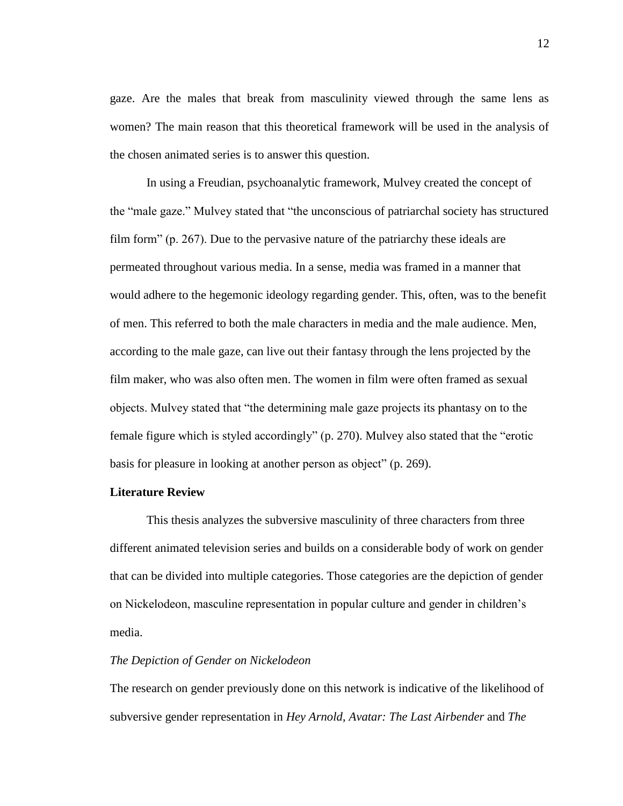gaze. Are the males that break from masculinity viewed through the same lens as women? The main reason that this theoretical framework will be used in the analysis of the chosen animated series is to answer this question.

In using a Freudian, psychoanalytic framework, Mulvey created the concept of the "male gaze." Mulvey stated that "the unconscious of patriarchal society has structured film form" (p. 267). Due to the pervasive nature of the patriarchy these ideals are permeated throughout various media. In a sense, media was framed in a manner that would adhere to the hegemonic ideology regarding gender. This, often, was to the benefit of men. This referred to both the male characters in media and the male audience. Men, according to the male gaze, can live out their fantasy through the lens projected by the film maker, who was also often men. The women in film were often framed as sexual objects. Mulvey stated that "the determining male gaze projects its phantasy on to the female figure which is styled accordingly" (p. 270). Mulvey also stated that the "erotic basis for pleasure in looking at another person as object" (p. 269).

#### **Literature Review**

This thesis analyzes the subversive masculinity of three characters from three different animated television series and builds on a considerable body of work on gender that can be divided into multiple categories. Those categories are the depiction of gender on Nickelodeon, masculine representation in popular culture and gender in children's media.

# *The Depiction of Gender on Nickelodeon*

The research on gender previously done on this network is indicative of the likelihood of subversive gender representation in *Hey Arnold*, *Avatar: The Last Airbender* and *The*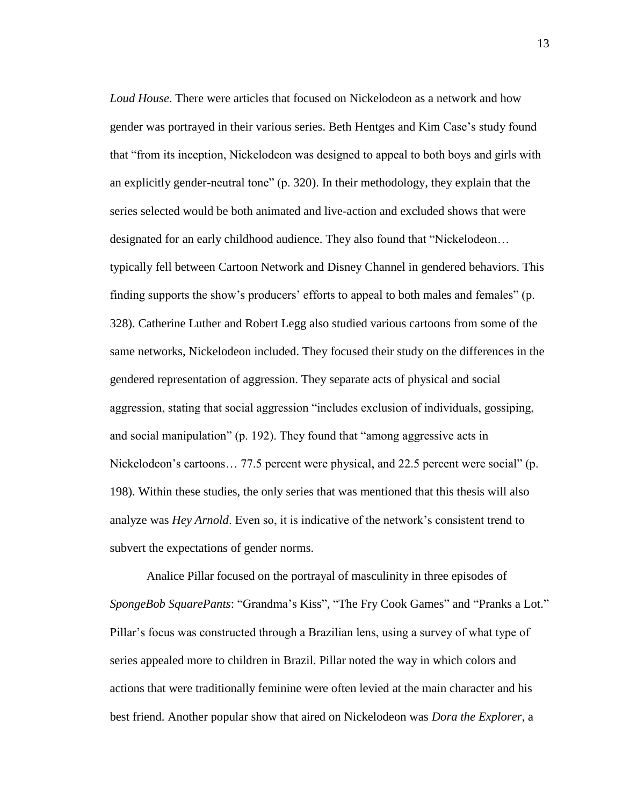*Loud House*. There were articles that focused on Nickelodeon as a network and how gender was portrayed in their various series. Beth Hentges and Kim Case's study found that "from its inception, Nickelodeon was designed to appeal to both boys and girls with an explicitly gender-neutral tone" (p. 320). In their methodology, they explain that the series selected would be both animated and live-action and excluded shows that were designated for an early childhood audience. They also found that "Nickelodeon… typically fell between Cartoon Network and Disney Channel in gendered behaviors. This finding supports the show's producers' efforts to appeal to both males and females" (p. 328). Catherine Luther and Robert Legg also studied various cartoons from some of the same networks, Nickelodeon included. They focused their study on the differences in the gendered representation of aggression. They separate acts of physical and social aggression, stating that social aggression "includes exclusion of individuals, gossiping, and social manipulation" (p. 192). They found that "among aggressive acts in Nickelodeon's cartoons... 77.5 percent were physical, and 22.5 percent were social" (p. 198). Within these studies, the only series that was mentioned that this thesis will also analyze was *Hey Arnold*. Even so, it is indicative of the network's consistent trend to subvert the expectations of gender norms.

Analice Pillar focused on the portrayal of masculinity in three episodes of *SpongeBob SquarePants*: "Grandma's Kiss", "The Fry Cook Games" and "Pranks a Lot." Pillar's focus was constructed through a Brazilian lens, using a survey of what type of series appealed more to children in Brazil. Pillar noted the way in which colors and actions that were traditionally feminine were often levied at the main character and his best friend. Another popular show that aired on Nickelodeon was *Dora the Explorer*, a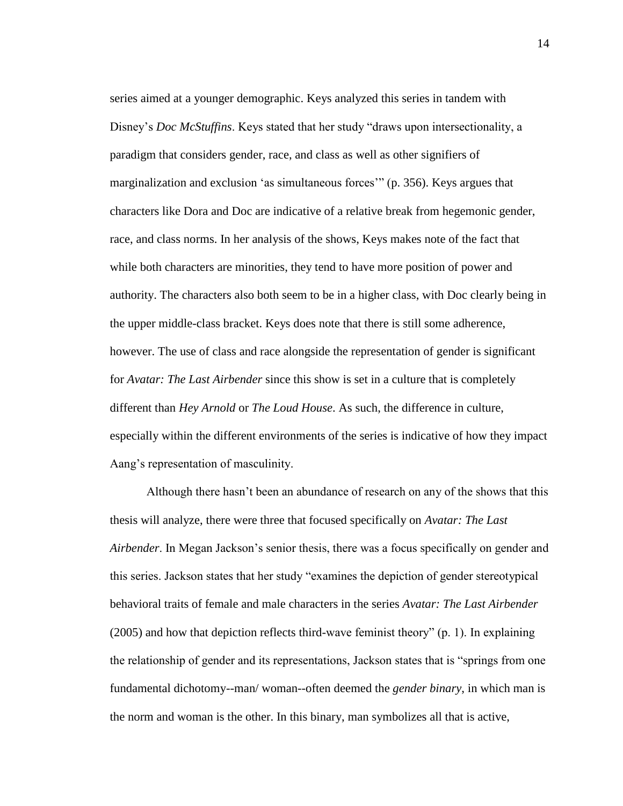series aimed at a younger demographic. Keys analyzed this series in tandem with Disney's *Doc McStuffins*. Keys stated that her study "draws upon intersectionality, a paradigm that considers gender, race, and class as well as other signifiers of marginalization and exclusion 'as simultaneous forces'" (p. 356). Keys argues that characters like Dora and Doc are indicative of a relative break from hegemonic gender, race, and class norms. In her analysis of the shows, Keys makes note of the fact that while both characters are minorities, they tend to have more position of power and authority. The characters also both seem to be in a higher class, with Doc clearly being in the upper middle-class bracket. Keys does note that there is still some adherence, however. The use of class and race alongside the representation of gender is significant for *Avatar: The Last Airbender* since this show is set in a culture that is completely different than *Hey Arnold* or *The Loud House*. As such, the difference in culture, especially within the different environments of the series is indicative of how they impact Aang's representation of masculinity.

Although there hasn't been an abundance of research on any of the shows that this thesis will analyze, there were three that focused specifically on *Avatar: The Last Airbender*. In Megan Jackson's senior thesis, there was a focus specifically on gender and this series. Jackson states that her study "examines the depiction of gender stereotypical behavioral traits of female and male characters in the series *Avatar: The Last Airbender*  (2005) and how that depiction reflects third-wave feminist theory" (p. 1). In explaining the relationship of gender and its representations, Jackson states that is "springs from one fundamental dichotomy--man/ woman--often deemed the *gender binary*, in which man is the norm and woman is the other. In this binary, man symbolizes all that is active,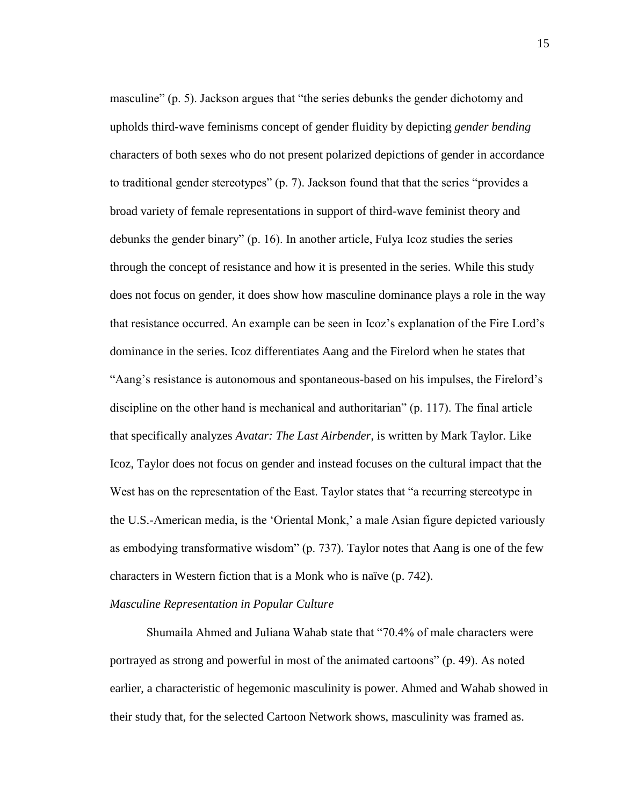masculine" (p. 5). Jackson argues that "the series debunks the gender dichotomy and upholds third-wave feminisms concept of gender fluidity by depicting *gender bending* characters of both sexes who do not present polarized depictions of gender in accordance to traditional gender stereotypes" (p. 7). Jackson found that that the series "provides a broad variety of female representations in support of third-wave feminist theory and debunks the gender binary" (p. 16). In another article, Fulya Icoz studies the series through the concept of resistance and how it is presented in the series. While this study does not focus on gender, it does show how masculine dominance plays a role in the way that resistance occurred. An example can be seen in Icoz's explanation of the Fire Lord's dominance in the series. Icoz differentiates Aang and the Firelord when he states that "Aang's resistance is autonomous and spontaneous-based on his impulses, the Firelord's discipline on the other hand is mechanical and authoritarian" (p. 117). The final article that specifically analyzes *Avatar: The Last Airbender*, is written by Mark Taylor. Like Icoz, Taylor does not focus on gender and instead focuses on the cultural impact that the West has on the representation of the East. Taylor states that "a recurring stereotype in the U.S.-American media, is the 'Oriental Monk,' a male Asian figure depicted variously as embodying transformative wisdom" (p. 737). Taylor notes that Aang is one of the few characters in Western fiction that is a Monk who is naïve (p. 742).

# *Masculine Representation in Popular Culture*

Shumaila Ahmed and Juliana Wahab state that "70.4% of male characters were portrayed as strong and powerful in most of the animated cartoons" (p. 49). As noted earlier, a characteristic of hegemonic masculinity is power. Ahmed and Wahab showed in their study that, for the selected Cartoon Network shows, masculinity was framed as.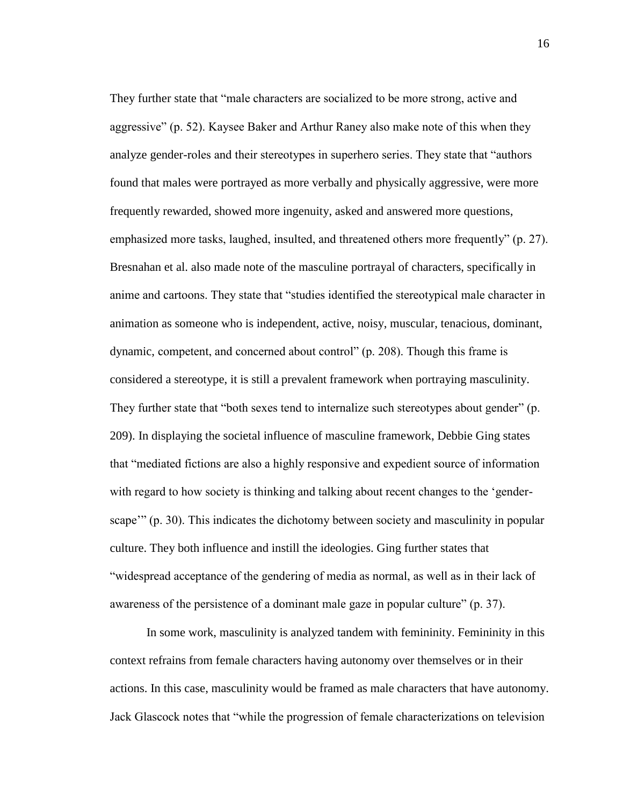They further state that "male characters are socialized to be more strong, active and aggressive" (p. 52). Kaysee Baker and Arthur Raney also make note of this when they analyze gender-roles and their stereotypes in superhero series. They state that "authors found that males were portrayed as more verbally and physically aggressive, were more frequently rewarded, showed more ingenuity, asked and answered more questions, emphasized more tasks, laughed, insulted, and threatened others more frequently" (p. 27). Bresnahan et al. also made note of the masculine portrayal of characters, specifically in anime and cartoons. They state that "studies identified the stereotypical male character in animation as someone who is independent, active, noisy, muscular, tenacious, dominant, dynamic, competent, and concerned about control" (p. 208). Though this frame is considered a stereotype, it is still a prevalent framework when portraying masculinity. They further state that "both sexes tend to internalize such stereotypes about gender" (p. 209). In displaying the societal influence of masculine framework, Debbie Ging states that "mediated fictions are also a highly responsive and expedient source of information with regard to how society is thinking and talking about recent changes to the 'genderscape'" (p. 30). This indicates the dichotomy between society and masculinity in popular culture. They both influence and instill the ideologies. Ging further states that "widespread acceptance of the gendering of media as normal, as well as in their lack of awareness of the persistence of a dominant male gaze in popular culture" (p. 37).

In some work, masculinity is analyzed tandem with femininity. Femininity in this context refrains from female characters having autonomy over themselves or in their actions. In this case, masculinity would be framed as male characters that have autonomy. Jack Glascock notes that "while the progression of female characterizations on television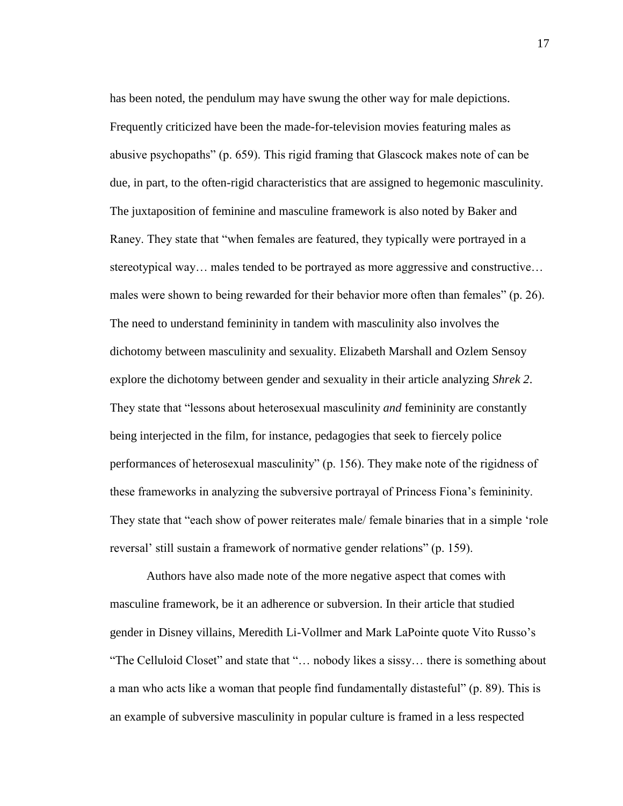has been noted, the pendulum may have swung the other way for male depictions. Frequently criticized have been the made-for-television movies featuring males as abusive psychopaths" (p. 659). This rigid framing that Glascock makes note of can be due, in part, to the often-rigid characteristics that are assigned to hegemonic masculinity. The juxtaposition of feminine and masculine framework is also noted by Baker and Raney. They state that "when females are featured, they typically were portrayed in a stereotypical way… males tended to be portrayed as more aggressive and constructive… males were shown to being rewarded for their behavior more often than females" (p. 26). The need to understand femininity in tandem with masculinity also involves the dichotomy between masculinity and sexuality. Elizabeth Marshall and Ozlem Sensoy explore the dichotomy between gender and sexuality in their article analyzing *Shrek 2*. They state that "lessons about heterosexual masculinity *and* femininity are constantly being interjected in the film, for instance, pedagogies that seek to fiercely police performances of heterosexual masculinity" (p. 156). They make note of the rigidness of these frameworks in analyzing the subversive portrayal of Princess Fiona's femininity. They state that "each show of power reiterates male/ female binaries that in a simple 'role reversal' still sustain a framework of normative gender relations" (p. 159).

Authors have also made note of the more negative aspect that comes with masculine framework, be it an adherence or subversion. In their article that studied gender in Disney villains, Meredith Li-Vollmer and Mark LaPointe quote Vito Russo's "The Celluloid Closet" and state that "… nobody likes a sissy… there is something about a man who acts like a woman that people find fundamentally distasteful" (p. 89). This is an example of subversive masculinity in popular culture is framed in a less respected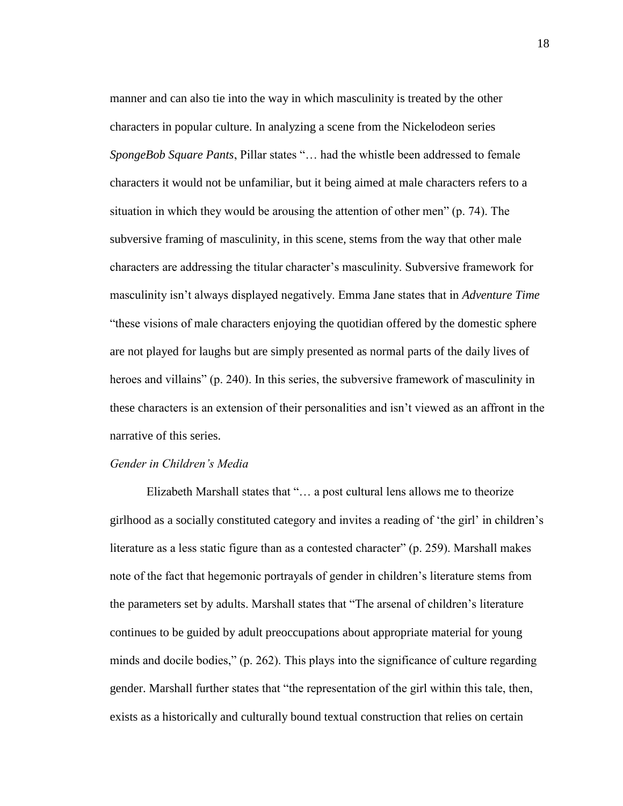manner and can also tie into the way in which masculinity is treated by the other characters in popular culture. In analyzing a scene from the Nickelodeon series *SpongeBob Square Pants*, Pillar states "… had the whistle been addressed to female characters it would not be unfamiliar, but it being aimed at male characters refers to a situation in which they would be arousing the attention of other men" (p. 74). The subversive framing of masculinity, in this scene, stems from the way that other male characters are addressing the titular character's masculinity. Subversive framework for masculinity isn't always displayed negatively. Emma Jane states that in *Adventure Time*  "these visions of male characters enjoying the quotidian offered by the domestic sphere are not played for laughs but are simply presented as normal parts of the daily lives of heroes and villains" (p. 240). In this series, the subversive framework of masculinity in these characters is an extension of their personalities and isn't viewed as an affront in the narrative of this series.

# *Gender in Children's Media*

Elizabeth Marshall states that "… a post cultural lens allows me to theorize girlhood as a socially constituted category and invites a reading of 'the girl' in children's literature as a less static figure than as a contested character" (p. 259). Marshall makes note of the fact that hegemonic portrayals of gender in children's literature stems from the parameters set by adults. Marshall states that "The arsenal of children's literature continues to be guided by adult preoccupations about appropriate material for young minds and docile bodies," (p. 262). This plays into the significance of culture regarding gender. Marshall further states that "the representation of the girl within this tale, then, exists as a historically and culturally bound textual construction that relies on certain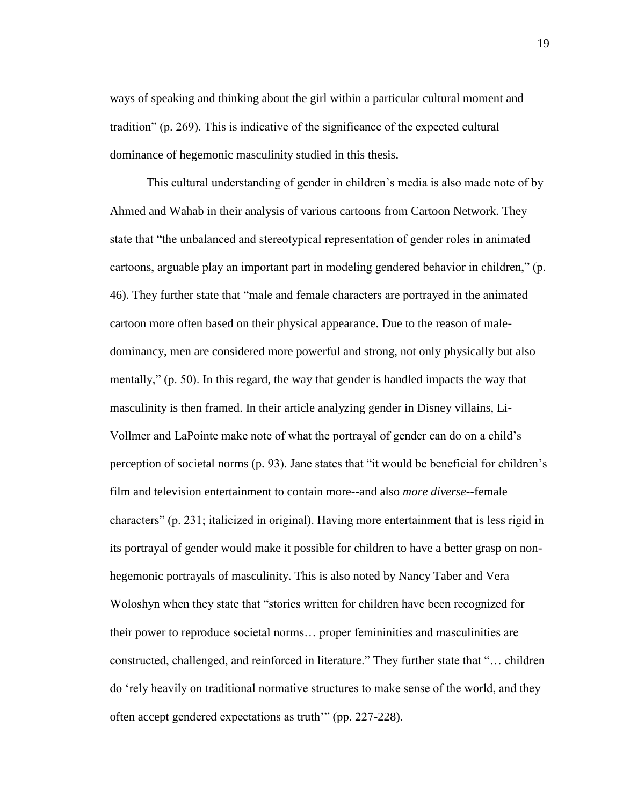ways of speaking and thinking about the girl within a particular cultural moment and tradition" (p. 269). This is indicative of the significance of the expected cultural dominance of hegemonic masculinity studied in this thesis.

This cultural understanding of gender in children's media is also made note of by Ahmed and Wahab in their analysis of various cartoons from Cartoon Network. They state that "the unbalanced and stereotypical representation of gender roles in animated cartoons, arguable play an important part in modeling gendered behavior in children," (p. 46). They further state that "male and female characters are portrayed in the animated cartoon more often based on their physical appearance. Due to the reason of maledominancy, men are considered more powerful and strong, not only physically but also mentally," (p. 50). In this regard, the way that gender is handled impacts the way that masculinity is then framed. In their article analyzing gender in Disney villains, Li-Vollmer and LaPointe make note of what the portrayal of gender can do on a child's perception of societal norms (p. 93). Jane states that "it would be beneficial for children's film and television entertainment to contain more--and also *more diverse*--female characters" (p. 231; italicized in original). Having more entertainment that is less rigid in its portrayal of gender would make it possible for children to have a better grasp on nonhegemonic portrayals of masculinity. This is also noted by Nancy Taber and Vera Woloshyn when they state that "stories written for children have been recognized for their power to reproduce societal norms… proper femininities and masculinities are constructed, challenged, and reinforced in literature." They further state that "… children do 'rely heavily on traditional normative structures to make sense of the world, and they often accept gendered expectations as truth'" (pp. 227-228).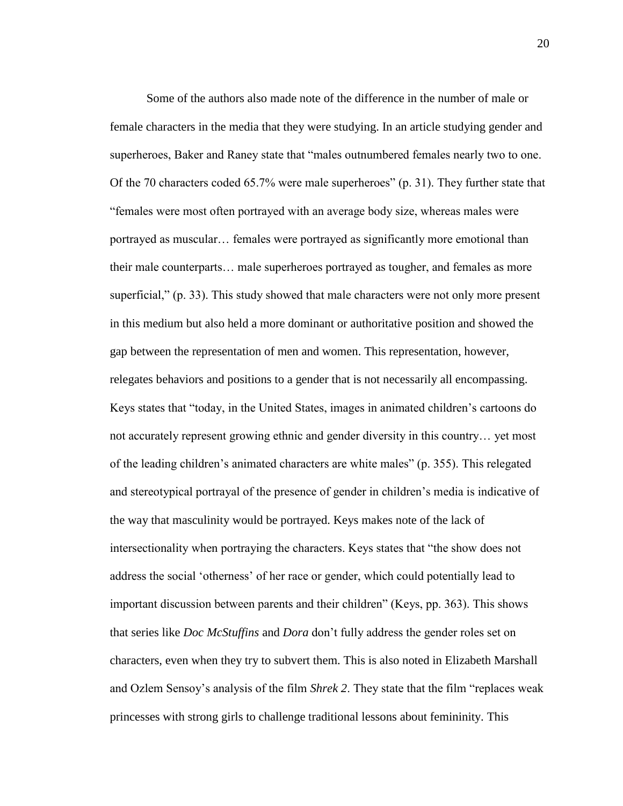Some of the authors also made note of the difference in the number of male or female characters in the media that they were studying. In an article studying gender and superheroes, Baker and Raney state that "males outnumbered females nearly two to one. Of the 70 characters coded 65.7% were male superheroes" (p. 31). They further state that "females were most often portrayed with an average body size, whereas males were portrayed as muscular… females were portrayed as significantly more emotional than their male counterparts… male superheroes portrayed as tougher, and females as more superficial," (p. 33). This study showed that male characters were not only more present in this medium but also held a more dominant or authoritative position and showed the gap between the representation of men and women. This representation, however, relegates behaviors and positions to a gender that is not necessarily all encompassing. Keys states that "today, in the United States, images in animated children's cartoons do not accurately represent growing ethnic and gender diversity in this country… yet most of the leading children's animated characters are white males" (p. 355). This relegated and stereotypical portrayal of the presence of gender in children's media is indicative of the way that masculinity would be portrayed. Keys makes note of the lack of intersectionality when portraying the characters. Keys states that "the show does not address the social 'otherness' of her race or gender, which could potentially lead to important discussion between parents and their children" (Keys, pp. 363). This shows that series like *Doc McStuffins* and *Dora* don't fully address the gender roles set on characters, even when they try to subvert them. This is also noted in Elizabeth Marshall and Ozlem Sensoy's analysis of the film *Shrek 2*. They state that the film "replaces weak princesses with strong girls to challenge traditional lessons about femininity. This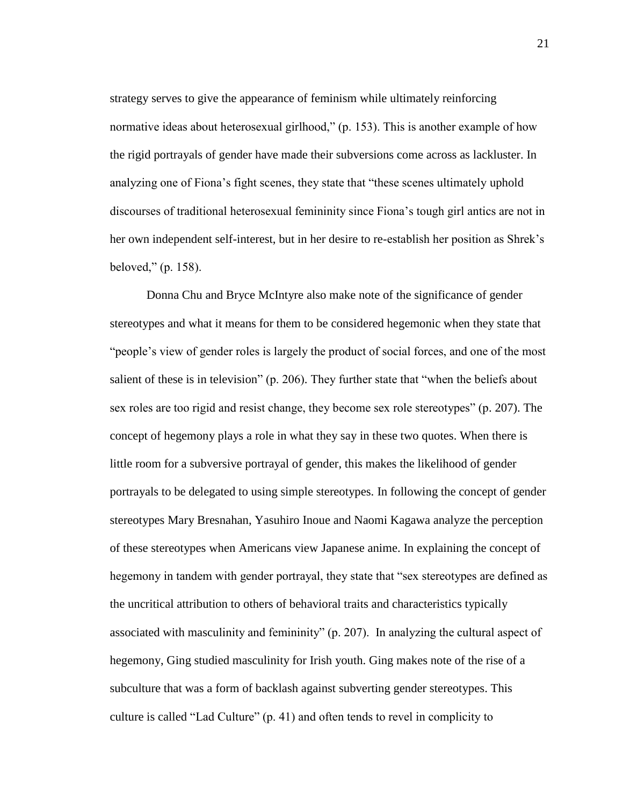strategy serves to give the appearance of feminism while ultimately reinforcing normative ideas about heterosexual girlhood," (p. 153). This is another example of how the rigid portrayals of gender have made their subversions come across as lackluster. In analyzing one of Fiona's fight scenes, they state that "these scenes ultimately uphold discourses of traditional heterosexual femininity since Fiona's tough girl antics are not in her own independent self-interest, but in her desire to re-establish her position as Shrek's beloved," (p. 158).

Donna Chu and Bryce McIntyre also make note of the significance of gender stereotypes and what it means for them to be considered hegemonic when they state that "people's view of gender roles is largely the product of social forces, and one of the most salient of these is in television" (p. 206). They further state that "when the beliefs about sex roles are too rigid and resist change, they become sex role stereotypes" (p. 207). The concept of hegemony plays a role in what they say in these two quotes. When there is little room for a subversive portrayal of gender, this makes the likelihood of gender portrayals to be delegated to using simple stereotypes. In following the concept of gender stereotypes Mary Bresnahan, Yasuhiro Inoue and Naomi Kagawa analyze the perception of these stereotypes when Americans view Japanese anime. In explaining the concept of hegemony in tandem with gender portrayal, they state that "sex stereotypes are defined as the uncritical attribution to others of behavioral traits and characteristics typically associated with masculinity and femininity" (p. 207). In analyzing the cultural aspect of hegemony, Ging studied masculinity for Irish youth. Ging makes note of the rise of a subculture that was a form of backlash against subverting gender stereotypes. This culture is called "Lad Culture" (p. 41) and often tends to revel in complicity to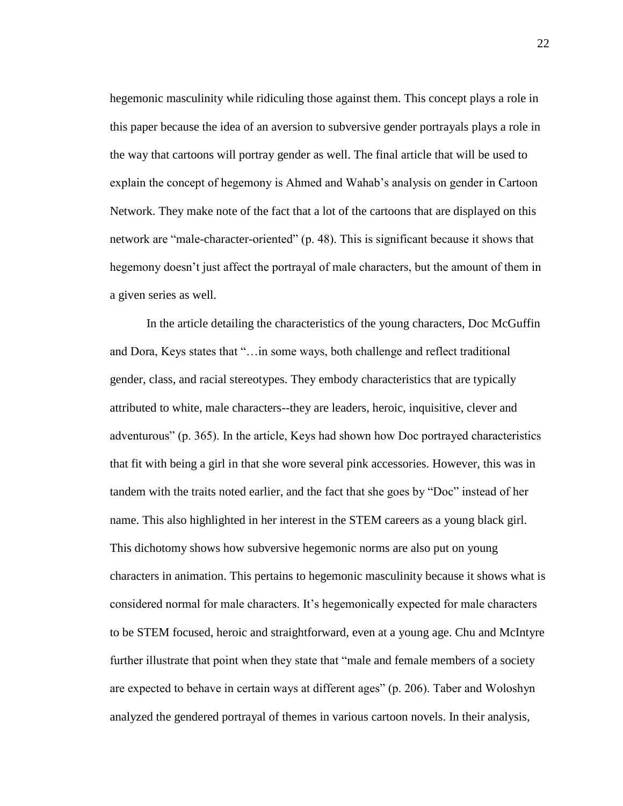hegemonic masculinity while ridiculing those against them. This concept plays a role in this paper because the idea of an aversion to subversive gender portrayals plays a role in the way that cartoons will portray gender as well. The final article that will be used to explain the concept of hegemony is Ahmed and Wahab's analysis on gender in Cartoon Network. They make note of the fact that a lot of the cartoons that are displayed on this network are "male-character-oriented" (p. 48). This is significant because it shows that hegemony doesn't just affect the portrayal of male characters, but the amount of them in a given series as well.

In the article detailing the characteristics of the young characters, Doc McGuffin and Dora, Keys states that "…in some ways, both challenge and reflect traditional gender, class, and racial stereotypes. They embody characteristics that are typically attributed to white, male characters--they are leaders, heroic, inquisitive, clever and adventurous" (p. 365). In the article, Keys had shown how Doc portrayed characteristics that fit with being a girl in that she wore several pink accessories. However, this was in tandem with the traits noted earlier, and the fact that she goes by "Doc" instead of her name. This also highlighted in her interest in the STEM careers as a young black girl. This dichotomy shows how subversive hegemonic norms are also put on young characters in animation. This pertains to hegemonic masculinity because it shows what is considered normal for male characters. It's hegemonically expected for male characters to be STEM focused, heroic and straightforward, even at a young age. Chu and McIntyre further illustrate that point when they state that "male and female members of a society" are expected to behave in certain ways at different ages" (p. 206). Taber and Woloshyn analyzed the gendered portrayal of themes in various cartoon novels. In their analysis,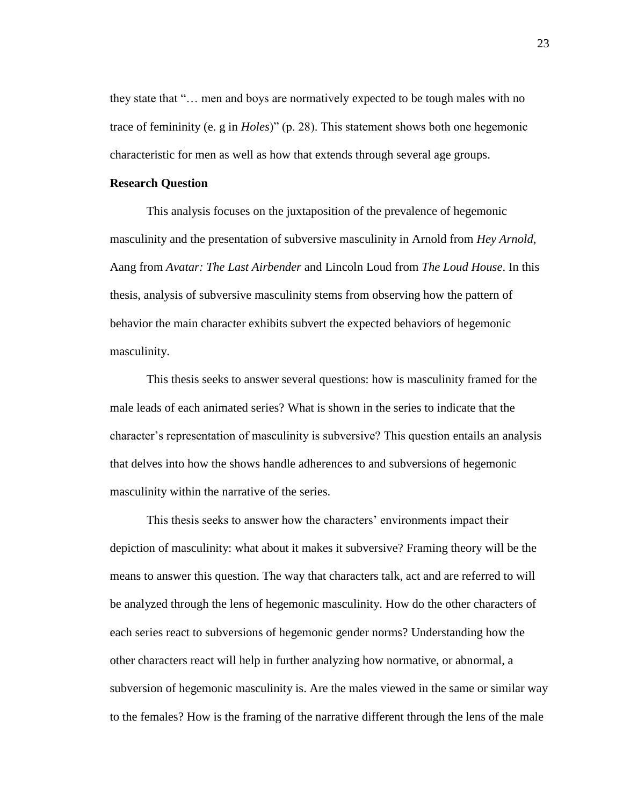they state that "… men and boys are normatively expected to be tough males with no trace of femininity (e. g in *Holes*)" (p. 28). This statement shows both one hegemonic characteristic for men as well as how that extends through several age groups.

#### **Research Question**

This analysis focuses on the juxtaposition of the prevalence of hegemonic masculinity and the presentation of subversive masculinity in Arnold from *Hey Arnold*, Aang from *Avatar: The Last Airbender* and Lincoln Loud from *The Loud House*. In this thesis, analysis of subversive masculinity stems from observing how the pattern of behavior the main character exhibits subvert the expected behaviors of hegemonic masculinity.

This thesis seeks to answer several questions: how is masculinity framed for the male leads of each animated series? What is shown in the series to indicate that the character's representation of masculinity is subversive? This question entails an analysis that delves into how the shows handle adherences to and subversions of hegemonic masculinity within the narrative of the series.

This thesis seeks to answer how the characters' environments impact their depiction of masculinity: what about it makes it subversive? Framing theory will be the means to answer this question. The way that characters talk, act and are referred to will be analyzed through the lens of hegemonic masculinity. How do the other characters of each series react to subversions of hegemonic gender norms? Understanding how the other characters react will help in further analyzing how normative, or abnormal, a subversion of hegemonic masculinity is. Are the males viewed in the same or similar way to the females? How is the framing of the narrative different through the lens of the male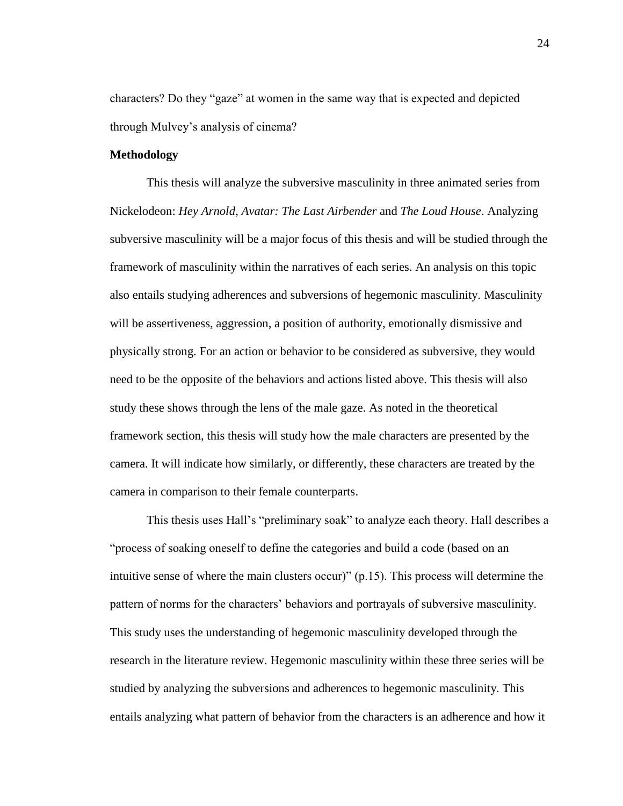characters? Do they "gaze" at women in the same way that is expected and depicted through Mulvey's analysis of cinema?

# **Methodology**

This thesis will analyze the subversive masculinity in three animated series from Nickelodeon: *Hey Arnold*, *Avatar: The Last Airbender* and *The Loud House*. Analyzing subversive masculinity will be a major focus of this thesis and will be studied through the framework of masculinity within the narratives of each series. An analysis on this topic also entails studying adherences and subversions of hegemonic masculinity. Masculinity will be assertiveness, aggression, a position of authority, emotionally dismissive and physically strong. For an action or behavior to be considered as subversive, they would need to be the opposite of the behaviors and actions listed above. This thesis will also study these shows through the lens of the male gaze. As noted in the theoretical framework section, this thesis will study how the male characters are presented by the camera. It will indicate how similarly, or differently, these characters are treated by the camera in comparison to their female counterparts.

This thesis uses Hall's "preliminary soak" to analyze each theory. Hall describes a "process of soaking oneself to define the categories and build a code (based on an intuitive sense of where the main clusters occur)" (p.15). This process will determine the pattern of norms for the characters' behaviors and portrayals of subversive masculinity. This study uses the understanding of hegemonic masculinity developed through the research in the literature review. Hegemonic masculinity within these three series will be studied by analyzing the subversions and adherences to hegemonic masculinity. This entails analyzing what pattern of behavior from the characters is an adherence and how it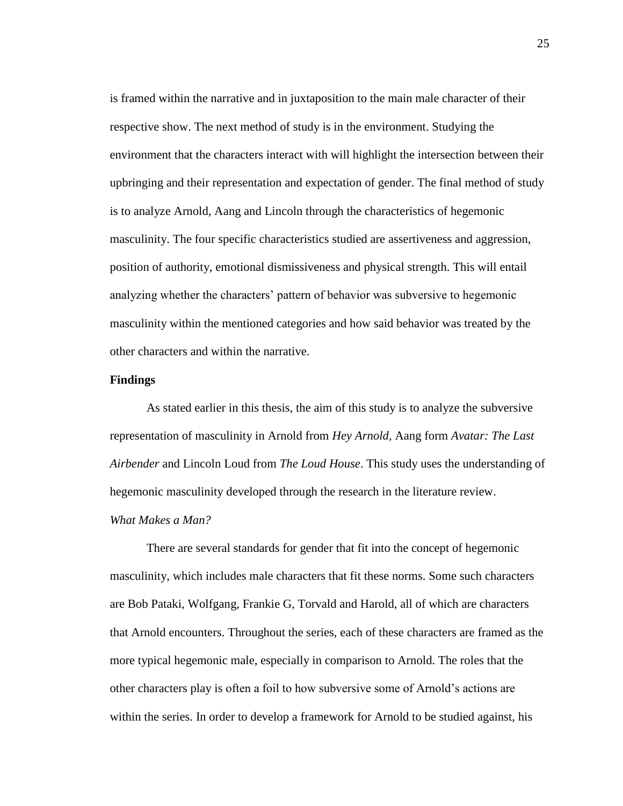is framed within the narrative and in juxtaposition to the main male character of their respective show. The next method of study is in the environment. Studying the environment that the characters interact with will highlight the intersection between their upbringing and their representation and expectation of gender. The final method of study is to analyze Arnold, Aang and Lincoln through the characteristics of hegemonic masculinity. The four specific characteristics studied are assertiveness and aggression, position of authority, emotional dismissiveness and physical strength. This will entail analyzing whether the characters' pattern of behavior was subversive to hegemonic masculinity within the mentioned categories and how said behavior was treated by the other characters and within the narrative.

# **Findings**

As stated earlier in this thesis, the aim of this study is to analyze the subversive representation of masculinity in Arnold from *Hey Arnold,* Aang form *Avatar: The Last Airbender* and Lincoln Loud from *The Loud House*. This study uses the understanding of hegemonic masculinity developed through the research in the literature review. *What Makes a Man?*

There are several standards for gender that fit into the concept of hegemonic masculinity, which includes male characters that fit these norms. Some such characters are Bob Pataki, Wolfgang, Frankie G, Torvald and Harold, all of which are characters that Arnold encounters. Throughout the series, each of these characters are framed as the more typical hegemonic male, especially in comparison to Arnold. The roles that the other characters play is often a foil to how subversive some of Arnold's actions are within the series. In order to develop a framework for Arnold to be studied against, his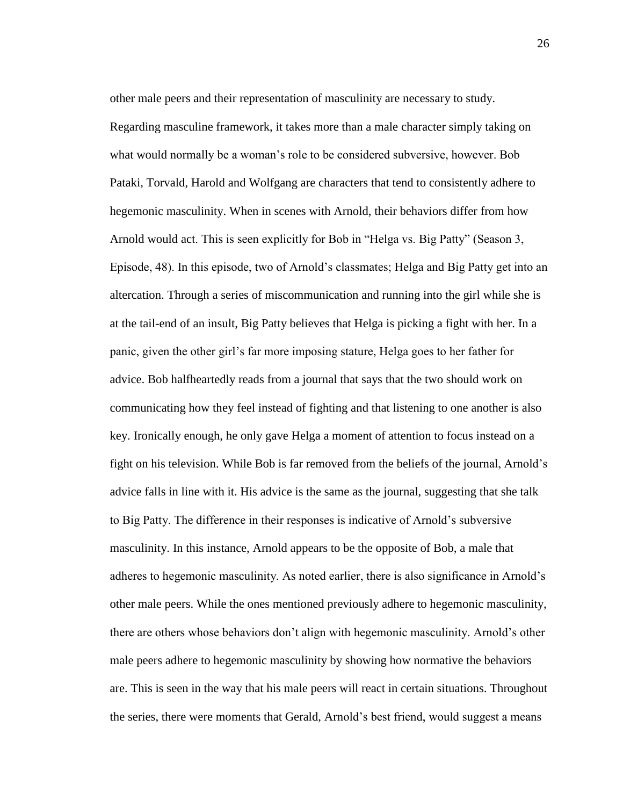other male peers and their representation of masculinity are necessary to study. Regarding masculine framework, it takes more than a male character simply taking on what would normally be a woman's role to be considered subversive, however. Bob Pataki, Torvald, Harold and Wolfgang are characters that tend to consistently adhere to hegemonic masculinity. When in scenes with Arnold, their behaviors differ from how Arnold would act. This is seen explicitly for Bob in "Helga vs. Big Patty" (Season 3, Episode, 48). In this episode, two of Arnold's classmates; Helga and Big Patty get into an altercation. Through a series of miscommunication and running into the girl while she is at the tail-end of an insult, Big Patty believes that Helga is picking a fight with her. In a panic, given the other girl's far more imposing stature, Helga goes to her father for advice. Bob halfheartedly reads from a journal that says that the two should work on communicating how they feel instead of fighting and that listening to one another is also key. Ironically enough, he only gave Helga a moment of attention to focus instead on a fight on his television. While Bob is far removed from the beliefs of the journal, Arnold's advice falls in line with it. His advice is the same as the journal, suggesting that she talk to Big Patty. The difference in their responses is indicative of Arnold's subversive masculinity. In this instance, Arnold appears to be the opposite of Bob, a male that adheres to hegemonic masculinity. As noted earlier, there is also significance in Arnold's other male peers. While the ones mentioned previously adhere to hegemonic masculinity, there are others whose behaviors don't align with hegemonic masculinity. Arnold's other male peers adhere to hegemonic masculinity by showing how normative the behaviors are. This is seen in the way that his male peers will react in certain situations. Throughout the series, there were moments that Gerald, Arnold's best friend, would suggest a means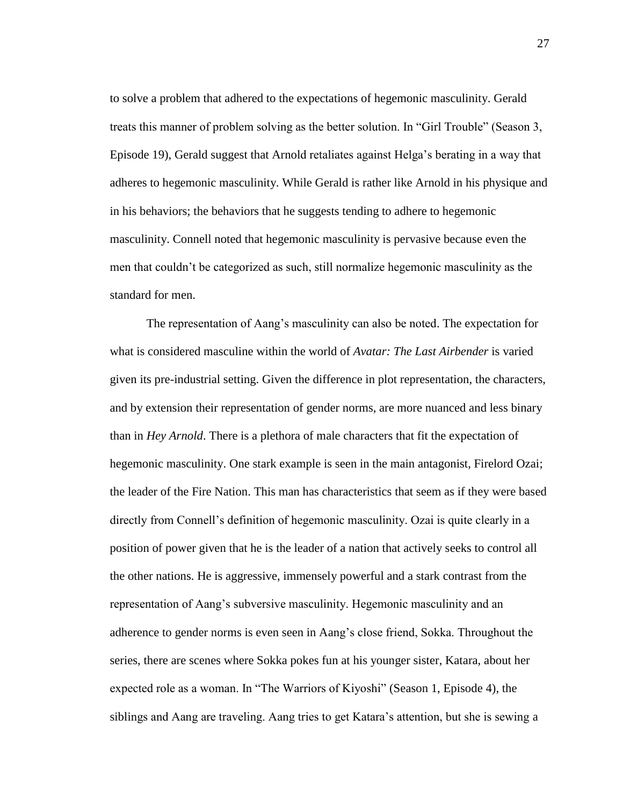to solve a problem that adhered to the expectations of hegemonic masculinity. Gerald treats this manner of problem solving as the better solution. In "Girl Trouble" (Season 3, Episode 19), Gerald suggest that Arnold retaliates against Helga's berating in a way that adheres to hegemonic masculinity. While Gerald is rather like Arnold in his physique and in his behaviors; the behaviors that he suggests tending to adhere to hegemonic masculinity. Connell noted that hegemonic masculinity is pervasive because even the men that couldn't be categorized as such, still normalize hegemonic masculinity as the standard for men.

The representation of Aang's masculinity can also be noted. The expectation for what is considered masculine within the world of *Avatar: The Last Airbender* is varied given its pre-industrial setting. Given the difference in plot representation, the characters, and by extension their representation of gender norms, are more nuanced and less binary than in *Hey Arnold*. There is a plethora of male characters that fit the expectation of hegemonic masculinity. One stark example is seen in the main antagonist, Firelord Ozai; the leader of the Fire Nation. This man has characteristics that seem as if they were based directly from Connell's definition of hegemonic masculinity. Ozai is quite clearly in a position of power given that he is the leader of a nation that actively seeks to control all the other nations. He is aggressive, immensely powerful and a stark contrast from the representation of Aang's subversive masculinity. Hegemonic masculinity and an adherence to gender norms is even seen in Aang's close friend, Sokka. Throughout the series, there are scenes where Sokka pokes fun at his younger sister, Katara, about her expected role as a woman. In "The Warriors of Kiyoshi" (Season 1, Episode 4), the siblings and Aang are traveling. Aang tries to get Katara's attention, but she is sewing a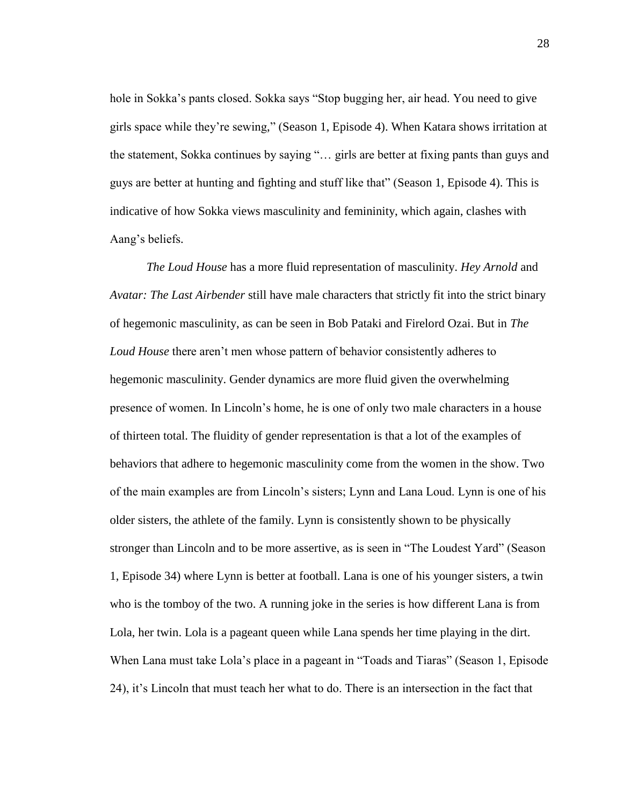hole in Sokka's pants closed. Sokka says "Stop bugging her, air head. You need to give girls space while they're sewing," (Season 1, Episode 4). When Katara shows irritation at the statement, Sokka continues by saying "… girls are better at fixing pants than guys and guys are better at hunting and fighting and stuff like that" (Season 1, Episode 4). This is indicative of how Sokka views masculinity and femininity, which again, clashes with Aang's beliefs.

*The Loud House* has a more fluid representation of masculinity. *Hey Arnold* and *Avatar: The Last Airbender* still have male characters that strictly fit into the strict binary of hegemonic masculinity, as can be seen in Bob Pataki and Firelord Ozai. But in *The Loud House* there aren't men whose pattern of behavior consistently adheres to hegemonic masculinity. Gender dynamics are more fluid given the overwhelming presence of women. In Lincoln's home, he is one of only two male characters in a house of thirteen total. The fluidity of gender representation is that a lot of the examples of behaviors that adhere to hegemonic masculinity come from the women in the show. Two of the main examples are from Lincoln's sisters; Lynn and Lana Loud. Lynn is one of his older sisters, the athlete of the family. Lynn is consistently shown to be physically stronger than Lincoln and to be more assertive, as is seen in "The Loudest Yard" (Season 1, Episode 34) where Lynn is better at football. Lana is one of his younger sisters, a twin who is the tomboy of the two. A running joke in the series is how different Lana is from Lola, her twin. Lola is a pageant queen while Lana spends her time playing in the dirt. When Lana must take Lola's place in a pageant in "Toads and Tiaras" (Season 1, Episode 24), it's Lincoln that must teach her what to do. There is an intersection in the fact that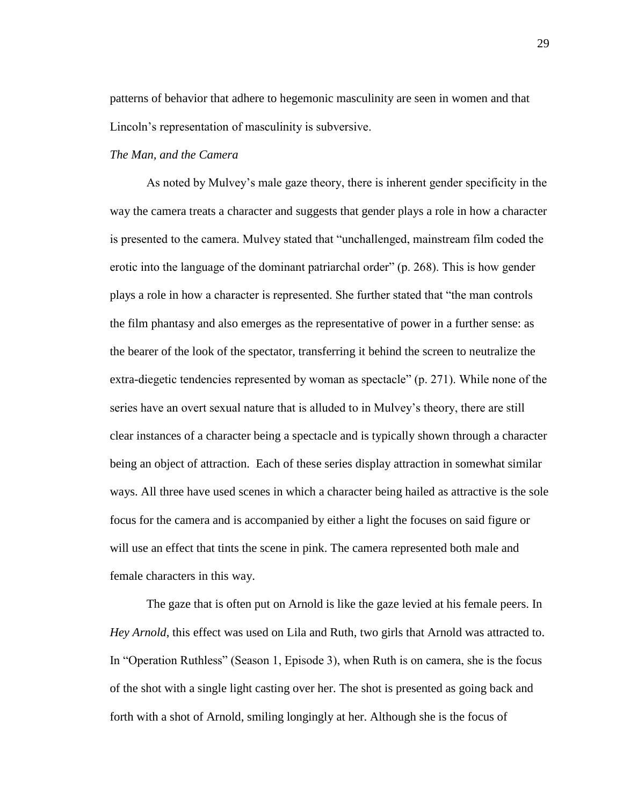patterns of behavior that adhere to hegemonic masculinity are seen in women and that Lincoln's representation of masculinity is subversive.

# *The Man, and the Camera*

As noted by Mulvey's male gaze theory, there is inherent gender specificity in the way the camera treats a character and suggests that gender plays a role in how a character is presented to the camera. Mulvey stated that "unchallenged, mainstream film coded the erotic into the language of the dominant patriarchal order" (p. 268). This is how gender plays a role in how a character is represented. She further stated that "the man controls the film phantasy and also emerges as the representative of power in a further sense: as the bearer of the look of the spectator, transferring it behind the screen to neutralize the extra-diegetic tendencies represented by woman as spectacle" (p. 271). While none of the series have an overt sexual nature that is alluded to in Mulvey's theory, there are still clear instances of a character being a spectacle and is typically shown through a character being an object of attraction. Each of these series display attraction in somewhat similar ways. All three have used scenes in which a character being hailed as attractive is the sole focus for the camera and is accompanied by either a light the focuses on said figure or will use an effect that tints the scene in pink. The camera represented both male and female characters in this way.

The gaze that is often put on Arnold is like the gaze levied at his female peers. In *Hey Arnold*, this effect was used on Lila and Ruth, two girls that Arnold was attracted to. In "Operation Ruthless" (Season 1, Episode 3), when Ruth is on camera, she is the focus of the shot with a single light casting over her. The shot is presented as going back and forth with a shot of Arnold, smiling longingly at her. Although she is the focus of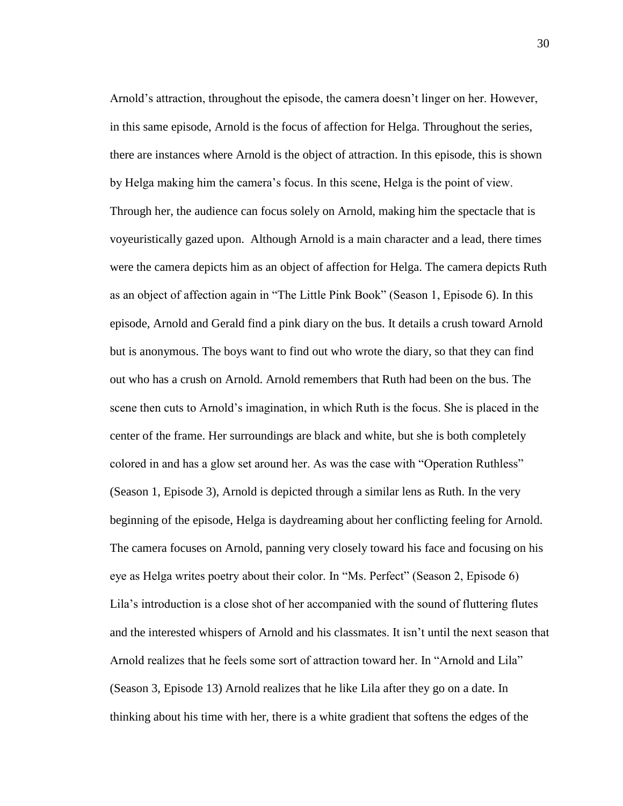Arnold's attraction, throughout the episode, the camera doesn't linger on her. However, in this same episode, Arnold is the focus of affection for Helga. Throughout the series, there are instances where Arnold is the object of attraction. In this episode, this is shown by Helga making him the camera's focus. In this scene, Helga is the point of view. Through her, the audience can focus solely on Arnold, making him the spectacle that is voyeuristically gazed upon. Although Arnold is a main character and a lead, there times were the camera depicts him as an object of affection for Helga. The camera depicts Ruth as an object of affection again in "The Little Pink Book" (Season 1, Episode 6). In this episode, Arnold and Gerald find a pink diary on the bus. It details a crush toward Arnold but is anonymous. The boys want to find out who wrote the diary, so that they can find out who has a crush on Arnold. Arnold remembers that Ruth had been on the bus. The scene then cuts to Arnold's imagination, in which Ruth is the focus. She is placed in the center of the frame. Her surroundings are black and white, but she is both completely colored in and has a glow set around her. As was the case with "Operation Ruthless" (Season 1, Episode 3), Arnold is depicted through a similar lens as Ruth. In the very beginning of the episode, Helga is daydreaming about her conflicting feeling for Arnold. The camera focuses on Arnold, panning very closely toward his face and focusing on his eye as Helga writes poetry about their color. In "Ms. Perfect" (Season 2, Episode 6) Lila's introduction is a close shot of her accompanied with the sound of fluttering flutes and the interested whispers of Arnold and his classmates. It isn't until the next season that Arnold realizes that he feels some sort of attraction toward her. In "Arnold and Lila" (Season 3, Episode 13) Arnold realizes that he like Lila after they go on a date. In thinking about his time with her, there is a white gradient that softens the edges of the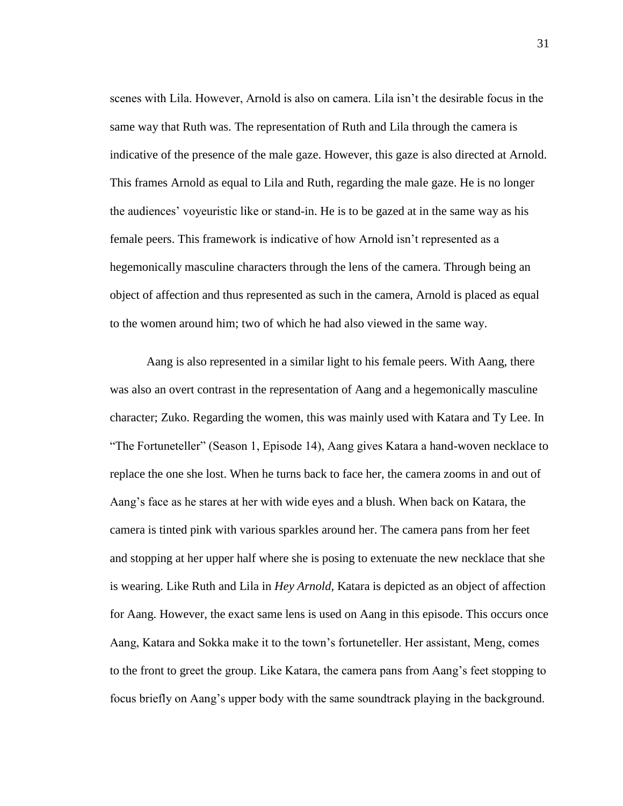scenes with Lila. However, Arnold is also on camera. Lila isn't the desirable focus in the same way that Ruth was. The representation of Ruth and Lila through the camera is indicative of the presence of the male gaze. However, this gaze is also directed at Arnold. This frames Arnold as equal to Lila and Ruth, regarding the male gaze. He is no longer the audiences' voyeuristic like or stand-in. He is to be gazed at in the same way as his female peers. This framework is indicative of how Arnold isn't represented as a hegemonically masculine characters through the lens of the camera. Through being an object of affection and thus represented as such in the camera, Arnold is placed as equal to the women around him; two of which he had also viewed in the same way.

Aang is also represented in a similar light to his female peers. With Aang, there was also an overt contrast in the representation of Aang and a hegemonically masculine character; Zuko. Regarding the women, this was mainly used with Katara and Ty Lee. In "The Fortuneteller" (Season 1, Episode 14), Aang gives Katara a hand-woven necklace to replace the one she lost. When he turns back to face her, the camera zooms in and out of Aang's face as he stares at her with wide eyes and a blush. When back on Katara, the camera is tinted pink with various sparkles around her. The camera pans from her feet and stopping at her upper half where she is posing to extenuate the new necklace that she is wearing. Like Ruth and Lila in *Hey Arnold*, Katara is depicted as an object of affection for Aang. However, the exact same lens is used on Aang in this episode. This occurs once Aang, Katara and Sokka make it to the town's fortuneteller. Her assistant, Meng, comes to the front to greet the group. Like Katara, the camera pans from Aang's feet stopping to focus briefly on Aang's upper body with the same soundtrack playing in the background.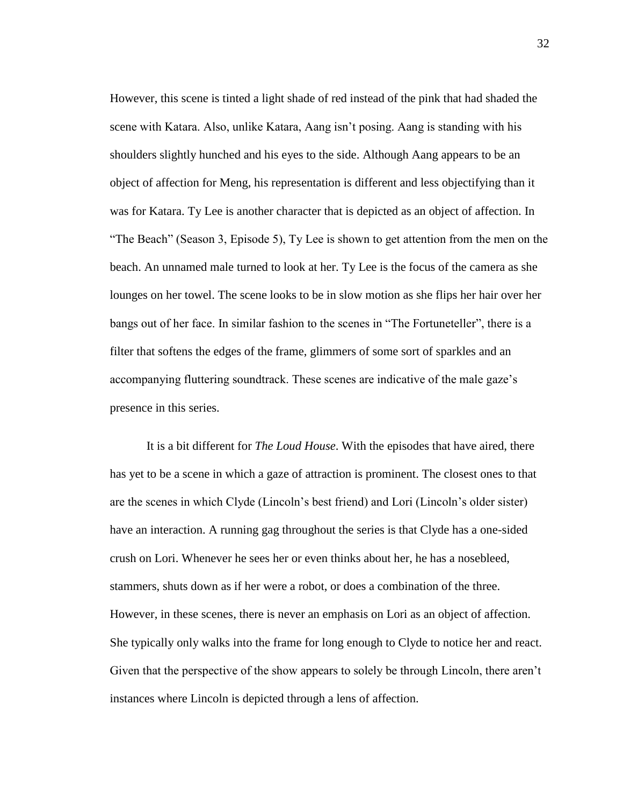However, this scene is tinted a light shade of red instead of the pink that had shaded the scene with Katara. Also, unlike Katara, Aang isn't posing. Aang is standing with his shoulders slightly hunched and his eyes to the side. Although Aang appears to be an object of affection for Meng, his representation is different and less objectifying than it was for Katara. Ty Lee is another character that is depicted as an object of affection. In "The Beach" (Season 3, Episode 5), Ty Lee is shown to get attention from the men on the beach. An unnamed male turned to look at her. Ty Lee is the focus of the camera as she lounges on her towel. The scene looks to be in slow motion as she flips her hair over her bangs out of her face. In similar fashion to the scenes in "The Fortuneteller", there is a filter that softens the edges of the frame, glimmers of some sort of sparkles and an accompanying fluttering soundtrack. These scenes are indicative of the male gaze's presence in this series.

It is a bit different for *The Loud House*. With the episodes that have aired, there has yet to be a scene in which a gaze of attraction is prominent. The closest ones to that are the scenes in which Clyde (Lincoln's best friend) and Lori (Lincoln's older sister) have an interaction. A running gag throughout the series is that Clyde has a one-sided crush on Lori. Whenever he sees her or even thinks about her, he has a nosebleed, stammers, shuts down as if her were a robot, or does a combination of the three. However, in these scenes, there is never an emphasis on Lori as an object of affection. She typically only walks into the frame for long enough to Clyde to notice her and react. Given that the perspective of the show appears to solely be through Lincoln, there aren't instances where Lincoln is depicted through a lens of affection.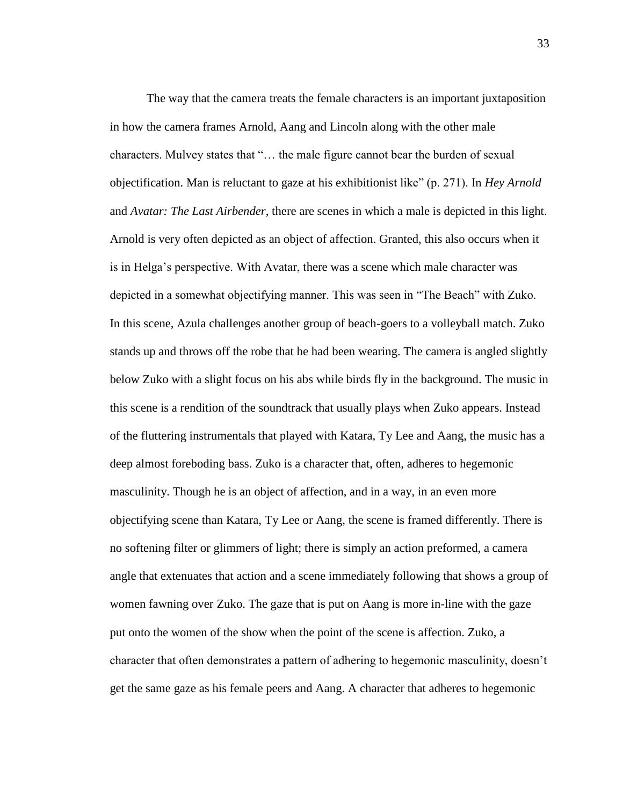The way that the camera treats the female characters is an important juxtaposition in how the camera frames Arnold, Aang and Lincoln along with the other male characters. Mulvey states that "… the male figure cannot bear the burden of sexual objectification. Man is reluctant to gaze at his exhibitionist like" (p. 271). In *Hey Arnold*  and *Avatar: The Last Airbender*, there are scenes in which a male is depicted in this light. Arnold is very often depicted as an object of affection. Granted, this also occurs when it is in Helga's perspective. With Avatar, there was a scene which male character was depicted in a somewhat objectifying manner. This was seen in "The Beach" with Zuko. In this scene, Azula challenges another group of beach-goers to a volleyball match. Zuko stands up and throws off the robe that he had been wearing. The camera is angled slightly below Zuko with a slight focus on his abs while birds fly in the background. The music in this scene is a rendition of the soundtrack that usually plays when Zuko appears. Instead of the fluttering instrumentals that played with Katara, Ty Lee and Aang, the music has a deep almost foreboding bass. Zuko is a character that, often, adheres to hegemonic masculinity. Though he is an object of affection, and in a way, in an even more objectifying scene than Katara, Ty Lee or Aang, the scene is framed differently. There is no softening filter or glimmers of light; there is simply an action preformed, a camera angle that extenuates that action and a scene immediately following that shows a group of women fawning over Zuko. The gaze that is put on Aang is more in-line with the gaze put onto the women of the show when the point of the scene is affection. Zuko, a character that often demonstrates a pattern of adhering to hegemonic masculinity, doesn't get the same gaze as his female peers and Aang. A character that adheres to hegemonic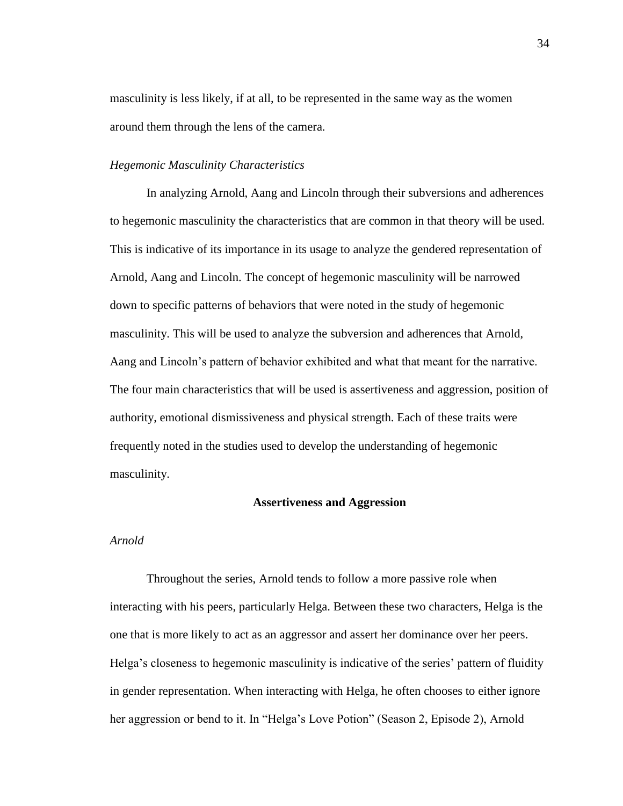masculinity is less likely, if at all, to be represented in the same way as the women around them through the lens of the camera.

# *Hegemonic Masculinity Characteristics*

In analyzing Arnold, Aang and Lincoln through their subversions and adherences to hegemonic masculinity the characteristics that are common in that theory will be used. This is indicative of its importance in its usage to analyze the gendered representation of Arnold, Aang and Lincoln. The concept of hegemonic masculinity will be narrowed down to specific patterns of behaviors that were noted in the study of hegemonic masculinity. This will be used to analyze the subversion and adherences that Arnold, Aang and Lincoln's pattern of behavior exhibited and what that meant for the narrative. The four main characteristics that will be used is assertiveness and aggression, position of authority, emotional dismissiveness and physical strength. Each of these traits were frequently noted in the studies used to develop the understanding of hegemonic masculinity.

# **Assertiveness and Aggression**

# *Arnold*

Throughout the series, Arnold tends to follow a more passive role when interacting with his peers, particularly Helga. Between these two characters, Helga is the one that is more likely to act as an aggressor and assert her dominance over her peers. Helga's closeness to hegemonic masculinity is indicative of the series' pattern of fluidity in gender representation. When interacting with Helga, he often chooses to either ignore her aggression or bend to it. In "Helga's Love Potion" (Season 2, Episode 2), Arnold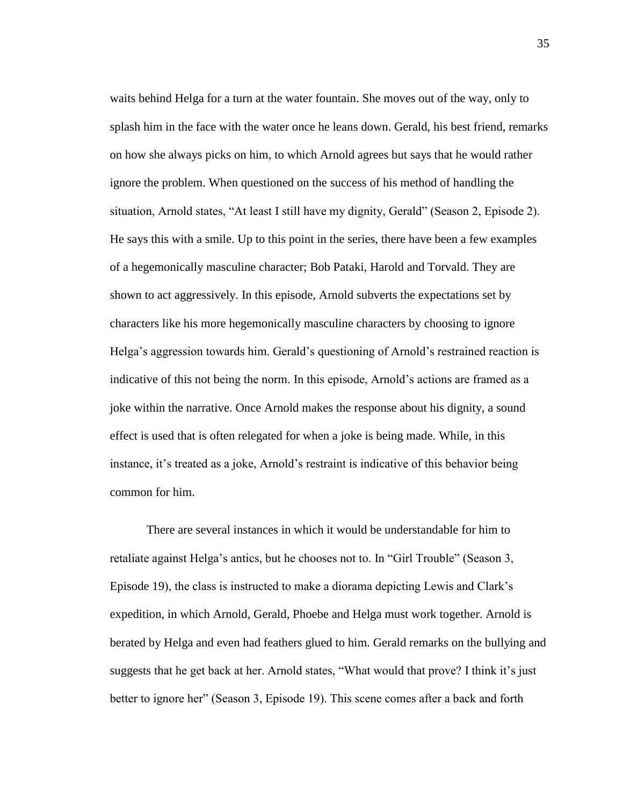waits behind Helga for a turn at the water fountain. She moves out of the way, only to splash him in the face with the water once he leans down. Gerald, his best friend, remarks on how she always picks on him, to which Arnold agrees but says that he would rather ignore the problem. When questioned on the success of his method of handling the situation, Arnold states, "At least I still have my dignity, Gerald" (Season 2, Episode 2). He says this with a smile. Up to this point in the series, there have been a few examples of a hegemonically masculine character; Bob Pataki, Harold and Torvald. They are shown to act aggressively. In this episode, Arnold subverts the expectations set by characters like his more hegemonically masculine characters by choosing to ignore Helga's aggression towards him. Gerald's questioning of Arnold's restrained reaction is indicative of this not being the norm. In this episode, Arnold's actions are framed as a joke within the narrative. Once Arnold makes the response about his dignity, a sound effect is used that is often relegated for when a joke is being made. While, in this instance, it's treated as a joke, Arnold's restraint is indicative of this behavior being common for him.

There are several instances in which it would be understandable for him to retaliate against Helga's antics, but he chooses not to. In "Girl Trouble" (Season 3, Episode 19), the class is instructed to make a diorama depicting Lewis and Clark's expedition, in which Arnold, Gerald, Phoebe and Helga must work together. Arnold is berated by Helga and even had feathers glued to him. Gerald remarks on the bullying and suggests that he get back at her. Arnold states, "What would that prove? I think it's just better to ignore her" (Season 3, Episode 19). This scene comes after a back and forth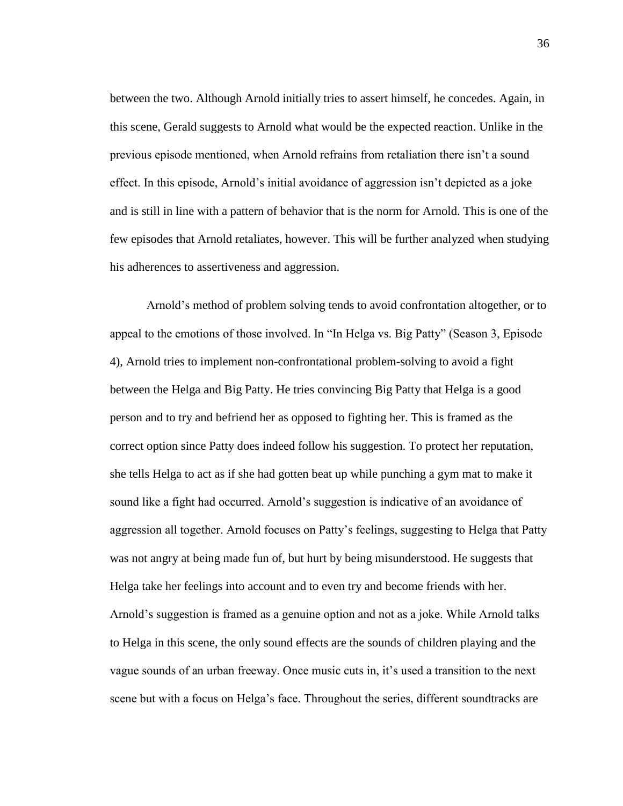between the two. Although Arnold initially tries to assert himself, he concedes. Again, in this scene, Gerald suggests to Arnold what would be the expected reaction. Unlike in the previous episode mentioned, when Arnold refrains from retaliation there isn't a sound effect. In this episode, Arnold's initial avoidance of aggression isn't depicted as a joke and is still in line with a pattern of behavior that is the norm for Arnold. This is one of the few episodes that Arnold retaliates, however. This will be further analyzed when studying his adherences to assertiveness and aggression.

Arnold's method of problem solving tends to avoid confrontation altogether, or to appeal to the emotions of those involved. In "In Helga vs. Big Patty" (Season 3, Episode 4), Arnold tries to implement non-confrontational problem-solving to avoid a fight between the Helga and Big Patty. He tries convincing Big Patty that Helga is a good person and to try and befriend her as opposed to fighting her. This is framed as the correct option since Patty does indeed follow his suggestion. To protect her reputation, she tells Helga to act as if she had gotten beat up while punching a gym mat to make it sound like a fight had occurred. Arnold's suggestion is indicative of an avoidance of aggression all together. Arnold focuses on Patty's feelings, suggesting to Helga that Patty was not angry at being made fun of, but hurt by being misunderstood. He suggests that Helga take her feelings into account and to even try and become friends with her. Arnold's suggestion is framed as a genuine option and not as a joke. While Arnold talks to Helga in this scene, the only sound effects are the sounds of children playing and the vague sounds of an urban freeway. Once music cuts in, it's used a transition to the next scene but with a focus on Helga's face. Throughout the series, different soundtracks are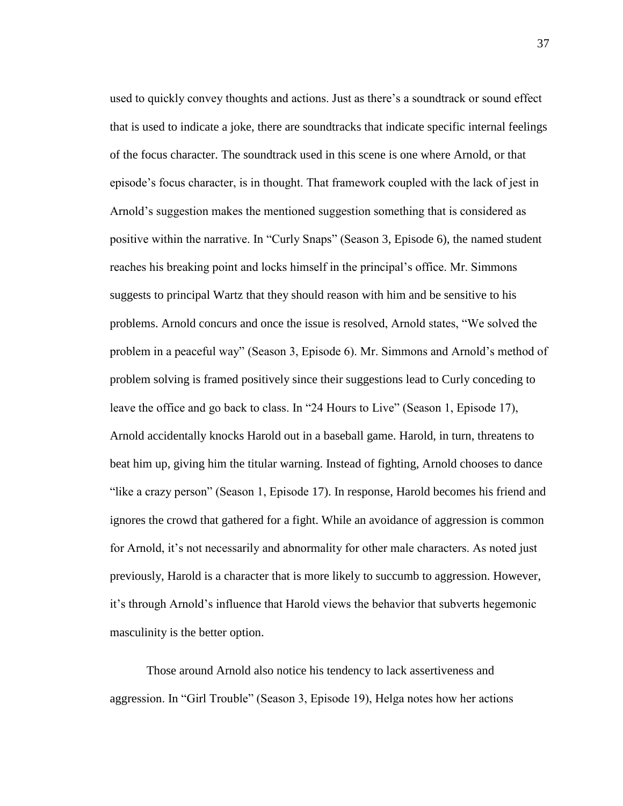used to quickly convey thoughts and actions. Just as there's a soundtrack or sound effect that is used to indicate a joke, there are soundtracks that indicate specific internal feelings of the focus character. The soundtrack used in this scene is one where Arnold, or that episode's focus character, is in thought. That framework coupled with the lack of jest in Arnold's suggestion makes the mentioned suggestion something that is considered as positive within the narrative. In "Curly Snaps" (Season 3, Episode 6), the named student reaches his breaking point and locks himself in the principal's office. Mr. Simmons suggests to principal Wartz that they should reason with him and be sensitive to his problems. Arnold concurs and once the issue is resolved, Arnold states, "We solved the problem in a peaceful way" (Season 3, Episode 6). Mr. Simmons and Arnold's method of problem solving is framed positively since their suggestions lead to Curly conceding to leave the office and go back to class. In "24 Hours to Live" (Season 1, Episode 17), Arnold accidentally knocks Harold out in a baseball game. Harold, in turn, threatens to beat him up, giving him the titular warning. Instead of fighting, Arnold chooses to dance "like a crazy person" (Season 1, Episode 17). In response, Harold becomes his friend and ignores the crowd that gathered for a fight. While an avoidance of aggression is common for Arnold, it's not necessarily and abnormality for other male characters. As noted just previously, Harold is a character that is more likely to succumb to aggression. However, it's through Arnold's influence that Harold views the behavior that subverts hegemonic masculinity is the better option.

Those around Arnold also notice his tendency to lack assertiveness and aggression. In "Girl Trouble" (Season 3, Episode 19), Helga notes how her actions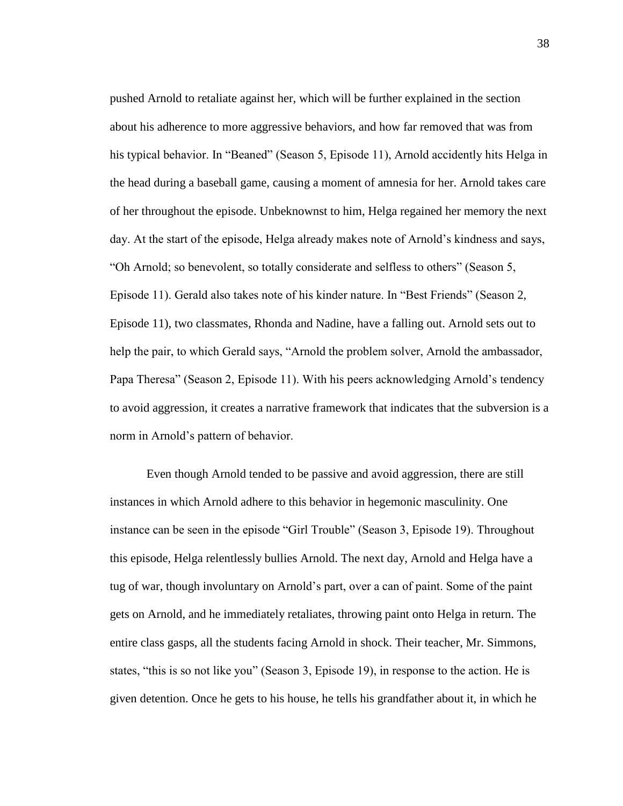pushed Arnold to retaliate against her, which will be further explained in the section about his adherence to more aggressive behaviors, and how far removed that was from his typical behavior. In "Beaned" (Season 5, Episode 11), Arnold accidently hits Helga in the head during a baseball game, causing a moment of amnesia for her. Arnold takes care of her throughout the episode. Unbeknownst to him, Helga regained her memory the next day. At the start of the episode, Helga already makes note of Arnold's kindness and says, "Oh Arnold; so benevolent, so totally considerate and selfless to others" (Season 5, Episode 11). Gerald also takes note of his kinder nature. In "Best Friends" (Season 2, Episode 11), two classmates, Rhonda and Nadine, have a falling out. Arnold sets out to help the pair, to which Gerald says, "Arnold the problem solver, Arnold the ambassador, Papa Theresa" (Season 2, Episode 11). With his peers acknowledging Arnold's tendency to avoid aggression, it creates a narrative framework that indicates that the subversion is a norm in Arnold's pattern of behavior.

Even though Arnold tended to be passive and avoid aggression, there are still instances in which Arnold adhere to this behavior in hegemonic masculinity. One instance can be seen in the episode "Girl Trouble" (Season 3, Episode 19). Throughout this episode, Helga relentlessly bullies Arnold. The next day, Arnold and Helga have a tug of war, though involuntary on Arnold's part, over a can of paint. Some of the paint gets on Arnold, and he immediately retaliates, throwing paint onto Helga in return. The entire class gasps, all the students facing Arnold in shock. Their teacher, Mr. Simmons, states, "this is so not like you" (Season 3, Episode 19), in response to the action. He is given detention. Once he gets to his house, he tells his grandfather about it, in which he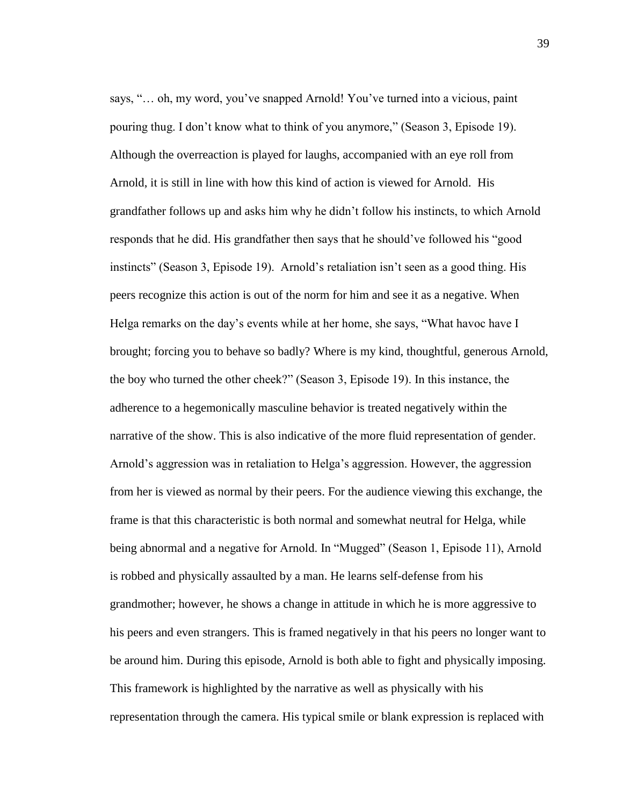says, "… oh, my word, you've snapped Arnold! You've turned into a vicious, paint pouring thug. I don't know what to think of you anymore," (Season 3, Episode 19). Although the overreaction is played for laughs, accompanied with an eye roll from Arnold, it is still in line with how this kind of action is viewed for Arnold. His grandfather follows up and asks him why he didn't follow his instincts, to which Arnold responds that he did. His grandfather then says that he should've followed his "good instincts" (Season 3, Episode 19). Arnold's retaliation isn't seen as a good thing. His peers recognize this action is out of the norm for him and see it as a negative. When Helga remarks on the day's events while at her home, she says, "What havoc have I brought; forcing you to behave so badly? Where is my kind, thoughtful, generous Arnold, the boy who turned the other cheek?" (Season 3, Episode 19). In this instance, the adherence to a hegemonically masculine behavior is treated negatively within the narrative of the show. This is also indicative of the more fluid representation of gender. Arnold's aggression was in retaliation to Helga's aggression. However, the aggression from her is viewed as normal by their peers. For the audience viewing this exchange, the frame is that this characteristic is both normal and somewhat neutral for Helga, while being abnormal and a negative for Arnold. In "Mugged" (Season 1, Episode 11), Arnold is robbed and physically assaulted by a man. He learns self-defense from his grandmother; however, he shows a change in attitude in which he is more aggressive to his peers and even strangers. This is framed negatively in that his peers no longer want to be around him. During this episode, Arnold is both able to fight and physically imposing. This framework is highlighted by the narrative as well as physically with his representation through the camera. His typical smile or blank expression is replaced with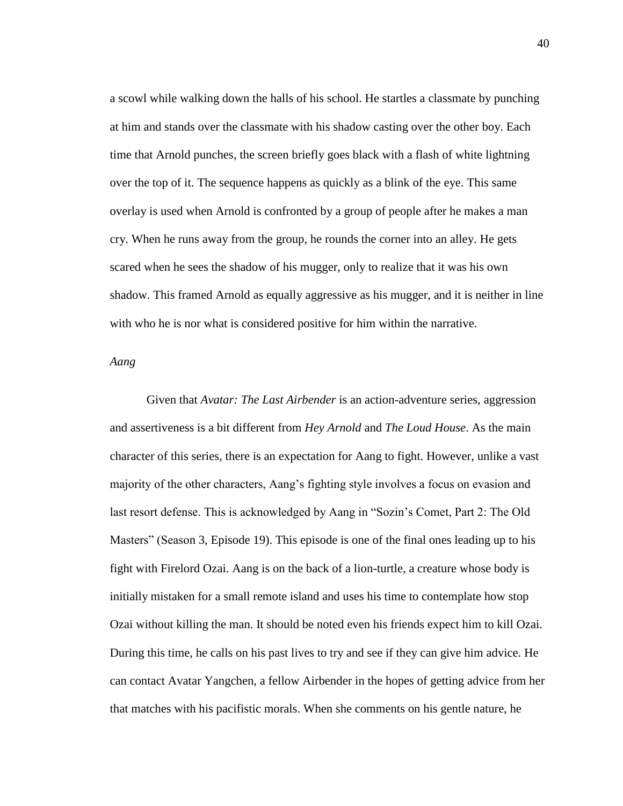a scowl while walking down the halls of his school. He startles a classmate by punching at him and stands over the classmate with his shadow casting over the other boy. Each time that Arnold punches, the screen briefly goes black with a flash of white lightning over the top of it. The sequence happens as quickly as a blink of the eye. This same overlay is used when Arnold is confronted by a group of people after he makes a man cry. When he runs away from the group, he rounds the corner into an alley. He gets scared when he sees the shadow of his mugger, only to realize that it was his own shadow. This framed Arnold as equally aggressive as his mugger, and it is neither in line with who he is nor what is considered positive for him within the narrative.

### *Aang*

Given that *Avatar: The Last Airbender* is an action-adventure series, aggression and assertiveness is a bit different from *Hey Arnold* and *The Loud House*. As the main character of this series, there is an expectation for Aang to fight. However, unlike a vast majority of the other characters, Aang's fighting style involves a focus on evasion and last resort defense. This is acknowledged by Aang in "Sozin's Comet, Part 2: The Old Masters" (Season 3, Episode 19). This episode is one of the final ones leading up to his fight with Firelord Ozai. Aang is on the back of a lion-turtle, a creature whose body is initially mistaken for a small remote island and uses his time to contemplate how stop Ozai without killing the man. It should be noted even his friends expect him to kill Ozai. During this time, he calls on his past lives to try and see if they can give him advice. He can contact Avatar Yangchen, a fellow Airbender in the hopes of getting advice from her that matches with his pacifistic morals. When she comments on his gentle nature, he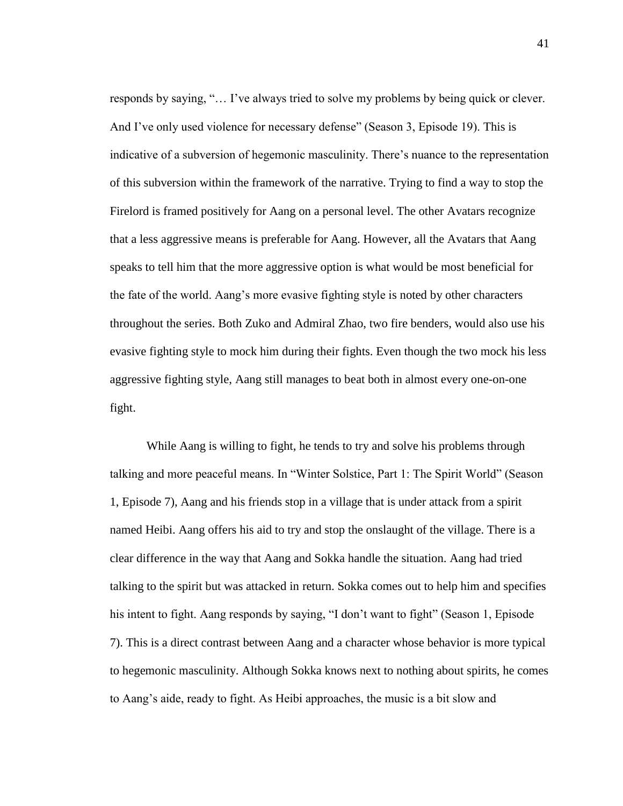responds by saying, "… I've always tried to solve my problems by being quick or clever. And I've only used violence for necessary defense" (Season 3, Episode 19). This is indicative of a subversion of hegemonic masculinity. There's nuance to the representation of this subversion within the framework of the narrative. Trying to find a way to stop the Firelord is framed positively for Aang on a personal level. The other Avatars recognize that a less aggressive means is preferable for Aang. However, all the Avatars that Aang speaks to tell him that the more aggressive option is what would be most beneficial for the fate of the world. Aang's more evasive fighting style is noted by other characters throughout the series. Both Zuko and Admiral Zhao, two fire benders, would also use his evasive fighting style to mock him during their fights. Even though the two mock his less aggressive fighting style, Aang still manages to beat both in almost every one-on-one fight.

While Aang is willing to fight, he tends to try and solve his problems through talking and more peaceful means. In "Winter Solstice, Part 1: The Spirit World" (Season 1, Episode 7), Aang and his friends stop in a village that is under attack from a spirit named Heibi. Aang offers his aid to try and stop the onslaught of the village. There is a clear difference in the way that Aang and Sokka handle the situation. Aang had tried talking to the spirit but was attacked in return. Sokka comes out to help him and specifies his intent to fight. Aang responds by saying, "I don't want to fight" (Season 1, Episode 7). This is a direct contrast between Aang and a character whose behavior is more typical to hegemonic masculinity. Although Sokka knows next to nothing about spirits, he comes to Aang's aide, ready to fight. As Heibi approaches, the music is a bit slow and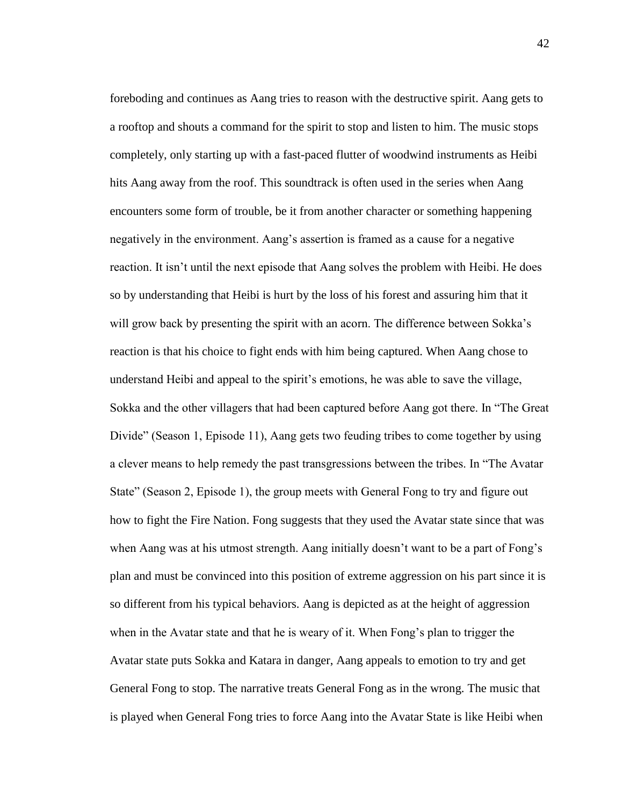foreboding and continues as Aang tries to reason with the destructive spirit. Aang gets to a rooftop and shouts a command for the spirit to stop and listen to him. The music stops completely, only starting up with a fast-paced flutter of woodwind instruments as Heibi hits Aang away from the roof. This soundtrack is often used in the series when Aang encounters some form of trouble, be it from another character or something happening negatively in the environment. Aang's assertion is framed as a cause for a negative reaction. It isn't until the next episode that Aang solves the problem with Heibi. He does so by understanding that Heibi is hurt by the loss of his forest and assuring him that it will grow back by presenting the spirit with an acorn. The difference between Sokka's reaction is that his choice to fight ends with him being captured. When Aang chose to understand Heibi and appeal to the spirit's emotions, he was able to save the village, Sokka and the other villagers that had been captured before Aang got there. In "The Great Divide" (Season 1, Episode 11), Aang gets two feuding tribes to come together by using a clever means to help remedy the past transgressions between the tribes. In "The Avatar State" (Season 2, Episode 1), the group meets with General Fong to try and figure out how to fight the Fire Nation. Fong suggests that they used the Avatar state since that was when Aang was at his utmost strength. Aang initially doesn't want to be a part of Fong's plan and must be convinced into this position of extreme aggression on his part since it is so different from his typical behaviors. Aang is depicted as at the height of aggression when in the Avatar state and that he is weary of it. When Fong's plan to trigger the Avatar state puts Sokka and Katara in danger, Aang appeals to emotion to try and get General Fong to stop. The narrative treats General Fong as in the wrong. The music that is played when General Fong tries to force Aang into the Avatar State is like Heibi when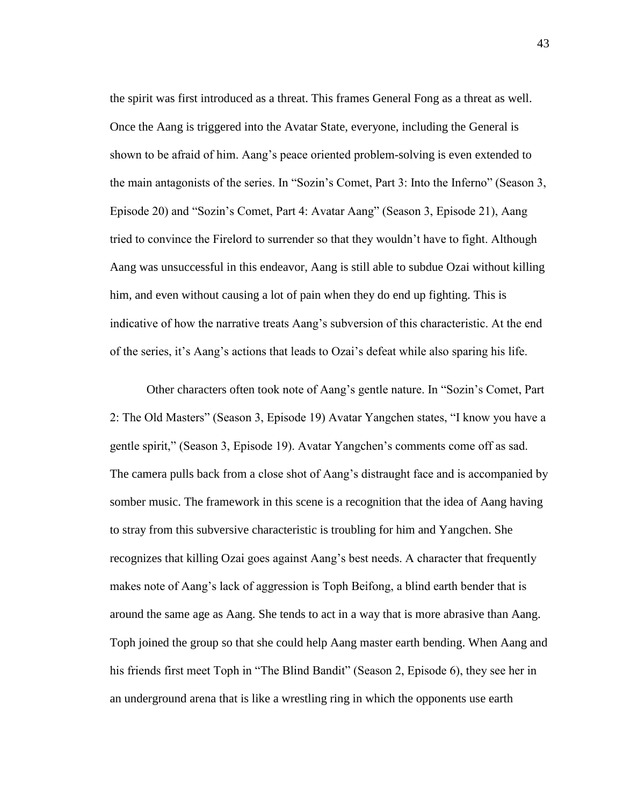the spirit was first introduced as a threat. This frames General Fong as a threat as well. Once the Aang is triggered into the Avatar State, everyone, including the General is shown to be afraid of him. Aang's peace oriented problem-solving is even extended to the main antagonists of the series. In "Sozin's Comet, Part 3: Into the Inferno" (Season 3, Episode 20) and "Sozin's Comet, Part 4: Avatar Aang" (Season 3, Episode 21), Aang tried to convince the Firelord to surrender so that they wouldn't have to fight. Although Aang was unsuccessful in this endeavor, Aang is still able to subdue Ozai without killing him, and even without causing a lot of pain when they do end up fighting. This is indicative of how the narrative treats Aang's subversion of this characteristic. At the end of the series, it's Aang's actions that leads to Ozai's defeat while also sparing his life.

Other characters often took note of Aang's gentle nature. In "Sozin's Comet, Part 2: The Old Masters" (Season 3, Episode 19) Avatar Yangchen states, "I know you have a gentle spirit," (Season 3, Episode 19). Avatar Yangchen's comments come off as sad. The camera pulls back from a close shot of Aang's distraught face and is accompanied by somber music. The framework in this scene is a recognition that the idea of Aang having to stray from this subversive characteristic is troubling for him and Yangchen. She recognizes that killing Ozai goes against Aang's best needs. A character that frequently makes note of Aang's lack of aggression is Toph Beifong, a blind earth bender that is around the same age as Aang. She tends to act in a way that is more abrasive than Aang. Toph joined the group so that she could help Aang master earth bending. When Aang and his friends first meet Toph in "The Blind Bandit" (Season 2, Episode 6), they see her in an underground arena that is like a wrestling ring in which the opponents use earth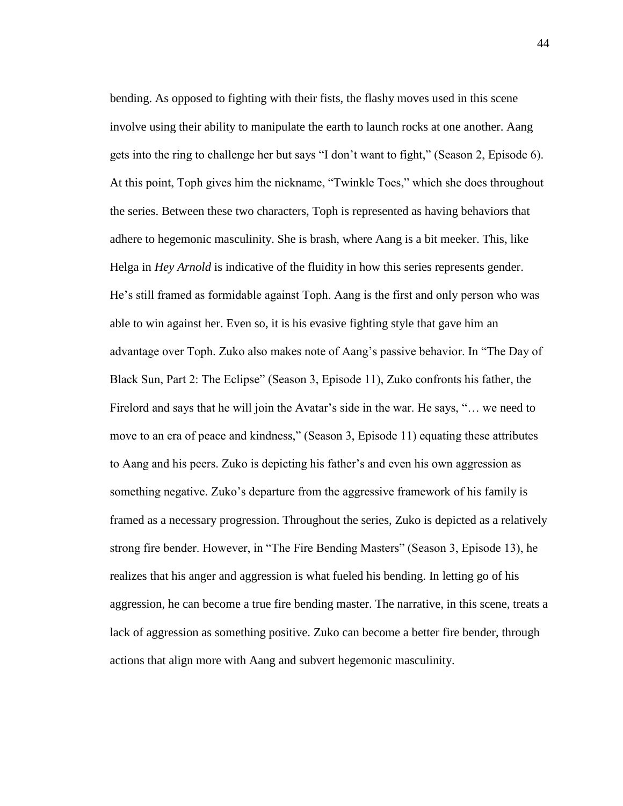bending. As opposed to fighting with their fists, the flashy moves used in this scene involve using their ability to manipulate the earth to launch rocks at one another. Aang gets into the ring to challenge her but says "I don't want to fight," (Season 2, Episode 6). At this point, Toph gives him the nickname, "Twinkle Toes," which she does throughout the series. Between these two characters, Toph is represented as having behaviors that adhere to hegemonic masculinity. She is brash, where Aang is a bit meeker. This, like Helga in *Hey Arnold* is indicative of the fluidity in how this series represents gender. He's still framed as formidable against Toph. Aang is the first and only person who was able to win against her. Even so, it is his evasive fighting style that gave him an advantage over Toph. Zuko also makes note of Aang's passive behavior. In "The Day of Black Sun, Part 2: The Eclipse" (Season 3, Episode 11), Zuko confronts his father, the Firelord and says that he will join the Avatar's side in the war. He says, "… we need to move to an era of peace and kindness," (Season 3, Episode 11) equating these attributes to Aang and his peers. Zuko is depicting his father's and even his own aggression as something negative. Zuko's departure from the aggressive framework of his family is framed as a necessary progression. Throughout the series, Zuko is depicted as a relatively strong fire bender. However, in "The Fire Bending Masters" (Season 3, Episode 13), he realizes that his anger and aggression is what fueled his bending. In letting go of his aggression, he can become a true fire bending master. The narrative, in this scene, treats a lack of aggression as something positive. Zuko can become a better fire bender, through actions that align more with Aang and subvert hegemonic masculinity.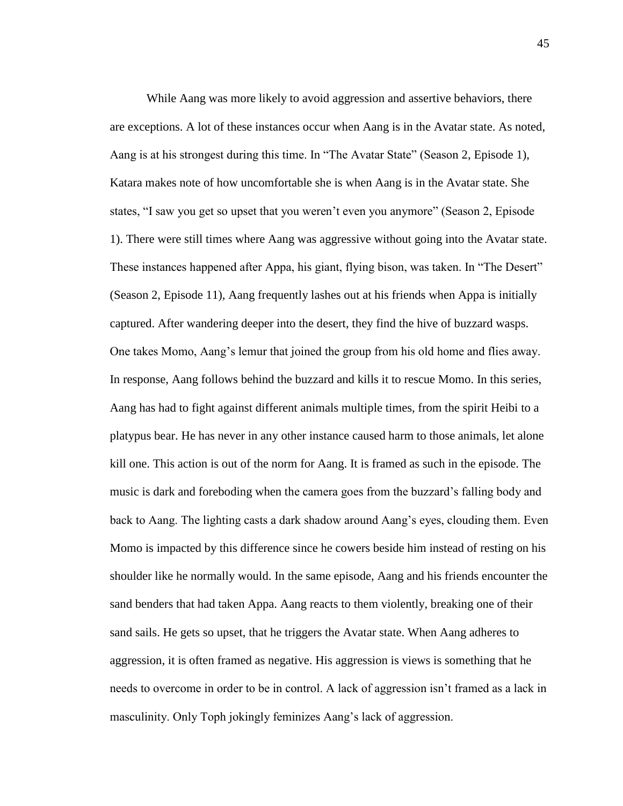While Aang was more likely to avoid aggression and assertive behaviors, there are exceptions. A lot of these instances occur when Aang is in the Avatar state. As noted, Aang is at his strongest during this time. In "The Avatar State" (Season 2, Episode 1), Katara makes note of how uncomfortable she is when Aang is in the Avatar state. She states, "I saw you get so upset that you weren't even you anymore" (Season 2, Episode 1). There were still times where Aang was aggressive without going into the Avatar state. These instances happened after Appa, his giant, flying bison, was taken. In "The Desert" (Season 2, Episode 11), Aang frequently lashes out at his friends when Appa is initially captured. After wandering deeper into the desert, they find the hive of buzzard wasps. One takes Momo, Aang's lemur that joined the group from his old home and flies away. In response, Aang follows behind the buzzard and kills it to rescue Momo. In this series, Aang has had to fight against different animals multiple times, from the spirit Heibi to a platypus bear. He has never in any other instance caused harm to those animals, let alone kill one. This action is out of the norm for Aang. It is framed as such in the episode. The music is dark and foreboding when the camera goes from the buzzard's falling body and back to Aang. The lighting casts a dark shadow around Aang's eyes, clouding them. Even Momo is impacted by this difference since he cowers beside him instead of resting on his shoulder like he normally would. In the same episode, Aang and his friends encounter the sand benders that had taken Appa. Aang reacts to them violently, breaking one of their sand sails. He gets so upset, that he triggers the Avatar state. When Aang adheres to aggression, it is often framed as negative. His aggression is views is something that he needs to overcome in order to be in control. A lack of aggression isn't framed as a lack in masculinity. Only Toph jokingly feminizes Aang's lack of aggression.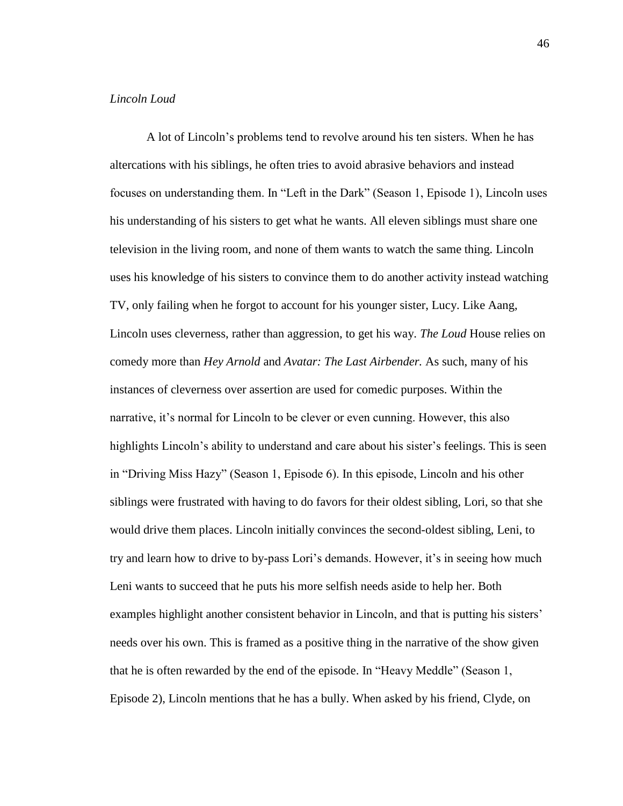# *Lincoln Loud*

A lot of Lincoln's problems tend to revolve around his ten sisters. When he has altercations with his siblings, he often tries to avoid abrasive behaviors and instead focuses on understanding them. In "Left in the Dark" (Season 1, Episode 1), Lincoln uses his understanding of his sisters to get what he wants. All eleven siblings must share one television in the living room, and none of them wants to watch the same thing. Lincoln uses his knowledge of his sisters to convince them to do another activity instead watching TV, only failing when he forgot to account for his younger sister, Lucy. Like Aang, Lincoln uses cleverness, rather than aggression, to get his way. *The Loud* House relies on comedy more than *Hey Arnold* and *Avatar: The Last Airbender.* As such, many of his instances of cleverness over assertion are used for comedic purposes. Within the narrative, it's normal for Lincoln to be clever or even cunning. However, this also highlights Lincoln's ability to understand and care about his sister's feelings. This is seen in "Driving Miss Hazy" (Season 1, Episode 6). In this episode, Lincoln and his other siblings were frustrated with having to do favors for their oldest sibling, Lori, so that she would drive them places. Lincoln initially convinces the second-oldest sibling, Leni, to try and learn how to drive to by-pass Lori's demands. However, it's in seeing how much Leni wants to succeed that he puts his more selfish needs aside to help her. Both examples highlight another consistent behavior in Lincoln, and that is putting his sisters' needs over his own. This is framed as a positive thing in the narrative of the show given that he is often rewarded by the end of the episode. In "Heavy Meddle" (Season 1, Episode 2), Lincoln mentions that he has a bully. When asked by his friend, Clyde, on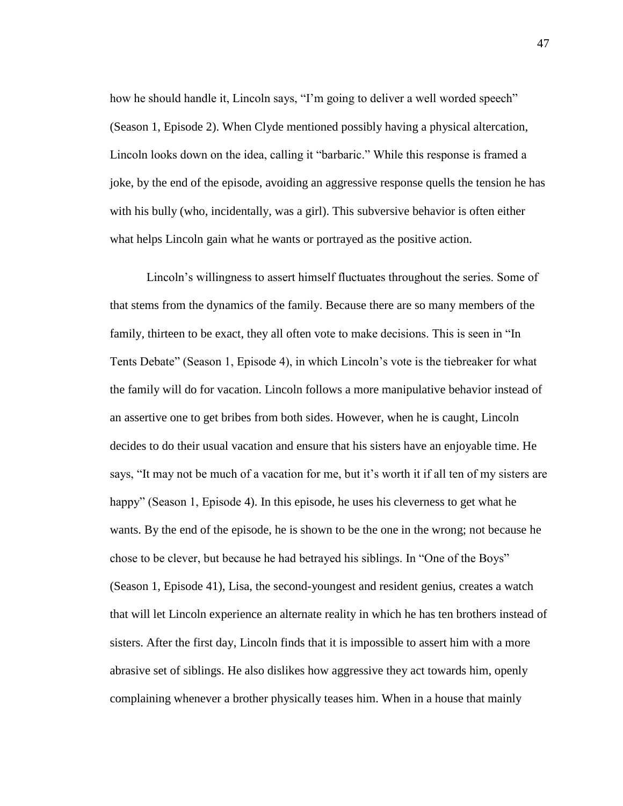how he should handle it, Lincoln says, "I'm going to deliver a well worded speech" (Season 1, Episode 2). When Clyde mentioned possibly having a physical altercation, Lincoln looks down on the idea, calling it "barbaric." While this response is framed a joke, by the end of the episode, avoiding an aggressive response quells the tension he has with his bully (who, incidentally, was a girl). This subversive behavior is often either what helps Lincoln gain what he wants or portrayed as the positive action.

Lincoln's willingness to assert himself fluctuates throughout the series. Some of that stems from the dynamics of the family. Because there are so many members of the family, thirteen to be exact, they all often vote to make decisions. This is seen in "In Tents Debate" (Season 1, Episode 4), in which Lincoln's vote is the tiebreaker for what the family will do for vacation. Lincoln follows a more manipulative behavior instead of an assertive one to get bribes from both sides. However, when he is caught, Lincoln decides to do their usual vacation and ensure that his sisters have an enjoyable time. He says, "It may not be much of a vacation for me, but it's worth it if all ten of my sisters are happy" (Season 1, Episode 4). In this episode, he uses his cleverness to get what he wants. By the end of the episode, he is shown to be the one in the wrong; not because he chose to be clever, but because he had betrayed his siblings. In "One of the Boys" (Season 1, Episode 41), Lisa, the second-youngest and resident genius, creates a watch that will let Lincoln experience an alternate reality in which he has ten brothers instead of sisters. After the first day, Lincoln finds that it is impossible to assert him with a more abrasive set of siblings. He also dislikes how aggressive they act towards him, openly complaining whenever a brother physically teases him. When in a house that mainly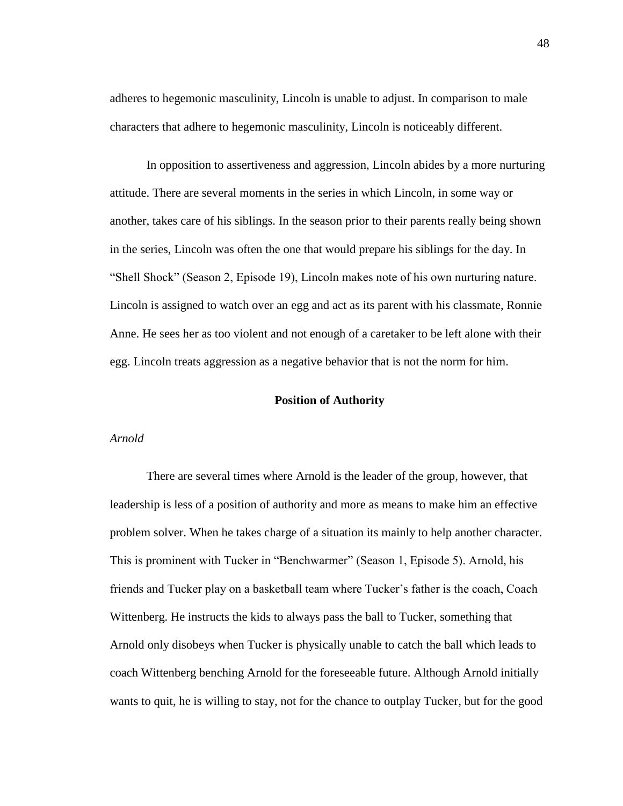adheres to hegemonic masculinity, Lincoln is unable to adjust. In comparison to male characters that adhere to hegemonic masculinity, Lincoln is noticeably different.

In opposition to assertiveness and aggression, Lincoln abides by a more nurturing attitude. There are several moments in the series in which Lincoln, in some way or another, takes care of his siblings. In the season prior to their parents really being shown in the series, Lincoln was often the one that would prepare his siblings for the day. In "Shell Shock" (Season 2, Episode 19), Lincoln makes note of his own nurturing nature. Lincoln is assigned to watch over an egg and act as its parent with his classmate, Ronnie Anne. He sees her as too violent and not enough of a caretaker to be left alone with their egg. Lincoln treats aggression as a negative behavior that is not the norm for him.

# **Position of Authority**

### *Arnold*

There are several times where Arnold is the leader of the group, however, that leadership is less of a position of authority and more as means to make him an effective problem solver. When he takes charge of a situation its mainly to help another character. This is prominent with Tucker in "Benchwarmer" (Season 1, Episode 5). Arnold, his friends and Tucker play on a basketball team where Tucker's father is the coach, Coach Wittenberg. He instructs the kids to always pass the ball to Tucker, something that Arnold only disobeys when Tucker is physically unable to catch the ball which leads to coach Wittenberg benching Arnold for the foreseeable future. Although Arnold initially wants to quit, he is willing to stay, not for the chance to outplay Tucker, but for the good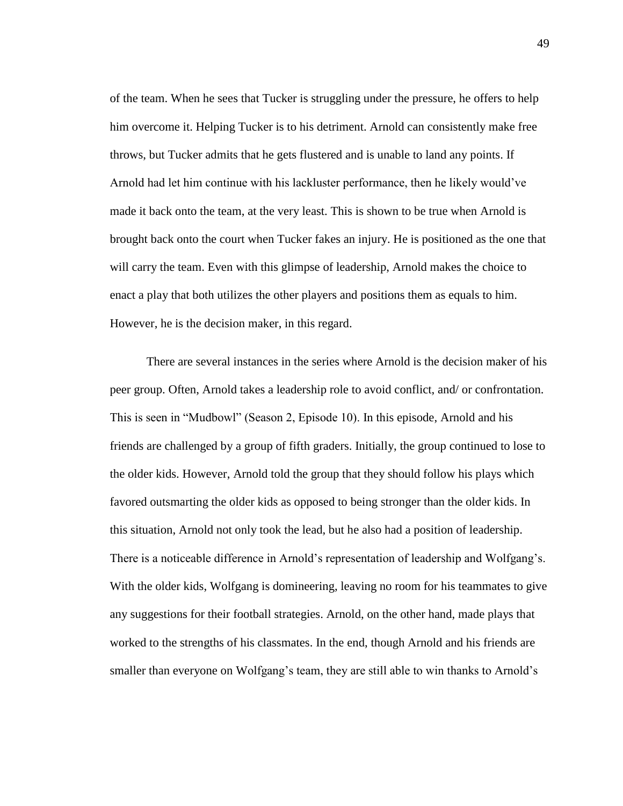of the team. When he sees that Tucker is struggling under the pressure, he offers to help him overcome it. Helping Tucker is to his detriment. Arnold can consistently make free throws, but Tucker admits that he gets flustered and is unable to land any points. If Arnold had let him continue with his lackluster performance, then he likely would've made it back onto the team, at the very least. This is shown to be true when Arnold is brought back onto the court when Tucker fakes an injury. He is positioned as the one that will carry the team. Even with this glimpse of leadership, Arnold makes the choice to enact a play that both utilizes the other players and positions them as equals to him. However, he is the decision maker, in this regard.

There are several instances in the series where Arnold is the decision maker of his peer group. Often, Arnold takes a leadership role to avoid conflict, and/ or confrontation. This is seen in "Mudbowl" (Season 2, Episode 10). In this episode, Arnold and his friends are challenged by a group of fifth graders. Initially, the group continued to lose to the older kids. However, Arnold told the group that they should follow his plays which favored outsmarting the older kids as opposed to being stronger than the older kids. In this situation, Arnold not only took the lead, but he also had a position of leadership. There is a noticeable difference in Arnold's representation of leadership and Wolfgang's. With the older kids, Wolfgang is domineering, leaving no room for his teammates to give any suggestions for their football strategies. Arnold, on the other hand, made plays that worked to the strengths of his classmates. In the end, though Arnold and his friends are smaller than everyone on Wolfgang's team, they are still able to win thanks to Arnold's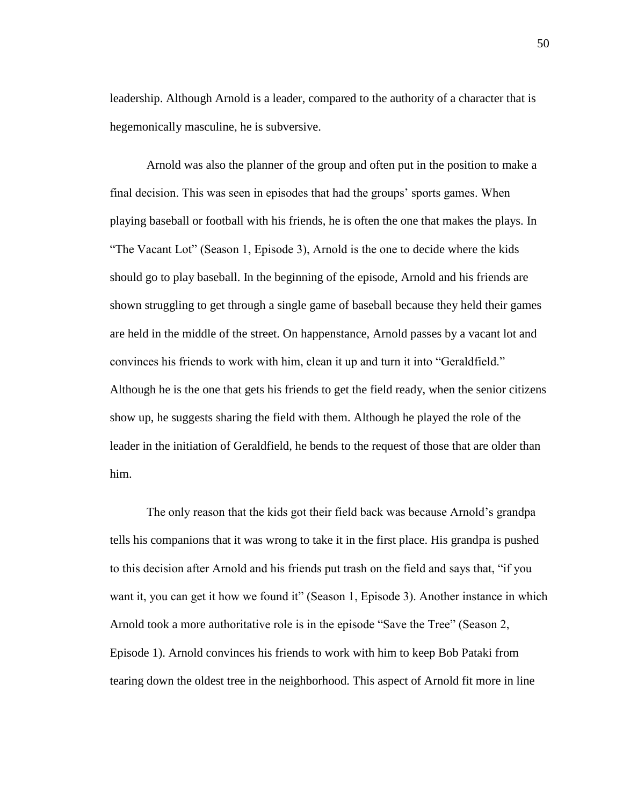leadership. Although Arnold is a leader, compared to the authority of a character that is hegemonically masculine, he is subversive.

Arnold was also the planner of the group and often put in the position to make a final decision. This was seen in episodes that had the groups' sports games. When playing baseball or football with his friends, he is often the one that makes the plays. In "The Vacant Lot" (Season 1, Episode 3), Arnold is the one to decide where the kids should go to play baseball. In the beginning of the episode, Arnold and his friends are shown struggling to get through a single game of baseball because they held their games are held in the middle of the street. On happenstance, Arnold passes by a vacant lot and convinces his friends to work with him, clean it up and turn it into "Geraldfield." Although he is the one that gets his friends to get the field ready, when the senior citizens show up, he suggests sharing the field with them. Although he played the role of the leader in the initiation of Geraldfield, he bends to the request of those that are older than him.

The only reason that the kids got their field back was because Arnold's grandpa tells his companions that it was wrong to take it in the first place. His grandpa is pushed to this decision after Arnold and his friends put trash on the field and says that, "if you want it, you can get it how we found it" (Season 1, Episode 3). Another instance in which Arnold took a more authoritative role is in the episode "Save the Tree" (Season 2, Episode 1). Arnold convinces his friends to work with him to keep Bob Pataki from tearing down the oldest tree in the neighborhood. This aspect of Arnold fit more in line

50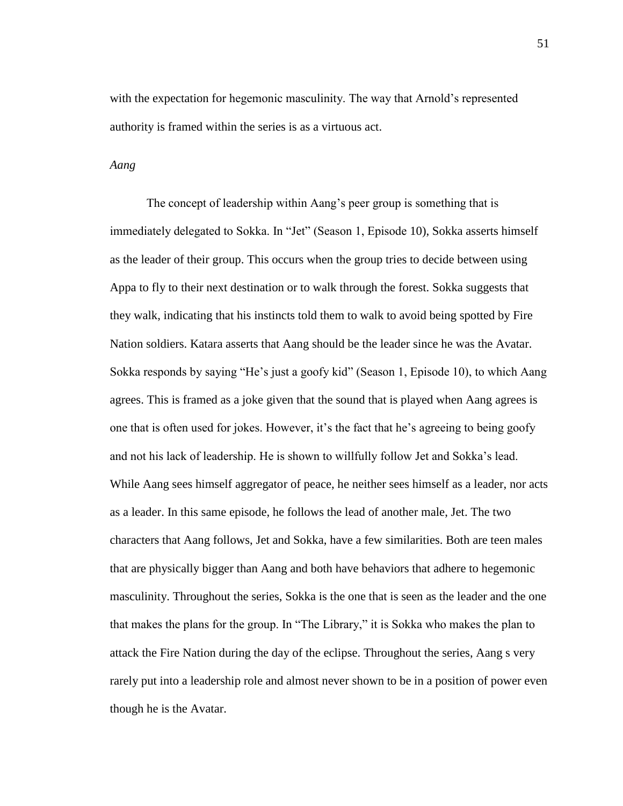with the expectation for hegemonic masculinity. The way that Arnold's represented authority is framed within the series is as a virtuous act.

### *Aang*

The concept of leadership within Aang's peer group is something that is immediately delegated to Sokka. In "Jet" (Season 1, Episode 10), Sokka asserts himself as the leader of their group. This occurs when the group tries to decide between using Appa to fly to their next destination or to walk through the forest. Sokka suggests that they walk, indicating that his instincts told them to walk to avoid being spotted by Fire Nation soldiers. Katara asserts that Aang should be the leader since he was the Avatar. Sokka responds by saying "He's just a goofy kid" (Season 1, Episode 10), to which Aang agrees. This is framed as a joke given that the sound that is played when Aang agrees is one that is often used for jokes. However, it's the fact that he's agreeing to being goofy and not his lack of leadership. He is shown to willfully follow Jet and Sokka's lead. While Aang sees himself aggregator of peace, he neither sees himself as a leader, nor acts as a leader. In this same episode, he follows the lead of another male, Jet. The two characters that Aang follows, Jet and Sokka, have a few similarities. Both are teen males that are physically bigger than Aang and both have behaviors that adhere to hegemonic masculinity. Throughout the series, Sokka is the one that is seen as the leader and the one that makes the plans for the group. In "The Library," it is Sokka who makes the plan to attack the Fire Nation during the day of the eclipse. Throughout the series, Aang s very rarely put into a leadership role and almost never shown to be in a position of power even though he is the Avatar.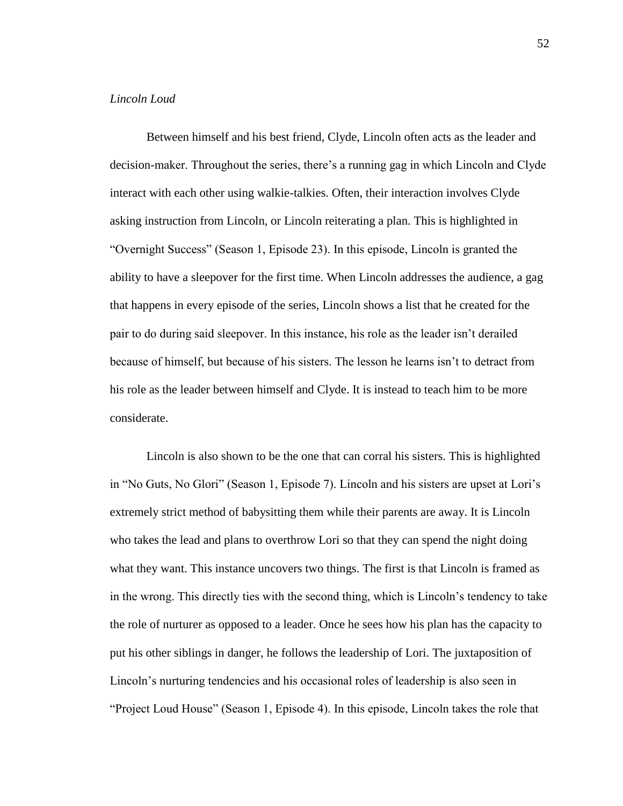# *Lincoln Loud*

Between himself and his best friend, Clyde, Lincoln often acts as the leader and decision-maker. Throughout the series, there's a running gag in which Lincoln and Clyde interact with each other using walkie-talkies. Often, their interaction involves Clyde asking instruction from Lincoln, or Lincoln reiterating a plan. This is highlighted in "Overnight Success" (Season 1, Episode 23). In this episode, Lincoln is granted the ability to have a sleepover for the first time. When Lincoln addresses the audience, a gag that happens in every episode of the series, Lincoln shows a list that he created for the pair to do during said sleepover. In this instance, his role as the leader isn't derailed because of himself, but because of his sisters. The lesson he learns isn't to detract from his role as the leader between himself and Clyde. It is instead to teach him to be more considerate.

Lincoln is also shown to be the one that can corral his sisters. This is highlighted in "No Guts, No Glori" (Season 1, Episode 7). Lincoln and his sisters are upset at Lori's extremely strict method of babysitting them while their parents are away. It is Lincoln who takes the lead and plans to overthrow Lori so that they can spend the night doing what they want. This instance uncovers two things. The first is that Lincoln is framed as in the wrong. This directly ties with the second thing, which is Lincoln's tendency to take the role of nurturer as opposed to a leader. Once he sees how his plan has the capacity to put his other siblings in danger, he follows the leadership of Lori. The juxtaposition of Lincoln's nurturing tendencies and his occasional roles of leadership is also seen in "Project Loud House" (Season 1, Episode 4). In this episode, Lincoln takes the role that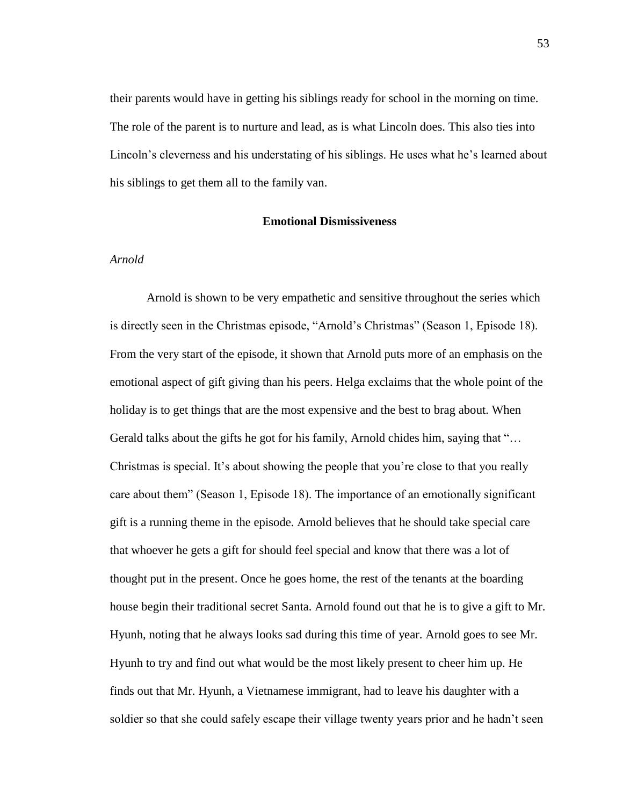their parents would have in getting his siblings ready for school in the morning on time. The role of the parent is to nurture and lead, as is what Lincoln does. This also ties into Lincoln's cleverness and his understating of his siblings. He uses what he's learned about his siblings to get them all to the family van.

# **Emotional Dismissiveness**

## *Arnold*

Arnold is shown to be very empathetic and sensitive throughout the series which is directly seen in the Christmas episode, "Arnold's Christmas" (Season 1, Episode 18). From the very start of the episode, it shown that Arnold puts more of an emphasis on the emotional aspect of gift giving than his peers. Helga exclaims that the whole point of the holiday is to get things that are the most expensive and the best to brag about. When Gerald talks about the gifts he got for his family, Arnold chides him, saying that "... Christmas is special. It's about showing the people that you're close to that you really care about them" (Season 1, Episode 18). The importance of an emotionally significant gift is a running theme in the episode. Arnold believes that he should take special care that whoever he gets a gift for should feel special and know that there was a lot of thought put in the present. Once he goes home, the rest of the tenants at the boarding house begin their traditional secret Santa. Arnold found out that he is to give a gift to Mr. Hyunh, noting that he always looks sad during this time of year. Arnold goes to see Mr. Hyunh to try and find out what would be the most likely present to cheer him up. He finds out that Mr. Hyunh, a Vietnamese immigrant, had to leave his daughter with a soldier so that she could safely escape their village twenty years prior and he hadn't seen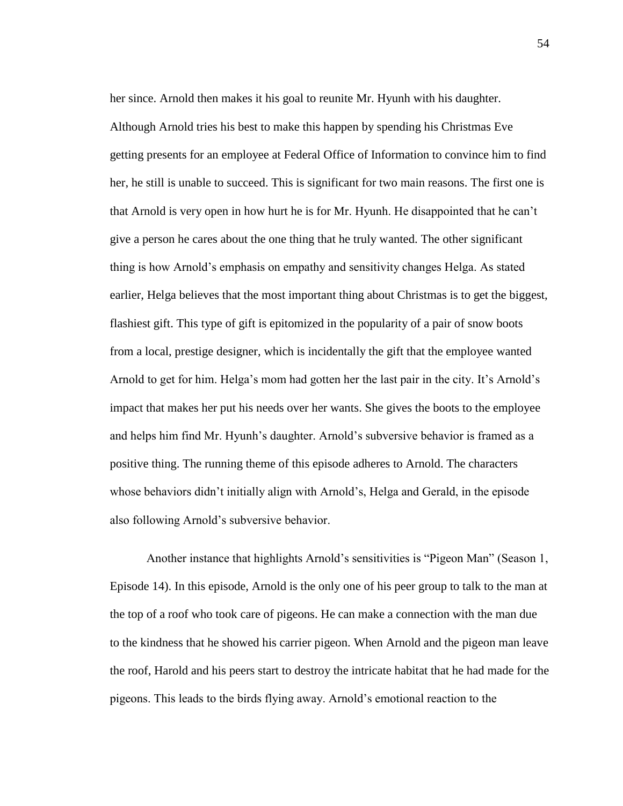her since. Arnold then makes it his goal to reunite Mr. Hyunh with his daughter. Although Arnold tries his best to make this happen by spending his Christmas Eve getting presents for an employee at Federal Office of Information to convince him to find her, he still is unable to succeed. This is significant for two main reasons. The first one is that Arnold is very open in how hurt he is for Mr. Hyunh. He disappointed that he can't give a person he cares about the one thing that he truly wanted. The other significant thing is how Arnold's emphasis on empathy and sensitivity changes Helga. As stated earlier, Helga believes that the most important thing about Christmas is to get the biggest, flashiest gift. This type of gift is epitomized in the popularity of a pair of snow boots from a local, prestige designer, which is incidentally the gift that the employee wanted Arnold to get for him. Helga's mom had gotten her the last pair in the city. It's Arnold's impact that makes her put his needs over her wants. She gives the boots to the employee and helps him find Mr. Hyunh's daughter. Arnold's subversive behavior is framed as a positive thing. The running theme of this episode adheres to Arnold. The characters whose behaviors didn't initially align with Arnold's, Helga and Gerald, in the episode also following Arnold's subversive behavior.

Another instance that highlights Arnold's sensitivities is "Pigeon Man" (Season 1, Episode 14). In this episode, Arnold is the only one of his peer group to talk to the man at the top of a roof who took care of pigeons. He can make a connection with the man due to the kindness that he showed his carrier pigeon. When Arnold and the pigeon man leave the roof, Harold and his peers start to destroy the intricate habitat that he had made for the pigeons. This leads to the birds flying away. Arnold's emotional reaction to the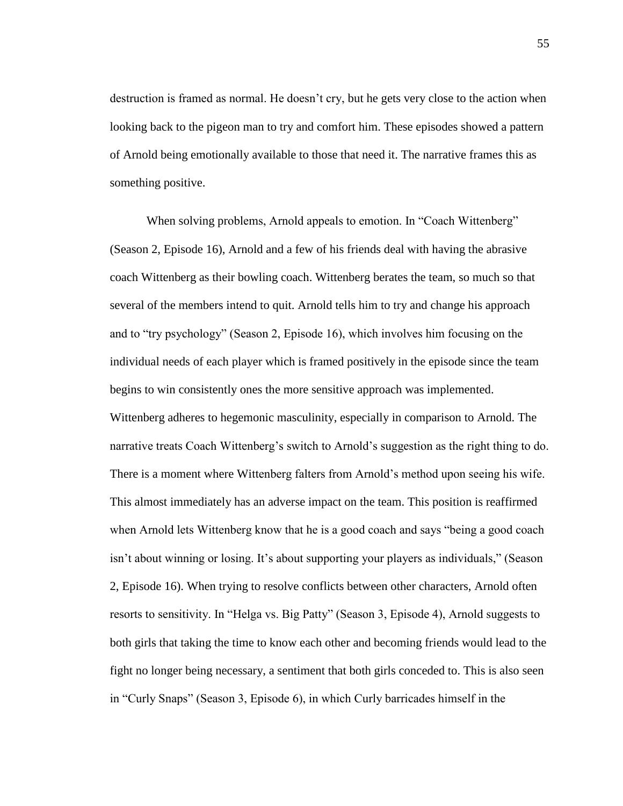destruction is framed as normal. He doesn't cry, but he gets very close to the action when looking back to the pigeon man to try and comfort him. These episodes showed a pattern of Arnold being emotionally available to those that need it. The narrative frames this as something positive.

When solving problems, Arnold appeals to emotion. In "Coach Wittenberg" (Season 2, Episode 16), Arnold and a few of his friends deal with having the abrasive coach Wittenberg as their bowling coach. Wittenberg berates the team, so much so that several of the members intend to quit. Arnold tells him to try and change his approach and to "try psychology" (Season 2, Episode 16), which involves him focusing on the individual needs of each player which is framed positively in the episode since the team begins to win consistently ones the more sensitive approach was implemented. Wittenberg adheres to hegemonic masculinity, especially in comparison to Arnold. The narrative treats Coach Wittenberg's switch to Arnold's suggestion as the right thing to do. There is a moment where Wittenberg falters from Arnold's method upon seeing his wife. This almost immediately has an adverse impact on the team. This position is reaffirmed when Arnold lets Wittenberg know that he is a good coach and says "being a good coach isn't about winning or losing. It's about supporting your players as individuals," (Season 2, Episode 16). When trying to resolve conflicts between other characters, Arnold often resorts to sensitivity. In "Helga vs. Big Patty" (Season 3, Episode 4), Arnold suggests to both girls that taking the time to know each other and becoming friends would lead to the fight no longer being necessary, a sentiment that both girls conceded to. This is also seen in "Curly Snaps" (Season 3, Episode 6), in which Curly barricades himself in the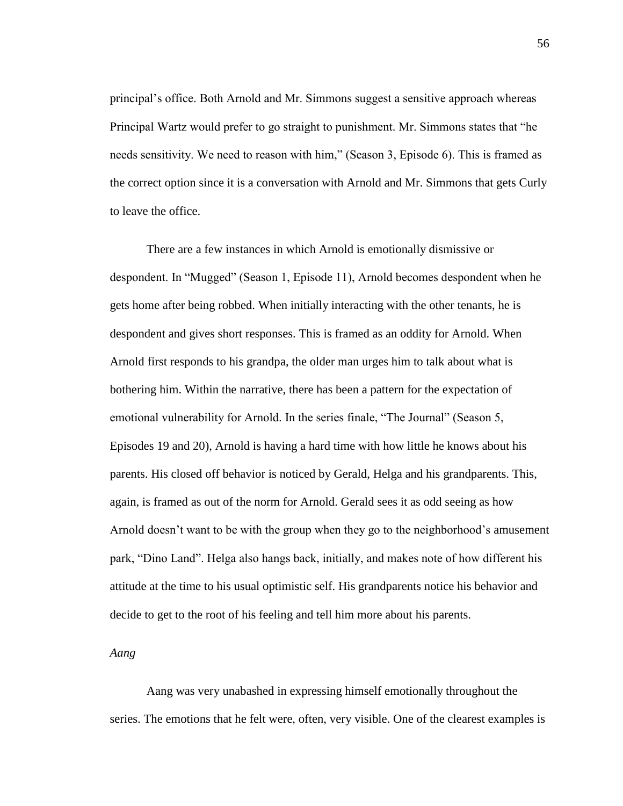principal's office. Both Arnold and Mr. Simmons suggest a sensitive approach whereas Principal Wartz would prefer to go straight to punishment. Mr. Simmons states that "he needs sensitivity. We need to reason with him," (Season 3, Episode 6). This is framed as the correct option since it is a conversation with Arnold and Mr. Simmons that gets Curly to leave the office.

There are a few instances in which Arnold is emotionally dismissive or despondent. In "Mugged" (Season 1, Episode 11), Arnold becomes despondent when he gets home after being robbed. When initially interacting with the other tenants, he is despondent and gives short responses. This is framed as an oddity for Arnold. When Arnold first responds to his grandpa, the older man urges him to talk about what is bothering him. Within the narrative, there has been a pattern for the expectation of emotional vulnerability for Arnold. In the series finale, "The Journal" (Season 5, Episodes 19 and 20), Arnold is having a hard time with how little he knows about his parents. His closed off behavior is noticed by Gerald, Helga and his grandparents. This, again, is framed as out of the norm for Arnold. Gerald sees it as odd seeing as how Arnold doesn't want to be with the group when they go to the neighborhood's amusement park, "Dino Land". Helga also hangs back, initially, and makes note of how different his attitude at the time to his usual optimistic self. His grandparents notice his behavior and decide to get to the root of his feeling and tell him more about his parents.

*Aang* 

Aang was very unabashed in expressing himself emotionally throughout the series. The emotions that he felt were, often, very visible. One of the clearest examples is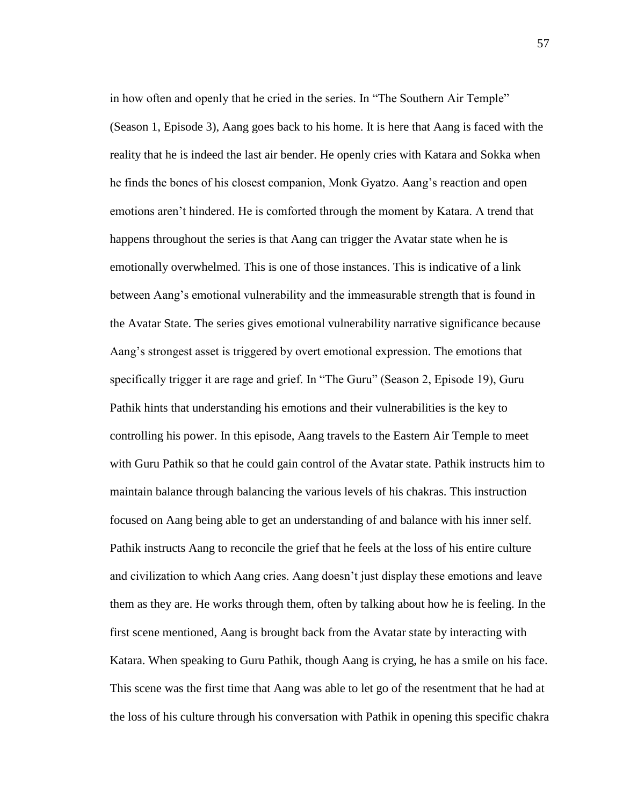in how often and openly that he cried in the series. In "The Southern Air Temple" (Season 1, Episode 3), Aang goes back to his home. It is here that Aang is faced with the reality that he is indeed the last air bender. He openly cries with Katara and Sokka when he finds the bones of his closest companion, Monk Gyatzo. Aang's reaction and open emotions aren't hindered. He is comforted through the moment by Katara. A trend that happens throughout the series is that Aang can trigger the Avatar state when he is emotionally overwhelmed. This is one of those instances. This is indicative of a link between Aang's emotional vulnerability and the immeasurable strength that is found in the Avatar State. The series gives emotional vulnerability narrative significance because Aang's strongest asset is triggered by overt emotional expression. The emotions that specifically trigger it are rage and grief. In "The Guru" (Season 2, Episode 19), Guru Pathik hints that understanding his emotions and their vulnerabilities is the key to controlling his power. In this episode, Aang travels to the Eastern Air Temple to meet with Guru Pathik so that he could gain control of the Avatar state. Pathik instructs him to maintain balance through balancing the various levels of his chakras. This instruction focused on Aang being able to get an understanding of and balance with his inner self. Pathik instructs Aang to reconcile the grief that he feels at the loss of his entire culture and civilization to which Aang cries. Aang doesn't just display these emotions and leave them as they are. He works through them, often by talking about how he is feeling. In the first scene mentioned, Aang is brought back from the Avatar state by interacting with Katara. When speaking to Guru Pathik, though Aang is crying, he has a smile on his face. This scene was the first time that Aang was able to let go of the resentment that he had at the loss of his culture through his conversation with Pathik in opening this specific chakra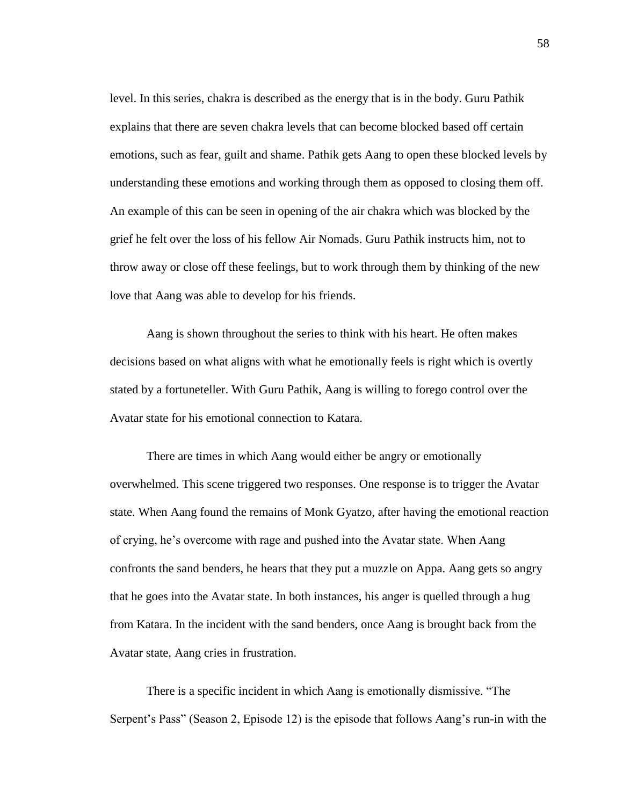level. In this series, chakra is described as the energy that is in the body. Guru Pathik explains that there are seven chakra levels that can become blocked based off certain emotions, such as fear, guilt and shame. Pathik gets Aang to open these blocked levels by understanding these emotions and working through them as opposed to closing them off. An example of this can be seen in opening of the air chakra which was blocked by the grief he felt over the loss of his fellow Air Nomads. Guru Pathik instructs him, not to throw away or close off these feelings, but to work through them by thinking of the new love that Aang was able to develop for his friends.

Aang is shown throughout the series to think with his heart. He often makes decisions based on what aligns with what he emotionally feels is right which is overtly stated by a fortuneteller. With Guru Pathik, Aang is willing to forego control over the Avatar state for his emotional connection to Katara.

There are times in which Aang would either be angry or emotionally overwhelmed. This scene triggered two responses. One response is to trigger the Avatar state. When Aang found the remains of Monk Gyatzo, after having the emotional reaction of crying, he's overcome with rage and pushed into the Avatar state. When Aang confronts the sand benders, he hears that they put a muzzle on Appa. Aang gets so angry that he goes into the Avatar state. In both instances, his anger is quelled through a hug from Katara. In the incident with the sand benders, once Aang is brought back from the Avatar state, Aang cries in frustration.

There is a specific incident in which Aang is emotionally dismissive. "The Serpent's Pass" (Season 2, Episode 12) is the episode that follows Aang's run-in with the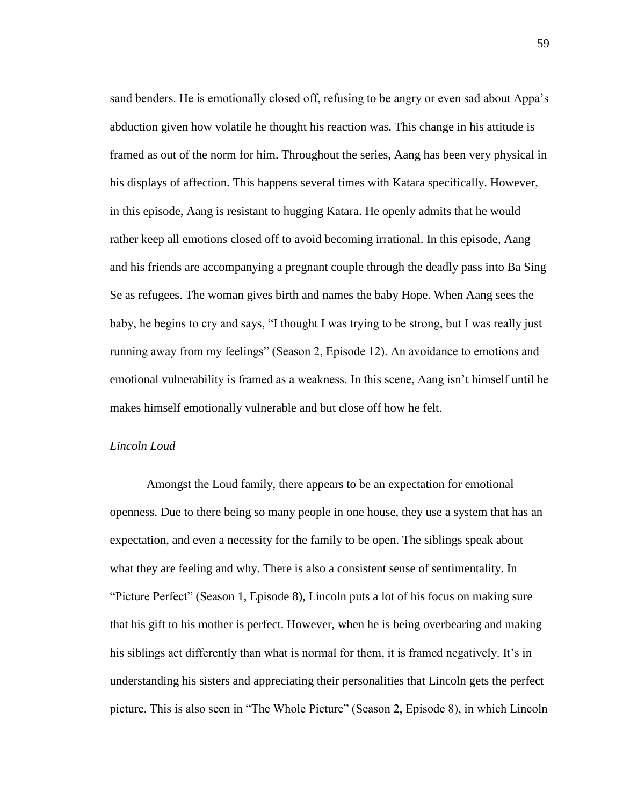sand benders. He is emotionally closed off, refusing to be angry or even sad about Appa's abduction given how volatile he thought his reaction was. This change in his attitude is framed as out of the norm for him. Throughout the series, Aang has been very physical in his displays of affection. This happens several times with Katara specifically. However, in this episode, Aang is resistant to hugging Katara. He openly admits that he would rather keep all emotions closed off to avoid becoming irrational. In this episode, Aang and his friends are accompanying a pregnant couple through the deadly pass into Ba Sing Se as refugees. The woman gives birth and names the baby Hope. When Aang sees the baby, he begins to cry and says, "I thought I was trying to be strong, but I was really just running away from my feelings" (Season 2, Episode 12). An avoidance to emotions and emotional vulnerability is framed as a weakness. In this scene, Aang isn't himself until he makes himself emotionally vulnerable and but close off how he felt.

#### *Lincoln Loud*

Amongst the Loud family, there appears to be an expectation for emotional openness. Due to there being so many people in one house, they use a system that has an expectation, and even a necessity for the family to be open. The siblings speak about what they are feeling and why. There is also a consistent sense of sentimentality. In "Picture Perfect" (Season 1, Episode 8), Lincoln puts a lot of his focus on making sure that his gift to his mother is perfect. However, when he is being overbearing and making his siblings act differently than what is normal for them, it is framed negatively. It's in understanding his sisters and appreciating their personalities that Lincoln gets the perfect picture. This is also seen in "The Whole Picture" (Season 2, Episode 8), in which Lincoln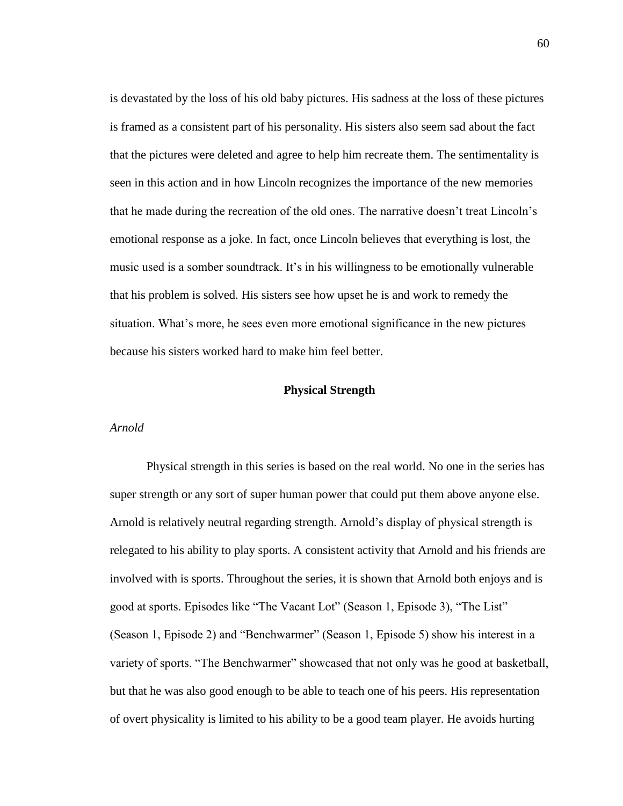is devastated by the loss of his old baby pictures. His sadness at the loss of these pictures is framed as a consistent part of his personality. His sisters also seem sad about the fact that the pictures were deleted and agree to help him recreate them. The sentimentality is seen in this action and in how Lincoln recognizes the importance of the new memories that he made during the recreation of the old ones. The narrative doesn't treat Lincoln's emotional response as a joke. In fact, once Lincoln believes that everything is lost, the music used is a somber soundtrack. It's in his willingness to be emotionally vulnerable that his problem is solved. His sisters see how upset he is and work to remedy the situation. What's more, he sees even more emotional significance in the new pictures because his sisters worked hard to make him feel better.

#### **Physical Strength**

### *Arnold*

Physical strength in this series is based on the real world. No one in the series has super strength or any sort of super human power that could put them above anyone else. Arnold is relatively neutral regarding strength. Arnold's display of physical strength is relegated to his ability to play sports. A consistent activity that Arnold and his friends are involved with is sports. Throughout the series, it is shown that Arnold both enjoys and is good at sports. Episodes like "The Vacant Lot" (Season 1, Episode 3), "The List" (Season 1, Episode 2) and "Benchwarmer" (Season 1, Episode 5) show his interest in a variety of sports. "The Benchwarmer" showcased that not only was he good at basketball, but that he was also good enough to be able to teach one of his peers. His representation of overt physicality is limited to his ability to be a good team player. He avoids hurting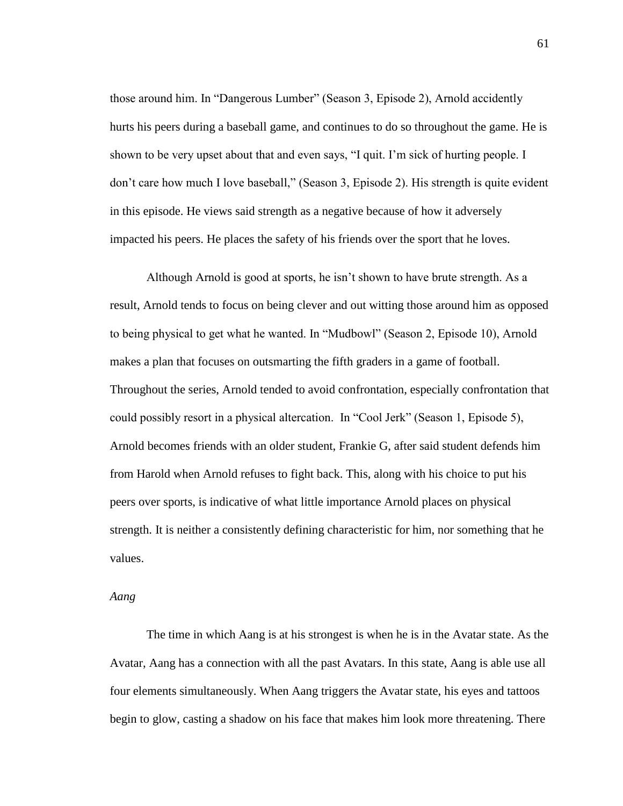those around him. In "Dangerous Lumber" (Season 3, Episode 2), Arnold accidently hurts his peers during a baseball game, and continues to do so throughout the game. He is shown to be very upset about that and even says, "I quit. I'm sick of hurting people. I don't care how much I love baseball," (Season 3, Episode 2). His strength is quite evident in this episode. He views said strength as a negative because of how it adversely impacted his peers. He places the safety of his friends over the sport that he loves.

Although Arnold is good at sports, he isn't shown to have brute strength. As a result, Arnold tends to focus on being clever and out witting those around him as opposed to being physical to get what he wanted. In "Mudbowl" (Season 2, Episode 10), Arnold makes a plan that focuses on outsmarting the fifth graders in a game of football. Throughout the series, Arnold tended to avoid confrontation, especially confrontation that could possibly resort in a physical altercation. In "Cool Jerk" (Season 1, Episode 5), Arnold becomes friends with an older student, Frankie G, after said student defends him from Harold when Arnold refuses to fight back. This, along with his choice to put his peers over sports, is indicative of what little importance Arnold places on physical strength. It is neither a consistently defining characteristic for him, nor something that he values.

# *Aang*

The time in which Aang is at his strongest is when he is in the Avatar state. As the Avatar, Aang has a connection with all the past Avatars. In this state, Aang is able use all four elements simultaneously. When Aang triggers the Avatar state, his eyes and tattoos begin to glow, casting a shadow on his face that makes him look more threatening. There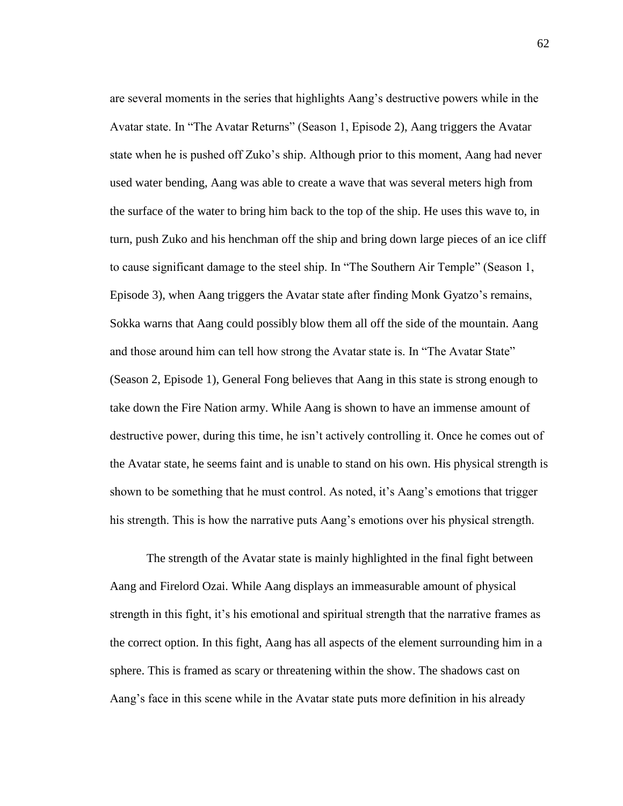are several moments in the series that highlights Aang's destructive powers while in the Avatar state. In "The Avatar Returns" (Season 1, Episode 2), Aang triggers the Avatar state when he is pushed off Zuko's ship. Although prior to this moment, Aang had never used water bending, Aang was able to create a wave that was several meters high from the surface of the water to bring him back to the top of the ship. He uses this wave to, in turn, push Zuko and his henchman off the ship and bring down large pieces of an ice cliff to cause significant damage to the steel ship. In "The Southern Air Temple" (Season 1, Episode 3), when Aang triggers the Avatar state after finding Monk Gyatzo's remains, Sokka warns that Aang could possibly blow them all off the side of the mountain. Aang and those around him can tell how strong the Avatar state is. In "The Avatar State" (Season 2, Episode 1), General Fong believes that Aang in this state is strong enough to take down the Fire Nation army. While Aang is shown to have an immense amount of destructive power, during this time, he isn't actively controlling it. Once he comes out of the Avatar state, he seems faint and is unable to stand on his own. His physical strength is shown to be something that he must control. As noted, it's Aang's emotions that trigger his strength. This is how the narrative puts Aang's emotions over his physical strength.

The strength of the Avatar state is mainly highlighted in the final fight between Aang and Firelord Ozai. While Aang displays an immeasurable amount of physical strength in this fight, it's his emotional and spiritual strength that the narrative frames as the correct option. In this fight, Aang has all aspects of the element surrounding him in a sphere. This is framed as scary or threatening within the show. The shadows cast on Aang's face in this scene while in the Avatar state puts more definition in his already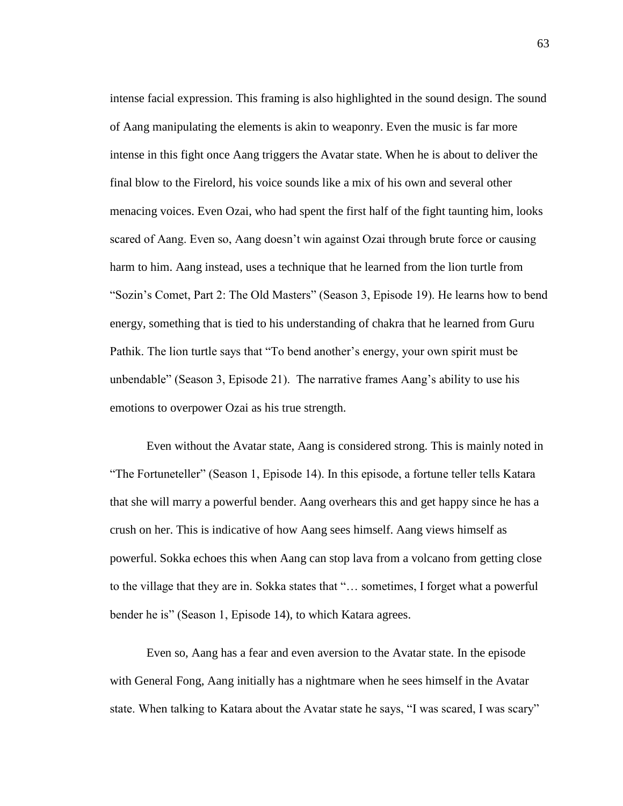intense facial expression. This framing is also highlighted in the sound design. The sound of Aang manipulating the elements is akin to weaponry. Even the music is far more intense in this fight once Aang triggers the Avatar state. When he is about to deliver the final blow to the Firelord, his voice sounds like a mix of his own and several other menacing voices. Even Ozai, who had spent the first half of the fight taunting him, looks scared of Aang. Even so, Aang doesn't win against Ozai through brute force or causing harm to him. Aang instead, uses a technique that he learned from the lion turtle from "Sozin's Comet, Part 2: The Old Masters" (Season 3, Episode 19). He learns how to bend energy, something that is tied to his understanding of chakra that he learned from Guru Pathik. The lion turtle says that "To bend another's energy, your own spirit must be unbendable" (Season 3, Episode 21). The narrative frames Aang's ability to use his emotions to overpower Ozai as his true strength.

Even without the Avatar state, Aang is considered strong. This is mainly noted in "The Fortuneteller" (Season 1, Episode 14). In this episode, a fortune teller tells Katara that she will marry a powerful bender. Aang overhears this and get happy since he has a crush on her. This is indicative of how Aang sees himself. Aang views himself as powerful. Sokka echoes this when Aang can stop lava from a volcano from getting close to the village that they are in. Sokka states that "… sometimes, I forget what a powerful bender he is" (Season 1, Episode 14), to which Katara agrees.

Even so, Aang has a fear and even aversion to the Avatar state. In the episode with General Fong, Aang initially has a nightmare when he sees himself in the Avatar state. When talking to Katara about the Avatar state he says, "I was scared, I was scary"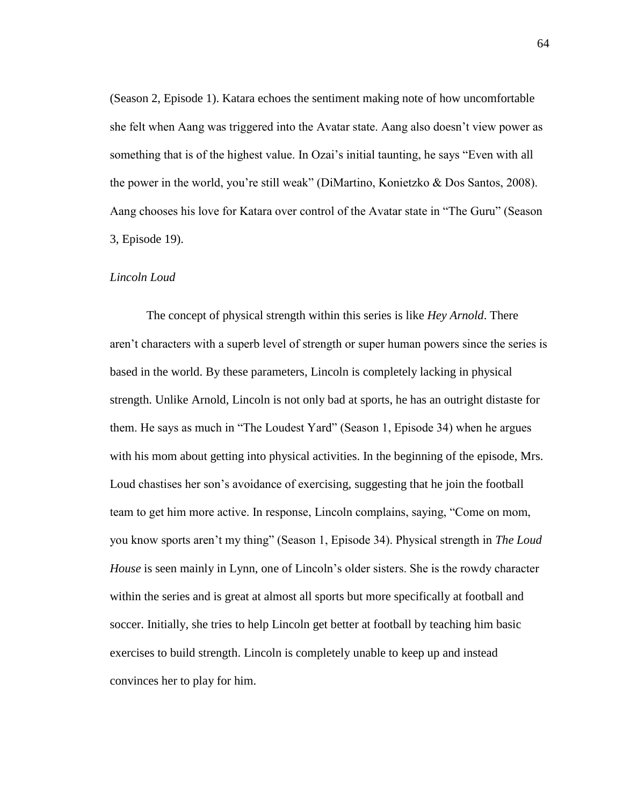(Season 2, Episode 1). Katara echoes the sentiment making note of how uncomfortable she felt when Aang was triggered into the Avatar state. Aang also doesn't view power as something that is of the highest value. In Ozai's initial taunting, he says "Even with all the power in the world, you're still weak" (DiMartino, Konietzko & Dos Santos, 2008). Aang chooses his love for Katara over control of the Avatar state in "The Guru" (Season 3, Episode 19).

# *Lincoln Loud*

The concept of physical strength within this series is like *Hey Arnold*. There aren't characters with a superb level of strength or super human powers since the series is based in the world. By these parameters, Lincoln is completely lacking in physical strength. Unlike Arnold, Lincoln is not only bad at sports, he has an outright distaste for them. He says as much in "The Loudest Yard" (Season 1, Episode 34) when he argues with his mom about getting into physical activities. In the beginning of the episode, Mrs. Loud chastises her son's avoidance of exercising, suggesting that he join the football team to get him more active. In response, Lincoln complains, saying, "Come on mom, you know sports aren't my thing" (Season 1, Episode 34). Physical strength in *The Loud House* is seen mainly in Lynn, one of Lincoln's older sisters. She is the rowdy character within the series and is great at almost all sports but more specifically at football and soccer. Initially, she tries to help Lincoln get better at football by teaching him basic exercises to build strength. Lincoln is completely unable to keep up and instead convinces her to play for him.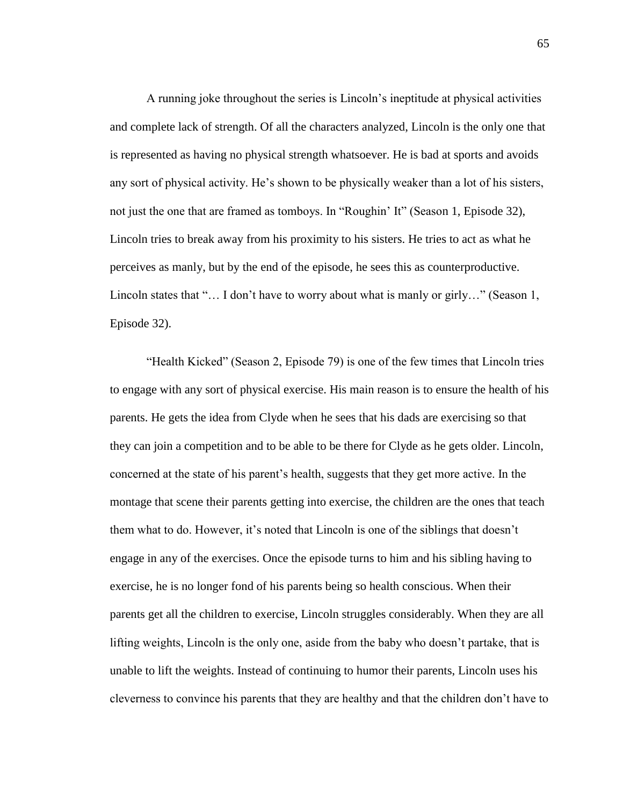A running joke throughout the series is Lincoln's ineptitude at physical activities and complete lack of strength. Of all the characters analyzed, Lincoln is the only one that is represented as having no physical strength whatsoever. He is bad at sports and avoids any sort of physical activity. He's shown to be physically weaker than a lot of his sisters, not just the one that are framed as tomboys. In "Roughin' It" (Season 1, Episode 32), Lincoln tries to break away from his proximity to his sisters. He tries to act as what he perceives as manly, but by the end of the episode, he sees this as counterproductive. Lincoln states that "... I don't have to worry about what is manly or girly..." (Season 1, Episode 32).

"Health Kicked" (Season 2, Episode 79) is one of the few times that Lincoln tries to engage with any sort of physical exercise. His main reason is to ensure the health of his parents. He gets the idea from Clyde when he sees that his dads are exercising so that they can join a competition and to be able to be there for Clyde as he gets older. Lincoln, concerned at the state of his parent's health, suggests that they get more active. In the montage that scene their parents getting into exercise, the children are the ones that teach them what to do. However, it's noted that Lincoln is one of the siblings that doesn't engage in any of the exercises. Once the episode turns to him and his sibling having to exercise, he is no longer fond of his parents being so health conscious. When their parents get all the children to exercise, Lincoln struggles considerably. When they are all lifting weights, Lincoln is the only one, aside from the baby who doesn't partake, that is unable to lift the weights. Instead of continuing to humor their parents, Lincoln uses his cleverness to convince his parents that they are healthy and that the children don't have to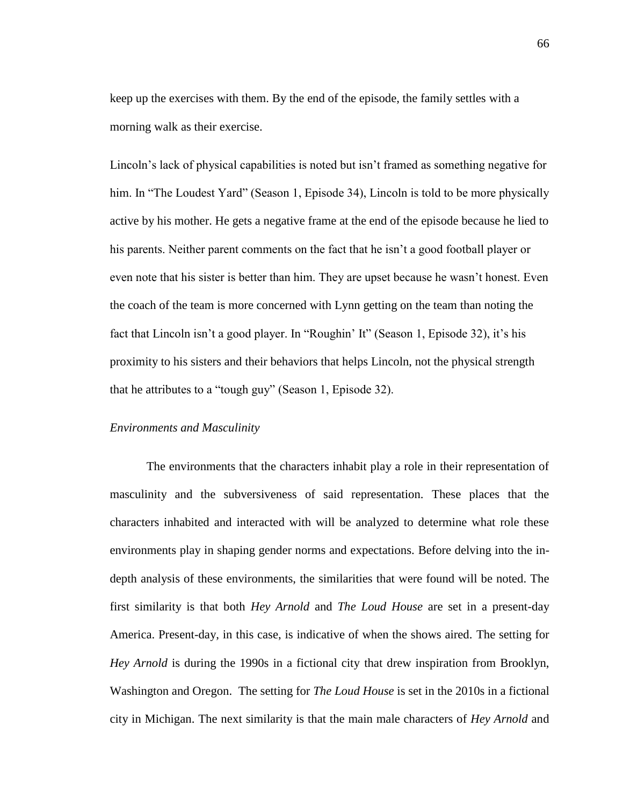keep up the exercises with them. By the end of the episode, the family settles with a morning walk as their exercise.

Lincoln's lack of physical capabilities is noted but isn't framed as something negative for him. In "The Loudest Yard" (Season 1, Episode 34), Lincoln is told to be more physically active by his mother. He gets a negative frame at the end of the episode because he lied to his parents. Neither parent comments on the fact that he isn't a good football player or even note that his sister is better than him. They are upset because he wasn't honest. Even the coach of the team is more concerned with Lynn getting on the team than noting the fact that Lincoln isn't a good player. In "Roughin' It" (Season 1, Episode 32), it's his proximity to his sisters and their behaviors that helps Lincoln, not the physical strength that he attributes to a "tough guy" (Season 1, Episode 32).

### *Environments and Masculinity*

The environments that the characters inhabit play a role in their representation of masculinity and the subversiveness of said representation. These places that the characters inhabited and interacted with will be analyzed to determine what role these environments play in shaping gender norms and expectations. Before delving into the indepth analysis of these environments, the similarities that were found will be noted. The first similarity is that both *Hey Arnold* and *The Loud House* are set in a present-day America. Present-day, in this case, is indicative of when the shows aired. The setting for *Hey Arnold* is during the 1990s in a fictional city that drew inspiration from Brooklyn, Washington and Oregon. The setting for *The Loud House* is set in the 2010s in a fictional city in Michigan. The next similarity is that the main male characters of *Hey Arnold* and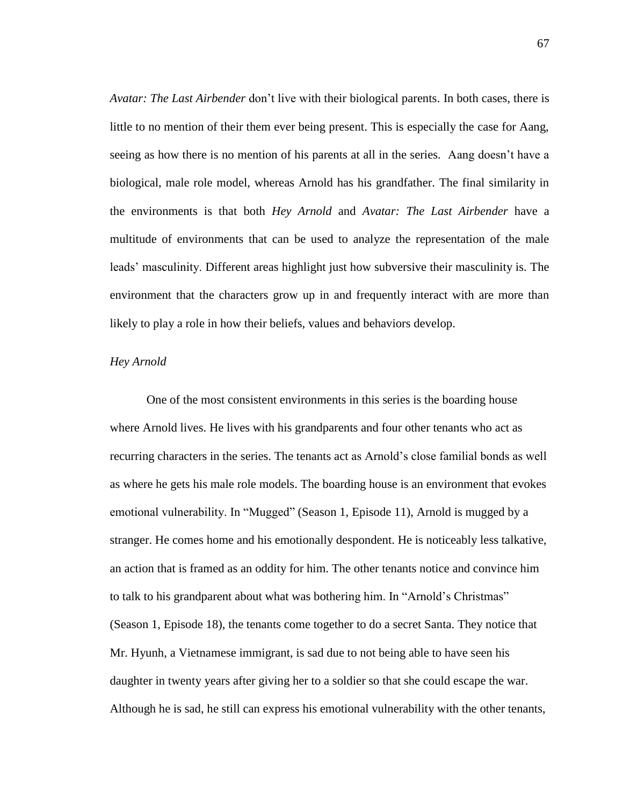*Avatar: The Last Airbender* don't live with their biological parents. In both cases, there is little to no mention of their them ever being present. This is especially the case for Aang, seeing as how there is no mention of his parents at all in the series. Aang doesn't have a biological, male role model, whereas Arnold has his grandfather. The final similarity in the environments is that both *Hey Arnold* and *Avatar: The Last Airbender* have a multitude of environments that can be used to analyze the representation of the male leads' masculinity. Different areas highlight just how subversive their masculinity is. The environment that the characters grow up in and frequently interact with are more than likely to play a role in how their beliefs, values and behaviors develop.

# *Hey Arnold*

One of the most consistent environments in this series is the boarding house where Arnold lives. He lives with his grandparents and four other tenants who act as recurring characters in the series. The tenants act as Arnold's close familial bonds as well as where he gets his male role models. The boarding house is an environment that evokes emotional vulnerability. In "Mugged" (Season 1, Episode 11), Arnold is mugged by a stranger. He comes home and his emotionally despondent. He is noticeably less talkative, an action that is framed as an oddity for him. The other tenants notice and convince him to talk to his grandparent about what was bothering him. In "Arnold's Christmas" (Season 1, Episode 18), the tenants come together to do a secret Santa. They notice that Mr. Hyunh, a Vietnamese immigrant, is sad due to not being able to have seen his daughter in twenty years after giving her to a soldier so that she could escape the war. Although he is sad, he still can express his emotional vulnerability with the other tenants,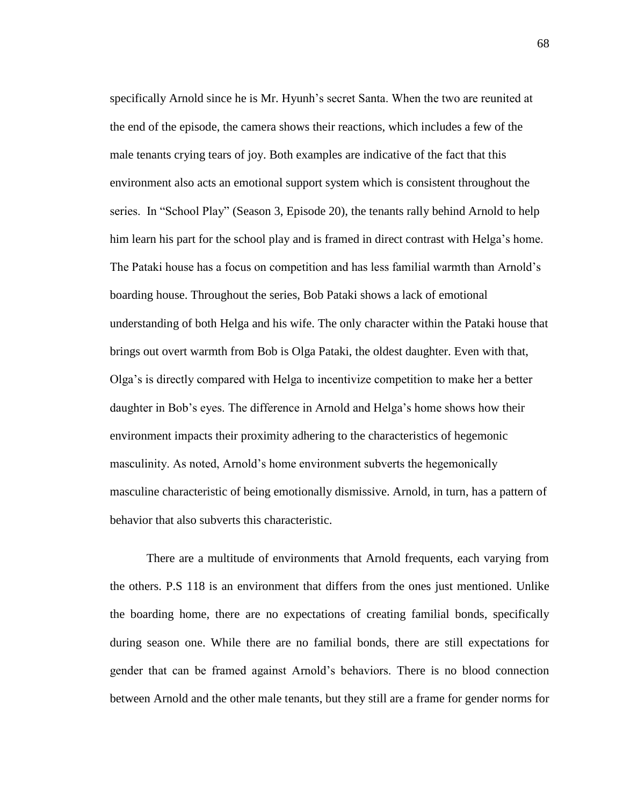specifically Arnold since he is Mr. Hyunh's secret Santa. When the two are reunited at the end of the episode, the camera shows their reactions, which includes a few of the male tenants crying tears of joy. Both examples are indicative of the fact that this environment also acts an emotional support system which is consistent throughout the series. In "School Play" (Season 3, Episode 20), the tenants rally behind Arnold to help him learn his part for the school play and is framed in direct contrast with Helga's home. The Pataki house has a focus on competition and has less familial warmth than Arnold's boarding house. Throughout the series, Bob Pataki shows a lack of emotional understanding of both Helga and his wife. The only character within the Pataki house that brings out overt warmth from Bob is Olga Pataki, the oldest daughter. Even with that, Olga's is directly compared with Helga to incentivize competition to make her a better daughter in Bob's eyes. The difference in Arnold and Helga's home shows how their environment impacts their proximity adhering to the characteristics of hegemonic masculinity. As noted, Arnold's home environment subverts the hegemonically masculine characteristic of being emotionally dismissive. Arnold, in turn, has a pattern of behavior that also subverts this characteristic.

There are a multitude of environments that Arnold frequents, each varying from the others. P.S 118 is an environment that differs from the ones just mentioned. Unlike the boarding home, there are no expectations of creating familial bonds, specifically during season one. While there are no familial bonds, there are still expectations for gender that can be framed against Arnold's behaviors. There is no blood connection between Arnold and the other male tenants, but they still are a frame for gender norms for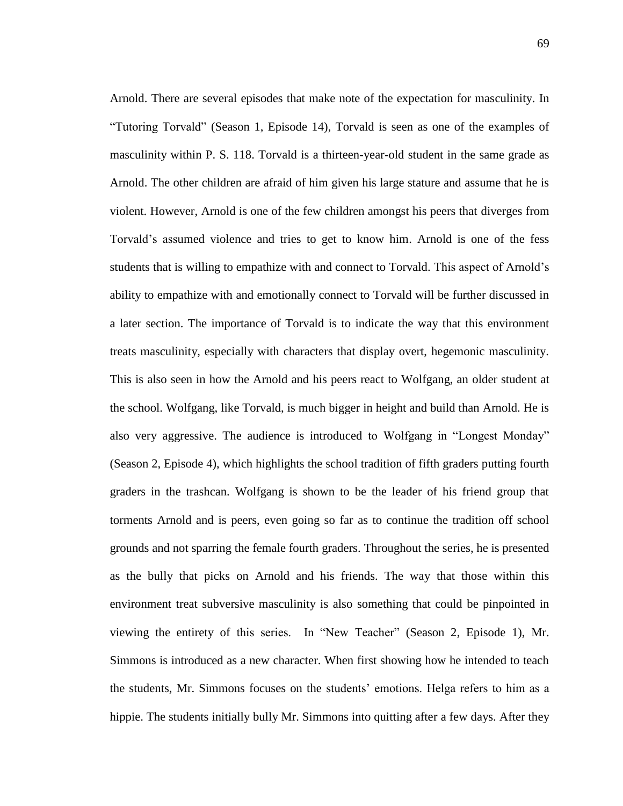Arnold. There are several episodes that make note of the expectation for masculinity. In "Tutoring Torvald" (Season 1, Episode 14), Torvald is seen as one of the examples of masculinity within P. S. 118. Torvald is a thirteen-year-old student in the same grade as Arnold. The other children are afraid of him given his large stature and assume that he is violent. However, Arnold is one of the few children amongst his peers that diverges from Torvald's assumed violence and tries to get to know him. Arnold is one of the fess students that is willing to empathize with and connect to Torvald. This aspect of Arnold's ability to empathize with and emotionally connect to Torvald will be further discussed in a later section. The importance of Torvald is to indicate the way that this environment treats masculinity, especially with characters that display overt, hegemonic masculinity. This is also seen in how the Arnold and his peers react to Wolfgang, an older student at the school. Wolfgang, like Torvald, is much bigger in height and build than Arnold. He is also very aggressive. The audience is introduced to Wolfgang in "Longest Monday" (Season 2, Episode 4), which highlights the school tradition of fifth graders putting fourth graders in the trashcan. Wolfgang is shown to be the leader of his friend group that torments Arnold and is peers, even going so far as to continue the tradition off school grounds and not sparring the female fourth graders. Throughout the series, he is presented as the bully that picks on Arnold and his friends. The way that those within this environment treat subversive masculinity is also something that could be pinpointed in viewing the entirety of this series. In "New Teacher" (Season 2, Episode 1), Mr. Simmons is introduced as a new character. When first showing how he intended to teach the students, Mr. Simmons focuses on the students' emotions. Helga refers to him as a hippie. The students initially bully Mr. Simmons into quitting after a few days. After they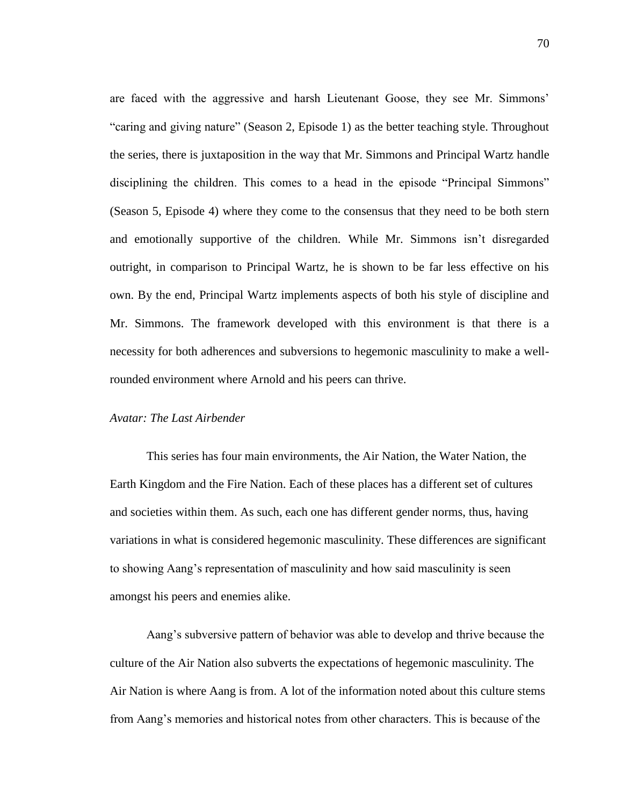are faced with the aggressive and harsh Lieutenant Goose, they see Mr. Simmons' "caring and giving nature" (Season 2, Episode 1) as the better teaching style. Throughout the series, there is juxtaposition in the way that Mr. Simmons and Principal Wartz handle disciplining the children. This comes to a head in the episode "Principal Simmons" (Season 5, Episode 4) where they come to the consensus that they need to be both stern and emotionally supportive of the children. While Mr. Simmons isn't disregarded outright, in comparison to Principal Wartz, he is shown to be far less effective on his own. By the end, Principal Wartz implements aspects of both his style of discipline and Mr. Simmons. The framework developed with this environment is that there is a necessity for both adherences and subversions to hegemonic masculinity to make a wellrounded environment where Arnold and his peers can thrive.

## *Avatar: The Last Airbender*

This series has four main environments, the Air Nation, the Water Nation, the Earth Kingdom and the Fire Nation. Each of these places has a different set of cultures and societies within them. As such, each one has different gender norms, thus, having variations in what is considered hegemonic masculinity. These differences are significant to showing Aang's representation of masculinity and how said masculinity is seen amongst his peers and enemies alike.

Aang's subversive pattern of behavior was able to develop and thrive because the culture of the Air Nation also subverts the expectations of hegemonic masculinity. The Air Nation is where Aang is from. A lot of the information noted about this culture stems from Aang's memories and historical notes from other characters. This is because of the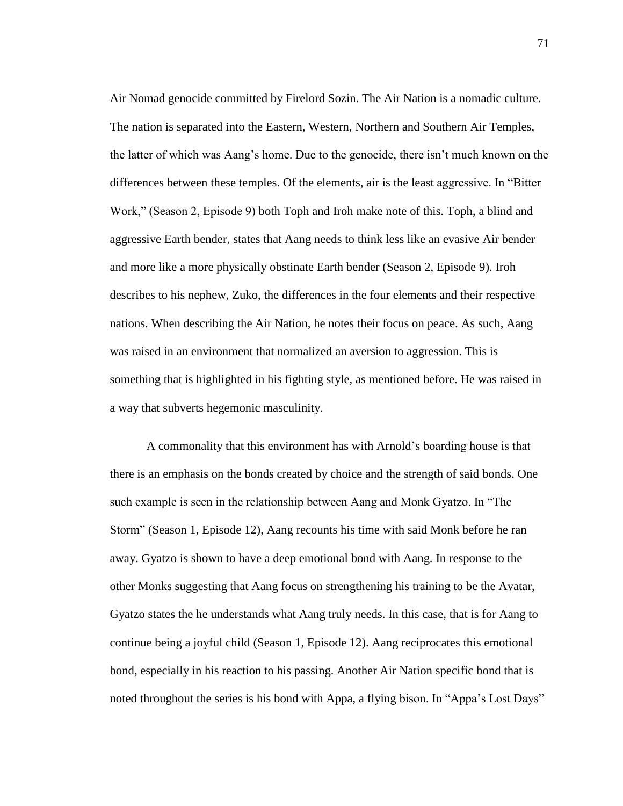Air Nomad genocide committed by Firelord Sozin. The Air Nation is a nomadic culture. The nation is separated into the Eastern, Western, Northern and Southern Air Temples, the latter of which was Aang's home. Due to the genocide, there isn't much known on the differences between these temples. Of the elements, air is the least aggressive. In "Bitter Work," (Season 2, Episode 9) both Toph and Iroh make note of this. Toph, a blind and aggressive Earth bender, states that Aang needs to think less like an evasive Air bender and more like a more physically obstinate Earth bender (Season 2, Episode 9). Iroh describes to his nephew, Zuko, the differences in the four elements and their respective nations. When describing the Air Nation, he notes their focus on peace. As such, Aang was raised in an environment that normalized an aversion to aggression. This is something that is highlighted in his fighting style, as mentioned before. He was raised in a way that subverts hegemonic masculinity.

A commonality that this environment has with Arnold's boarding house is that there is an emphasis on the bonds created by choice and the strength of said bonds. One such example is seen in the relationship between Aang and Monk Gyatzo. In "The Storm" (Season 1, Episode 12), Aang recounts his time with said Monk before he ran away. Gyatzo is shown to have a deep emotional bond with Aang. In response to the other Monks suggesting that Aang focus on strengthening his training to be the Avatar, Gyatzo states the he understands what Aang truly needs. In this case, that is for Aang to continue being a joyful child (Season 1, Episode 12). Aang reciprocates this emotional bond, especially in his reaction to his passing. Another Air Nation specific bond that is noted throughout the series is his bond with Appa, a flying bison. In "Appa's Lost Days"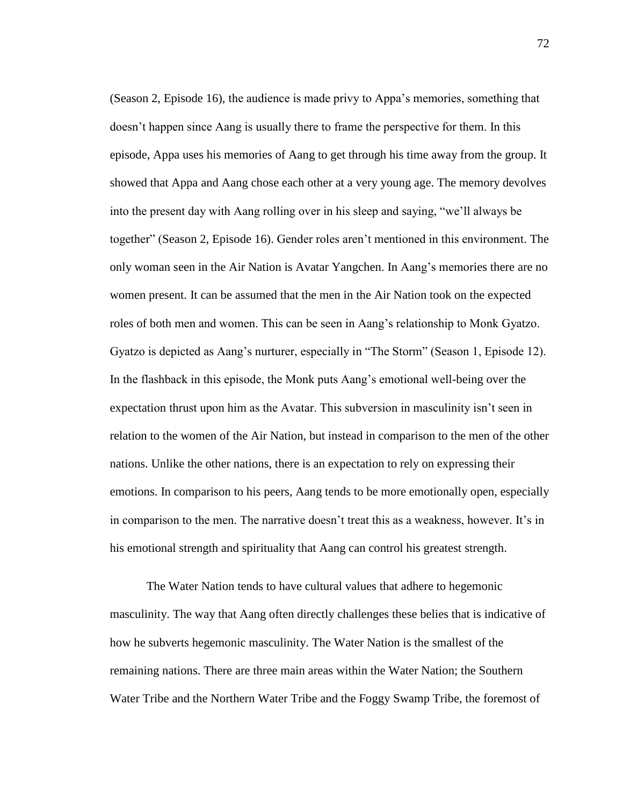(Season 2, Episode 16), the audience is made privy to Appa's memories, something that doesn't happen since Aang is usually there to frame the perspective for them. In this episode, Appa uses his memories of Aang to get through his time away from the group. It showed that Appa and Aang chose each other at a very young age. The memory devolves into the present day with Aang rolling over in his sleep and saying, "we'll always be together" (Season 2, Episode 16). Gender roles aren't mentioned in this environment. The only woman seen in the Air Nation is Avatar Yangchen. In Aang's memories there are no women present. It can be assumed that the men in the Air Nation took on the expected roles of both men and women. This can be seen in Aang's relationship to Monk Gyatzo. Gyatzo is depicted as Aang's nurturer, especially in "The Storm" (Season 1, Episode 12). In the flashback in this episode, the Monk puts Aang's emotional well-being over the expectation thrust upon him as the Avatar. This subversion in masculinity isn't seen in relation to the women of the Air Nation, but instead in comparison to the men of the other nations. Unlike the other nations, there is an expectation to rely on expressing their emotions. In comparison to his peers, Aang tends to be more emotionally open, especially in comparison to the men. The narrative doesn't treat this as a weakness, however. It's in his emotional strength and spirituality that Aang can control his greatest strength.

The Water Nation tends to have cultural values that adhere to hegemonic masculinity. The way that Aang often directly challenges these belies that is indicative of how he subverts hegemonic masculinity. The Water Nation is the smallest of the remaining nations. There are three main areas within the Water Nation; the Southern Water Tribe and the Northern Water Tribe and the Foggy Swamp Tribe, the foremost of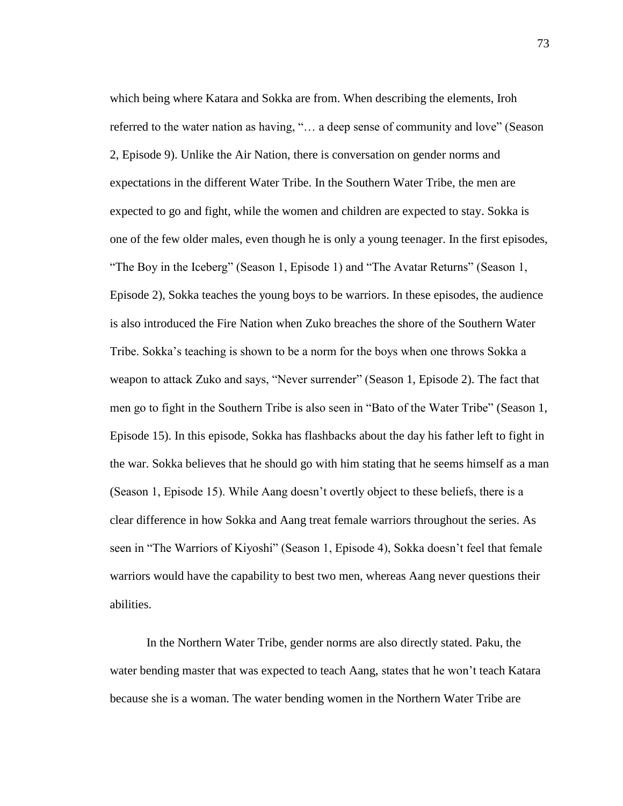which being where Katara and Sokka are from. When describing the elements, Iroh referred to the water nation as having, "… a deep sense of community and love" (Season 2, Episode 9). Unlike the Air Nation, there is conversation on gender norms and expectations in the different Water Tribe. In the Southern Water Tribe, the men are expected to go and fight, while the women and children are expected to stay. Sokka is one of the few older males, even though he is only a young teenager. In the first episodes, "The Boy in the Iceberg" (Season 1, Episode 1) and "The Avatar Returns" (Season 1, Episode 2), Sokka teaches the young boys to be warriors. In these episodes, the audience is also introduced the Fire Nation when Zuko breaches the shore of the Southern Water Tribe. Sokka's teaching is shown to be a norm for the boys when one throws Sokka a weapon to attack Zuko and says, "Never surrender" (Season 1, Episode 2). The fact that men go to fight in the Southern Tribe is also seen in "Bato of the Water Tribe" (Season 1, Episode 15). In this episode, Sokka has flashbacks about the day his father left to fight in the war. Sokka believes that he should go with him stating that he seems himself as a man (Season 1, Episode 15). While Aang doesn't overtly object to these beliefs, there is a clear difference in how Sokka and Aang treat female warriors throughout the series. As seen in "The Warriors of Kiyoshi" (Season 1, Episode 4), Sokka doesn't feel that female warriors would have the capability to best two men, whereas Aang never questions their abilities.

In the Northern Water Tribe, gender norms are also directly stated. Paku, the water bending master that was expected to teach Aang, states that he won't teach Katara because she is a woman. The water bending women in the Northern Water Tribe are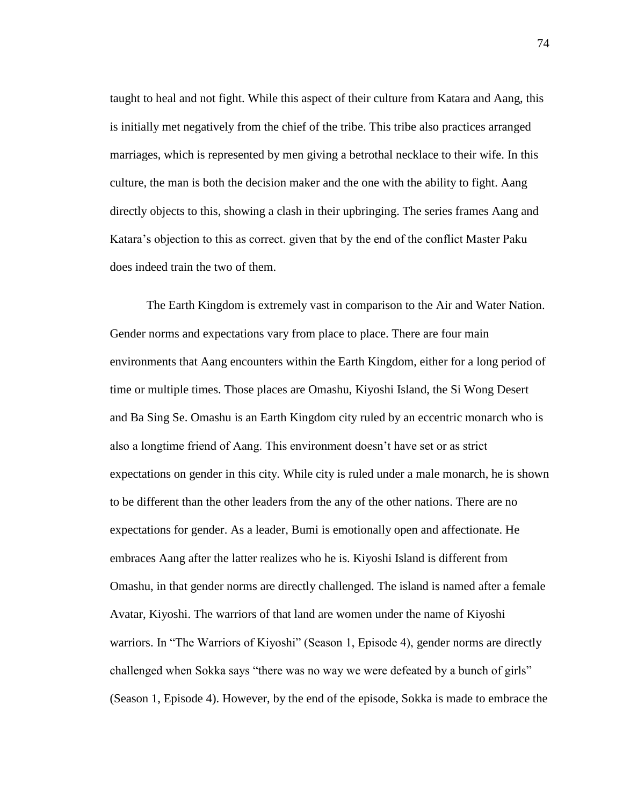taught to heal and not fight. While this aspect of their culture from Katara and Aang, this is initially met negatively from the chief of the tribe. This tribe also practices arranged marriages, which is represented by men giving a betrothal necklace to their wife. In this culture, the man is both the decision maker and the one with the ability to fight. Aang directly objects to this, showing a clash in their upbringing. The series frames Aang and Katara's objection to this as correct. given that by the end of the conflict Master Paku does indeed train the two of them.

The Earth Kingdom is extremely vast in comparison to the Air and Water Nation. Gender norms and expectations vary from place to place. There are four main environments that Aang encounters within the Earth Kingdom, either for a long period of time or multiple times. Those places are Omashu, Kiyoshi Island, the Si Wong Desert and Ba Sing Se. Omashu is an Earth Kingdom city ruled by an eccentric monarch who is also a longtime friend of Aang. This environment doesn't have set or as strict expectations on gender in this city. While city is ruled under a male monarch, he is shown to be different than the other leaders from the any of the other nations. There are no expectations for gender. As a leader, Bumi is emotionally open and affectionate. He embraces Aang after the latter realizes who he is. Kiyoshi Island is different from Omashu, in that gender norms are directly challenged. The island is named after a female Avatar, Kiyoshi. The warriors of that land are women under the name of Kiyoshi warriors. In "The Warriors of Kiyoshi" (Season 1, Episode 4), gender norms are directly challenged when Sokka says "there was no way we were defeated by a bunch of girls" (Season 1, Episode 4). However, by the end of the episode, Sokka is made to embrace the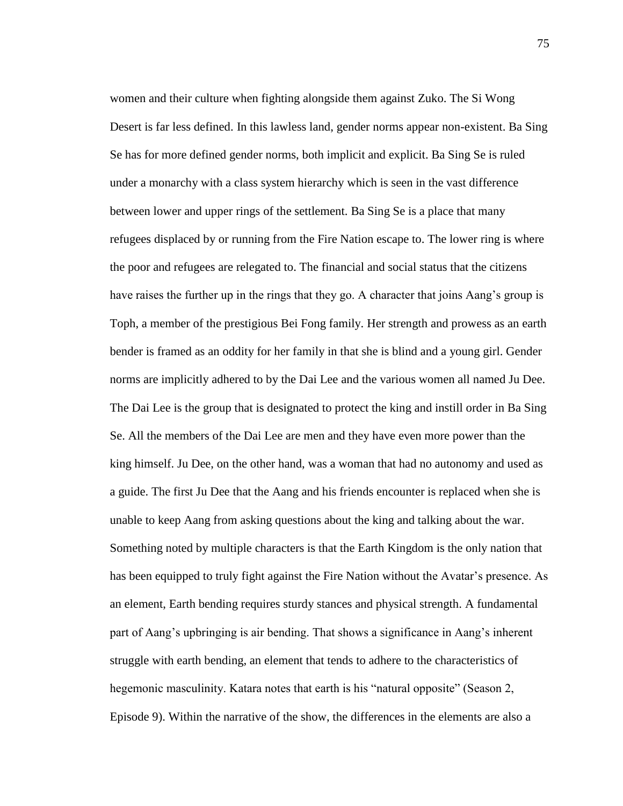women and their culture when fighting alongside them against Zuko. The Si Wong Desert is far less defined. In this lawless land, gender norms appear non-existent. Ba Sing Se has for more defined gender norms, both implicit and explicit. Ba Sing Se is ruled under a monarchy with a class system hierarchy which is seen in the vast difference between lower and upper rings of the settlement. Ba Sing Se is a place that many refugees displaced by or running from the Fire Nation escape to. The lower ring is where the poor and refugees are relegated to. The financial and social status that the citizens have raises the further up in the rings that they go. A character that joins Aang's group is Toph, a member of the prestigious Bei Fong family. Her strength and prowess as an earth bender is framed as an oddity for her family in that she is blind and a young girl. Gender norms are implicitly adhered to by the Dai Lee and the various women all named Ju Dee. The Dai Lee is the group that is designated to protect the king and instill order in Ba Sing Se. All the members of the Dai Lee are men and they have even more power than the king himself. Ju Dee, on the other hand, was a woman that had no autonomy and used as a guide. The first Ju Dee that the Aang and his friends encounter is replaced when she is unable to keep Aang from asking questions about the king and talking about the war. Something noted by multiple characters is that the Earth Kingdom is the only nation that has been equipped to truly fight against the Fire Nation without the Avatar's presence. As an element, Earth bending requires sturdy stances and physical strength. A fundamental part of Aang's upbringing is air bending. That shows a significance in Aang's inherent struggle with earth bending, an element that tends to adhere to the characteristics of hegemonic masculinity. Katara notes that earth is his "natural opposite" (Season 2, Episode 9). Within the narrative of the show, the differences in the elements are also a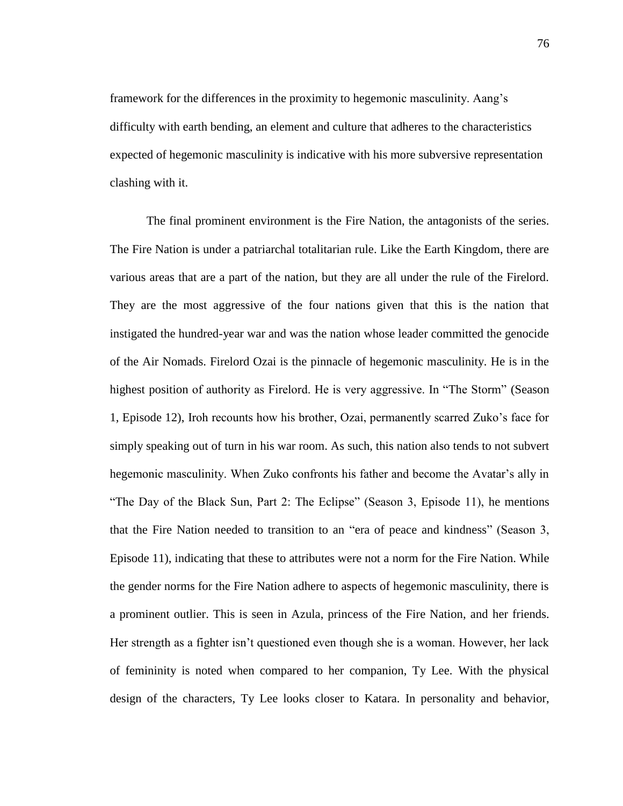framework for the differences in the proximity to hegemonic masculinity. Aang's difficulty with earth bending, an element and culture that adheres to the characteristics expected of hegemonic masculinity is indicative with his more subversive representation clashing with it.

The final prominent environment is the Fire Nation, the antagonists of the series. The Fire Nation is under a patriarchal totalitarian rule. Like the Earth Kingdom, there are various areas that are a part of the nation, but they are all under the rule of the Firelord. They are the most aggressive of the four nations given that this is the nation that instigated the hundred-year war and was the nation whose leader committed the genocide of the Air Nomads. Firelord Ozai is the pinnacle of hegemonic masculinity. He is in the highest position of authority as Firelord. He is very aggressive. In "The Storm" (Season 1, Episode 12), Iroh recounts how his brother, Ozai, permanently scarred Zuko's face for simply speaking out of turn in his war room. As such, this nation also tends to not subvert hegemonic masculinity. When Zuko confronts his father and become the Avatar's ally in "The Day of the Black Sun, Part 2: The Eclipse" (Season 3, Episode 11), he mentions that the Fire Nation needed to transition to an "era of peace and kindness" (Season 3, Episode 11), indicating that these to attributes were not a norm for the Fire Nation. While the gender norms for the Fire Nation adhere to aspects of hegemonic masculinity, there is a prominent outlier. This is seen in Azula, princess of the Fire Nation, and her friends. Her strength as a fighter isn't questioned even though she is a woman. However, her lack of femininity is noted when compared to her companion, Ty Lee. With the physical design of the characters, Ty Lee looks closer to Katara. In personality and behavior,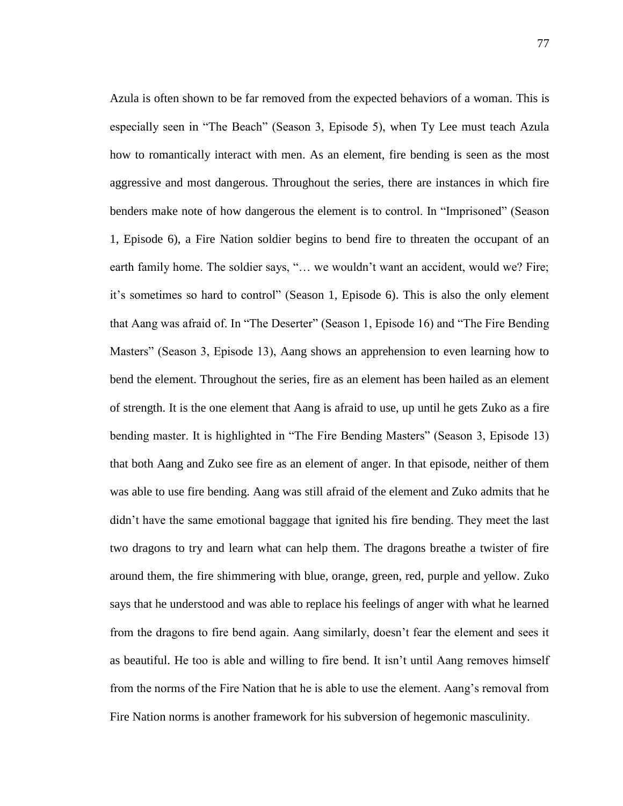Azula is often shown to be far removed from the expected behaviors of a woman. This is especially seen in "The Beach" (Season 3, Episode 5), when Ty Lee must teach Azula how to romantically interact with men. As an element, fire bending is seen as the most aggressive and most dangerous. Throughout the series, there are instances in which fire benders make note of how dangerous the element is to control. In "Imprisoned" (Season 1, Episode 6), a Fire Nation soldier begins to bend fire to threaten the occupant of an earth family home. The soldier says, "... we wouldn't want an accident, would we? Fire; it's sometimes so hard to control" (Season 1, Episode 6). This is also the only element that Aang was afraid of. In "The Deserter" (Season 1, Episode 16) and "The Fire Bending Masters" (Season 3, Episode 13), Aang shows an apprehension to even learning how to bend the element. Throughout the series, fire as an element has been hailed as an element of strength. It is the one element that Aang is afraid to use, up until he gets Zuko as a fire bending master. It is highlighted in "The Fire Bending Masters" (Season 3, Episode 13) that both Aang and Zuko see fire as an element of anger. In that episode, neither of them was able to use fire bending. Aang was still afraid of the element and Zuko admits that he didn't have the same emotional baggage that ignited his fire bending. They meet the last two dragons to try and learn what can help them. The dragons breathe a twister of fire around them, the fire shimmering with blue, orange, green, red, purple and yellow. Zuko says that he understood and was able to replace his feelings of anger with what he learned from the dragons to fire bend again. Aang similarly, doesn't fear the element and sees it as beautiful. He too is able and willing to fire bend. It isn't until Aang removes himself from the norms of the Fire Nation that he is able to use the element. Aang's removal from Fire Nation norms is another framework for his subversion of hegemonic masculinity.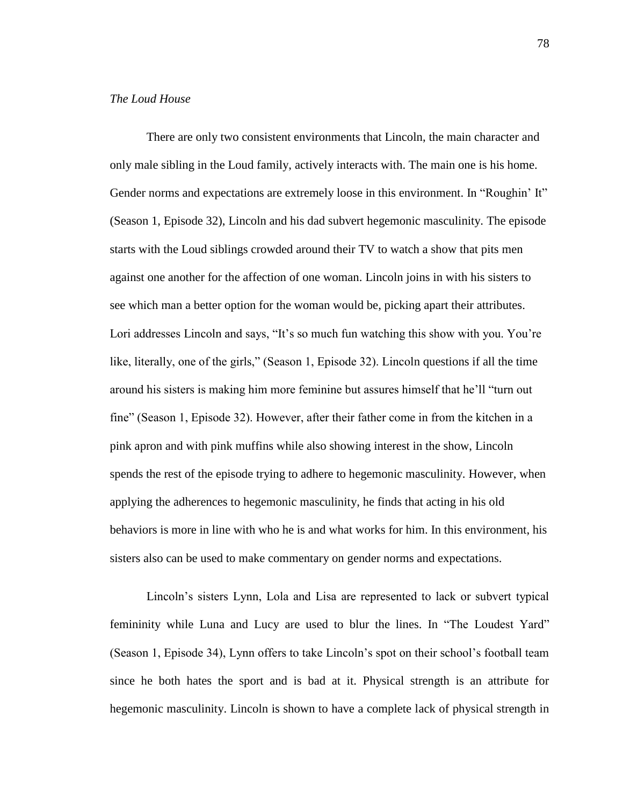## *The Loud House*

There are only two consistent environments that Lincoln, the main character and only male sibling in the Loud family, actively interacts with. The main one is his home. Gender norms and expectations are extremely loose in this environment. In "Roughin' It" (Season 1, Episode 32), Lincoln and his dad subvert hegemonic masculinity. The episode starts with the Loud siblings crowded around their TV to watch a show that pits men against one another for the affection of one woman. Lincoln joins in with his sisters to see which man a better option for the woman would be, picking apart their attributes. Lori addresses Lincoln and says, "It's so much fun watching this show with you. You're like, literally, one of the girls," (Season 1, Episode 32). Lincoln questions if all the time around his sisters is making him more feminine but assures himself that he'll "turn out fine" (Season 1, Episode 32). However, after their father come in from the kitchen in a pink apron and with pink muffins while also showing interest in the show, Lincoln spends the rest of the episode trying to adhere to hegemonic masculinity. However, when applying the adherences to hegemonic masculinity, he finds that acting in his old behaviors is more in line with who he is and what works for him. In this environment, his sisters also can be used to make commentary on gender norms and expectations.

Lincoln's sisters Lynn, Lola and Lisa are represented to lack or subvert typical femininity while Luna and Lucy are used to blur the lines. In "The Loudest Yard" (Season 1, Episode 34), Lynn offers to take Lincoln's spot on their school's football team since he both hates the sport and is bad at it. Physical strength is an attribute for hegemonic masculinity. Lincoln is shown to have a complete lack of physical strength in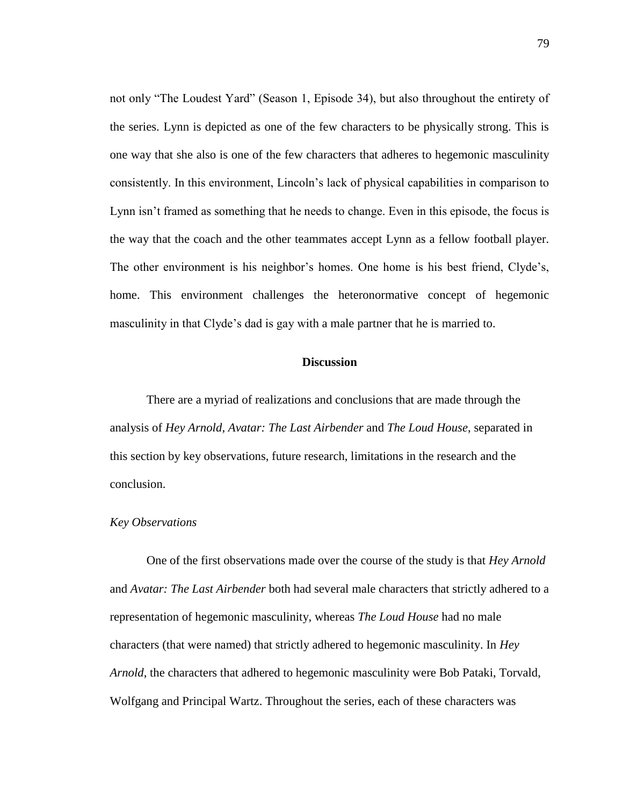not only "The Loudest Yard" (Season 1, Episode 34), but also throughout the entirety of the series. Lynn is depicted as one of the few characters to be physically strong. This is one way that she also is one of the few characters that adheres to hegemonic masculinity consistently. In this environment, Lincoln's lack of physical capabilities in comparison to Lynn isn't framed as something that he needs to change. Even in this episode, the focus is the way that the coach and the other teammates accept Lynn as a fellow football player. The other environment is his neighbor's homes. One home is his best friend, Clyde's, home. This environment challenges the heteronormative concept of hegemonic masculinity in that Clyde's dad is gay with a male partner that he is married to.

## **Discussion**

There are a myriad of realizations and conclusions that are made through the analysis of *Hey Arnold*, *Avatar: The Last Airbender* and *The Loud House*, separated in this section by key observations, future research, limitations in the research and the conclusion.

## *Key Observations*

One of the first observations made over the course of the study is that *Hey Arnold*  and *Avatar: The Last Airbender* both had several male characters that strictly adhered to a representation of hegemonic masculinity, whereas *The Loud House* had no male characters (that were named) that strictly adhered to hegemonic masculinity. In *Hey Arnold*, the characters that adhered to hegemonic masculinity were Bob Pataki, Torvald, Wolfgang and Principal Wartz. Throughout the series, each of these characters was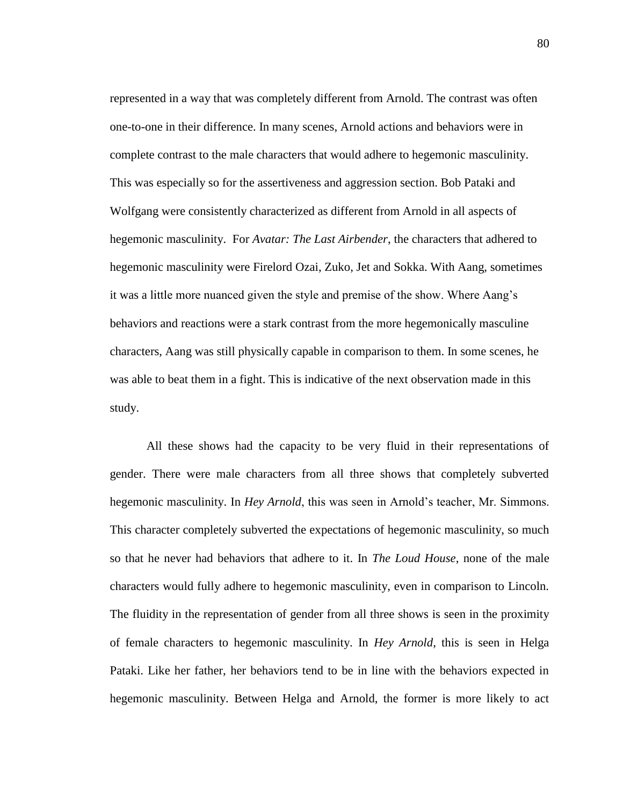represented in a way that was completely different from Arnold. The contrast was often one-to-one in their difference. In many scenes, Arnold actions and behaviors were in complete contrast to the male characters that would adhere to hegemonic masculinity. This was especially so for the assertiveness and aggression section. Bob Pataki and Wolfgang were consistently characterized as different from Arnold in all aspects of hegemonic masculinity. For *Avatar: The Last Airbender*, the characters that adhered to hegemonic masculinity were Firelord Ozai, Zuko, Jet and Sokka. With Aang, sometimes it was a little more nuanced given the style and premise of the show. Where Aang's behaviors and reactions were a stark contrast from the more hegemonically masculine characters, Aang was still physically capable in comparison to them. In some scenes, he was able to beat them in a fight. This is indicative of the next observation made in this study.

All these shows had the capacity to be very fluid in their representations of gender. There were male characters from all three shows that completely subverted hegemonic masculinity. In *Hey Arnold*, this was seen in Arnold's teacher, Mr. Simmons. This character completely subverted the expectations of hegemonic masculinity, so much so that he never had behaviors that adhere to it. In *The Loud House*, none of the male characters would fully adhere to hegemonic masculinity, even in comparison to Lincoln. The fluidity in the representation of gender from all three shows is seen in the proximity of female characters to hegemonic masculinity. In *Hey Arnold*, this is seen in Helga Pataki. Like her father, her behaviors tend to be in line with the behaviors expected in hegemonic masculinity. Between Helga and Arnold, the former is more likely to act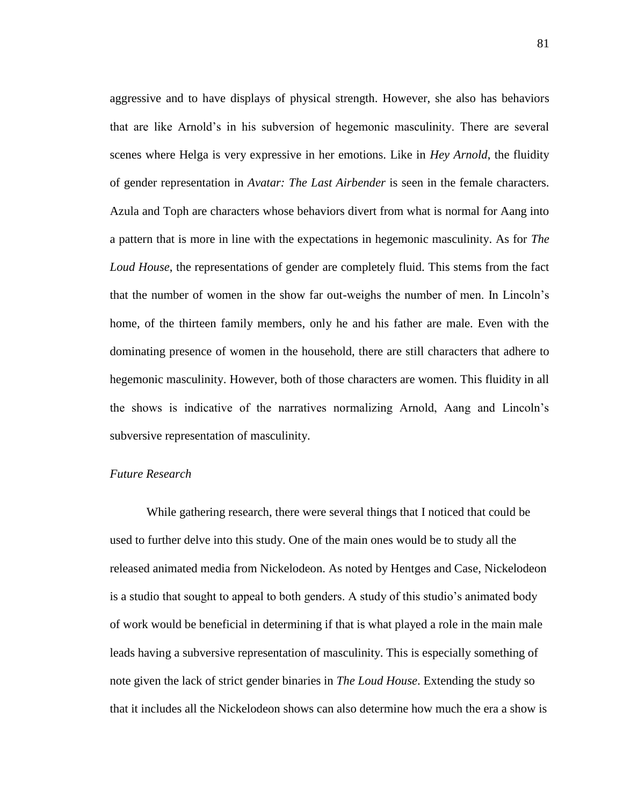aggressive and to have displays of physical strength. However, she also has behaviors that are like Arnold's in his subversion of hegemonic masculinity. There are several scenes where Helga is very expressive in her emotions. Like in *Hey Arnold*, the fluidity of gender representation in *Avatar: The Last Airbender* is seen in the female characters. Azula and Toph are characters whose behaviors divert from what is normal for Aang into a pattern that is more in line with the expectations in hegemonic masculinity. As for *The Loud House*, the representations of gender are completely fluid. This stems from the fact that the number of women in the show far out-weighs the number of men. In Lincoln's home, of the thirteen family members, only he and his father are male. Even with the dominating presence of women in the household, there are still characters that adhere to hegemonic masculinity. However, both of those characters are women. This fluidity in all the shows is indicative of the narratives normalizing Arnold, Aang and Lincoln's subversive representation of masculinity.

# *Future Research*

While gathering research, there were several things that I noticed that could be used to further delve into this study. One of the main ones would be to study all the released animated media from Nickelodeon. As noted by Hentges and Case, Nickelodeon is a studio that sought to appeal to both genders. A study of this studio's animated body of work would be beneficial in determining if that is what played a role in the main male leads having a subversive representation of masculinity. This is especially something of note given the lack of strict gender binaries in *The Loud House*. Extending the study so that it includes all the Nickelodeon shows can also determine how much the era a show is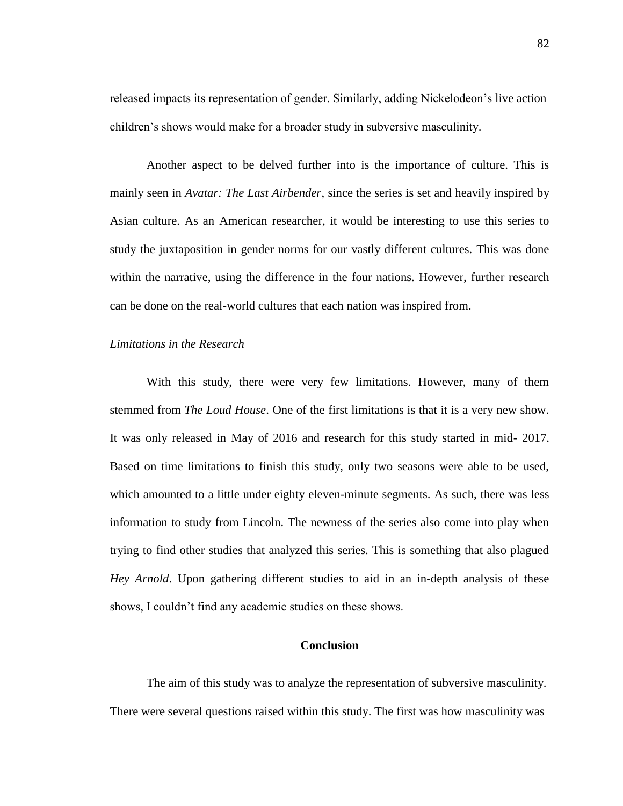released impacts its representation of gender. Similarly, adding Nickelodeon's live action children's shows would make for a broader study in subversive masculinity.

Another aspect to be delved further into is the importance of culture. This is mainly seen in *Avatar: The Last Airbender*, since the series is set and heavily inspired by Asian culture. As an American researcher, it would be interesting to use this series to study the juxtaposition in gender norms for our vastly different cultures. This was done within the narrative, using the difference in the four nations. However, further research can be done on the real-world cultures that each nation was inspired from.

# *Limitations in the Research*

With this study, there were very few limitations. However, many of them stemmed from *The Loud House*. One of the first limitations is that it is a very new show. It was only released in May of 2016 and research for this study started in mid- 2017. Based on time limitations to finish this study, only two seasons were able to be used, which amounted to a little under eighty eleven-minute segments. As such, there was less information to study from Lincoln. The newness of the series also come into play when trying to find other studies that analyzed this series. This is something that also plagued *Hey Arnold*. Upon gathering different studies to aid in an in-depth analysis of these shows, I couldn't find any academic studies on these shows.

# **Conclusion**

The aim of this study was to analyze the representation of subversive masculinity. There were several questions raised within this study. The first was how masculinity was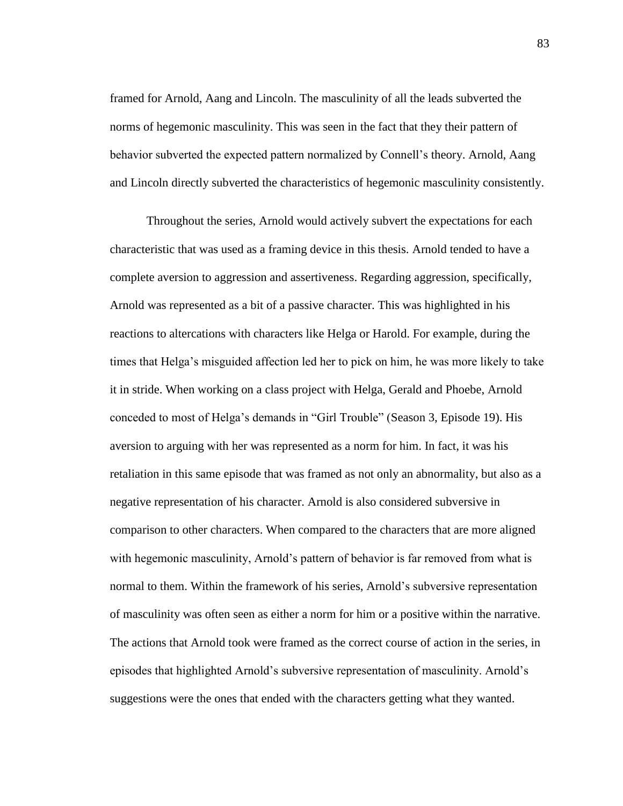framed for Arnold, Aang and Lincoln. The masculinity of all the leads subverted the norms of hegemonic masculinity. This was seen in the fact that they their pattern of behavior subverted the expected pattern normalized by Connell's theory. Arnold, Aang and Lincoln directly subverted the characteristics of hegemonic masculinity consistently.

Throughout the series, Arnold would actively subvert the expectations for each characteristic that was used as a framing device in this thesis. Arnold tended to have a complete aversion to aggression and assertiveness. Regarding aggression, specifically, Arnold was represented as a bit of a passive character. This was highlighted in his reactions to altercations with characters like Helga or Harold. For example, during the times that Helga's misguided affection led her to pick on him, he was more likely to take it in stride. When working on a class project with Helga, Gerald and Phoebe, Arnold conceded to most of Helga's demands in "Girl Trouble" (Season 3, Episode 19). His aversion to arguing with her was represented as a norm for him. In fact, it was his retaliation in this same episode that was framed as not only an abnormality, but also as a negative representation of his character. Arnold is also considered subversive in comparison to other characters. When compared to the characters that are more aligned with hegemonic masculinity, Arnold's pattern of behavior is far removed from what is normal to them. Within the framework of his series, Arnold's subversive representation of masculinity was often seen as either a norm for him or a positive within the narrative. The actions that Arnold took were framed as the correct course of action in the series, in episodes that highlighted Arnold's subversive representation of masculinity. Arnold's suggestions were the ones that ended with the characters getting what they wanted.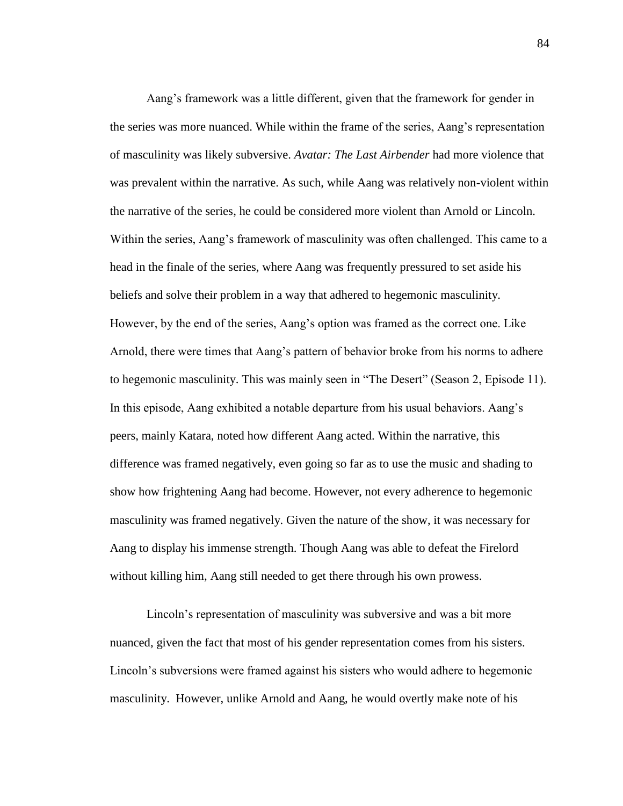Aang's framework was a little different, given that the framework for gender in the series was more nuanced. While within the frame of the series, Aang's representation of masculinity was likely subversive. *Avatar: The Last Airbender* had more violence that was prevalent within the narrative. As such, while Aang was relatively non-violent within the narrative of the series, he could be considered more violent than Arnold or Lincoln. Within the series, Aang's framework of masculinity was often challenged. This came to a head in the finale of the series, where Aang was frequently pressured to set aside his beliefs and solve their problem in a way that adhered to hegemonic masculinity. However, by the end of the series, Aang's option was framed as the correct one. Like Arnold, there were times that Aang's pattern of behavior broke from his norms to adhere to hegemonic masculinity. This was mainly seen in "The Desert" (Season 2, Episode 11). In this episode, Aang exhibited a notable departure from his usual behaviors. Aang's peers, mainly Katara, noted how different Aang acted. Within the narrative, this difference was framed negatively, even going so far as to use the music and shading to show how frightening Aang had become. However, not every adherence to hegemonic masculinity was framed negatively. Given the nature of the show, it was necessary for Aang to display his immense strength. Though Aang was able to defeat the Firelord without killing him, Aang still needed to get there through his own prowess.

Lincoln's representation of masculinity was subversive and was a bit more nuanced, given the fact that most of his gender representation comes from his sisters. Lincoln's subversions were framed against his sisters who would adhere to hegemonic masculinity. However, unlike Arnold and Aang, he would overtly make note of his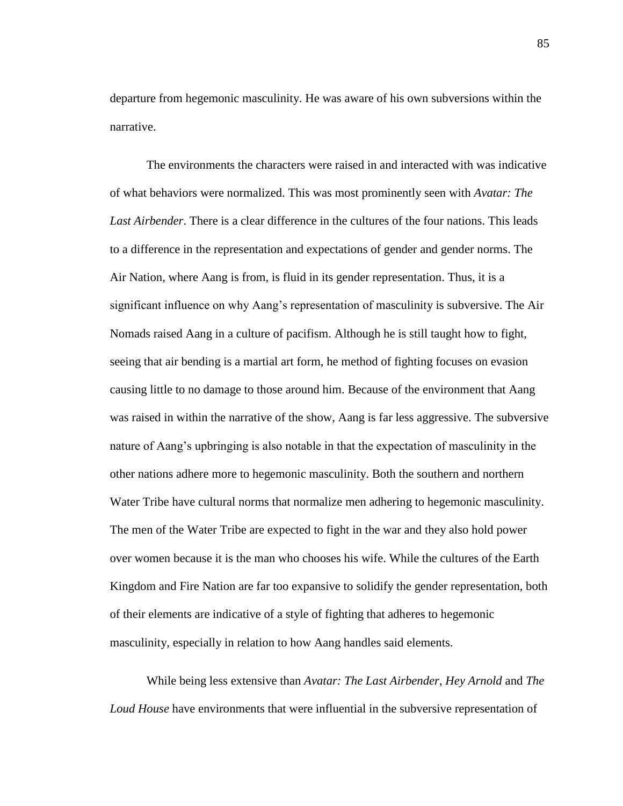departure from hegemonic masculinity. He was aware of his own subversions within the narrative.

The environments the characters were raised in and interacted with was indicative of what behaviors were normalized. This was most prominently seen with *Avatar: The Last Airbender*. There is a clear difference in the cultures of the four nations. This leads to a difference in the representation and expectations of gender and gender norms. The Air Nation, where Aang is from, is fluid in its gender representation. Thus, it is a significant influence on why Aang's representation of masculinity is subversive. The Air Nomads raised Aang in a culture of pacifism. Although he is still taught how to fight, seeing that air bending is a martial art form, he method of fighting focuses on evasion causing little to no damage to those around him. Because of the environment that Aang was raised in within the narrative of the show, Aang is far less aggressive. The subversive nature of Aang's upbringing is also notable in that the expectation of masculinity in the other nations adhere more to hegemonic masculinity. Both the southern and northern Water Tribe have cultural norms that normalize men adhering to hegemonic masculinity. The men of the Water Tribe are expected to fight in the war and they also hold power over women because it is the man who chooses his wife. While the cultures of the Earth Kingdom and Fire Nation are far too expansive to solidify the gender representation, both of their elements are indicative of a style of fighting that adheres to hegemonic masculinity, especially in relation to how Aang handles said elements.

While being less extensive than *Avatar: The Last Airbender*, *Hey Arnold* and *The Loud House* have environments that were influential in the subversive representation of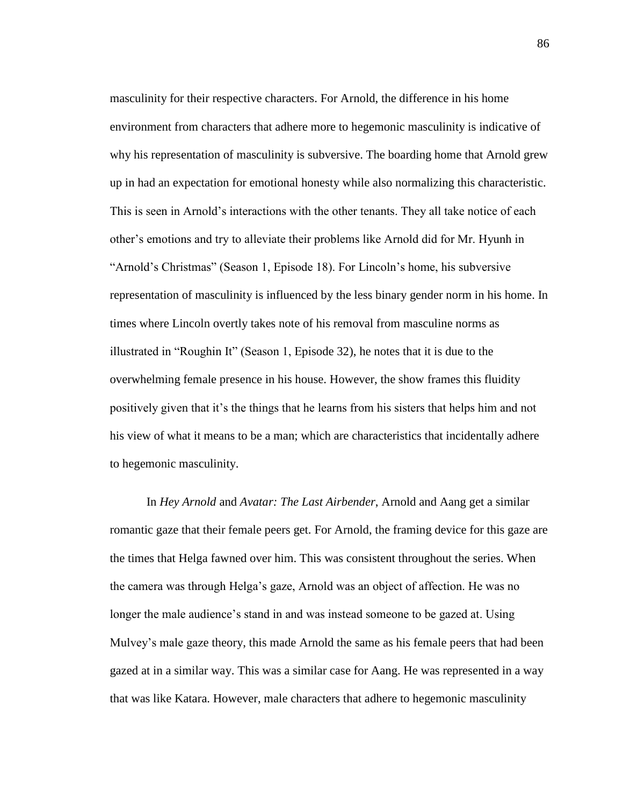masculinity for their respective characters. For Arnold, the difference in his home environment from characters that adhere more to hegemonic masculinity is indicative of why his representation of masculinity is subversive. The boarding home that Arnold grew up in had an expectation for emotional honesty while also normalizing this characteristic. This is seen in Arnold's interactions with the other tenants. They all take notice of each other's emotions and try to alleviate their problems like Arnold did for Mr. Hyunh in "Arnold's Christmas" (Season 1, Episode 18). For Lincoln's home, his subversive representation of masculinity is influenced by the less binary gender norm in his home. In times where Lincoln overtly takes note of his removal from masculine norms as illustrated in "Roughin It" (Season 1, Episode 32), he notes that it is due to the overwhelming female presence in his house. However, the show frames this fluidity positively given that it's the things that he learns from his sisters that helps him and not his view of what it means to be a man; which are characteristics that incidentally adhere to hegemonic masculinity.

In *Hey Arnold* and *Avatar: The Last Airbender*, Arnold and Aang get a similar romantic gaze that their female peers get. For Arnold, the framing device for this gaze are the times that Helga fawned over him. This was consistent throughout the series. When the camera was through Helga's gaze, Arnold was an object of affection. He was no longer the male audience's stand in and was instead someone to be gazed at. Using Mulvey's male gaze theory, this made Arnold the same as his female peers that had been gazed at in a similar way. This was a similar case for Aang. He was represented in a way that was like Katara. However, male characters that adhere to hegemonic masculinity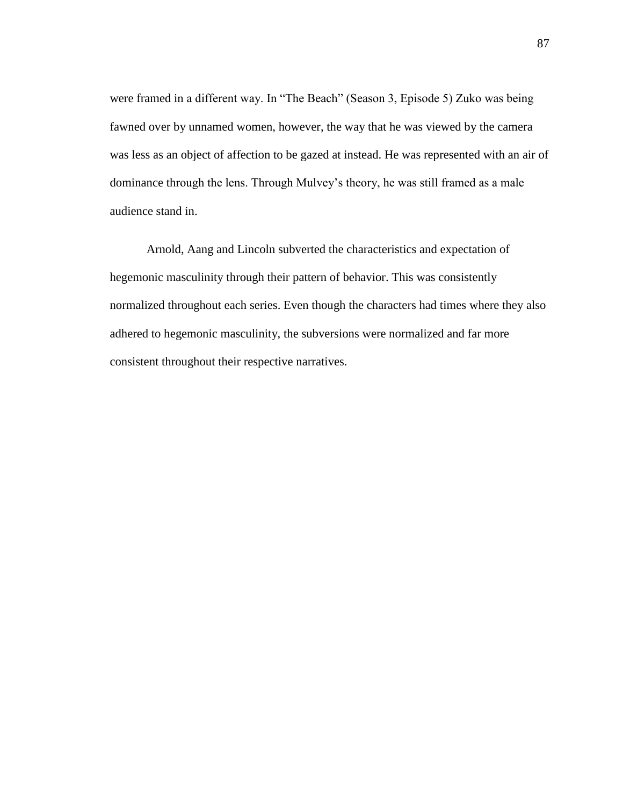were framed in a different way. In "The Beach" (Season 3, Episode 5) Zuko was being fawned over by unnamed women, however, the way that he was viewed by the camera was less as an object of affection to be gazed at instead. He was represented with an air of dominance through the lens. Through Mulvey's theory, he was still framed as a male audience stand in.

Arnold, Aang and Lincoln subverted the characteristics and expectation of hegemonic masculinity through their pattern of behavior. This was consistently normalized throughout each series. Even though the characters had times where they also adhered to hegemonic masculinity, the subversions were normalized and far more consistent throughout their respective narratives.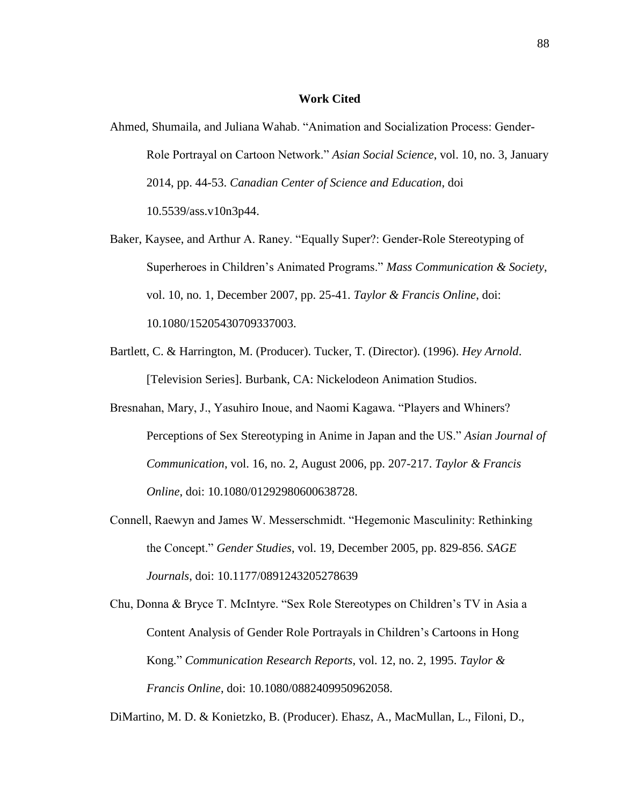#### **Work Cited**

- Ahmed, Shumaila, and Juliana Wahab. "Animation and Socialization Process: Gender-Role Portrayal on Cartoon Network." *Asian Social Science*, vol. 10, no. 3, January 2014, pp. 44-53. *Canadian Center of Science and Education*, doi 10.5539/ass.v10n3p44.
- Baker, Kaysee, and Arthur A. Raney. "Equally Super?: Gender-Role Stereotyping of Superheroes in Children's Animated Programs." *Mass Communication & Society*, vol. 10, no. 1, December 2007, pp. 25-41. *Taylor & Francis Online*, doi: 10.1080/15205430709337003.
- Bartlett, C. & Harrington, M. (Producer). Tucker, T. (Director). (1996). *Hey Arnold*. [Television Series]. Burbank, CA: Nickelodeon Animation Studios.
- Bresnahan, Mary, J., Yasuhiro Inoue, and Naomi Kagawa. "Players and Whiners? Perceptions of Sex Stereotyping in Anime in Japan and the US." *Asian Journal of Communication*, vol. 16, no. 2, August 2006, pp. 207-217. *Taylor & Francis Online*, doi: 10.1080/01292980600638728.
- Connell, Raewyn and James W. Messerschmidt. "Hegemonic Masculinity: Rethinking the Concept." *Gender Studies*, vol. 19, December 2005, pp. 829-856. *SAGE Journals*, doi: 10.1177/0891243205278639
- Chu, Donna & Bryce T. McIntyre. "Sex Role Stereotypes on Children's TV in Asia a Content Analysis of Gender Role Portrayals in Children's Cartoons in Hong Kong." *Communication Research Reports*, vol. 12, no. 2, 1995. *Taylor & Francis Online*, doi: 10.1080/0882409950962058.

DiMartino, M. D. & Konietzko, B. (Producer). Ehasz, A., MacMullan, L., Filoni, D.,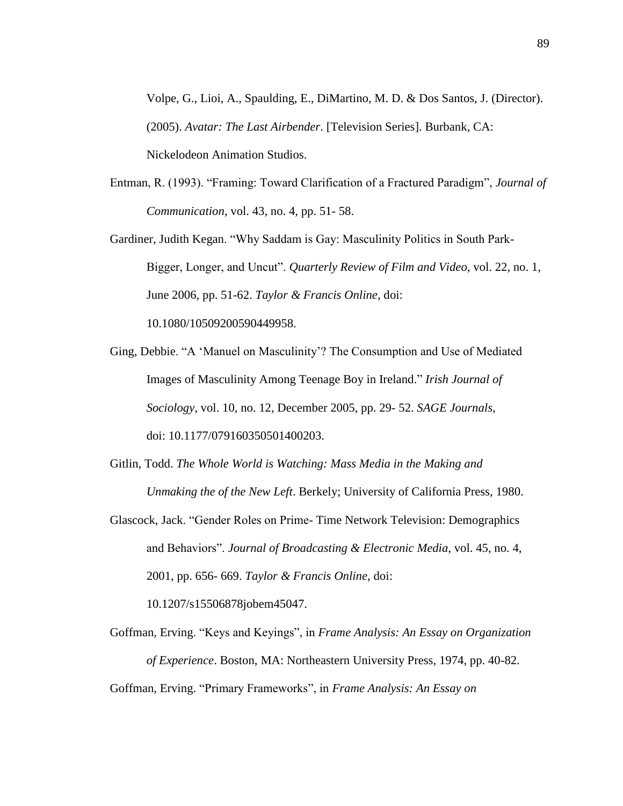Volpe, G., Lioi, A., Spaulding, E., DiMartino, M. D. & Dos Santos, J. (Director). (2005). *Avatar: The Last Airbender*. [Television Series]. Burbank, CA: Nickelodeon Animation Studios.

- Entman, R. (1993). "Framing: Toward Clarification of a Fractured Paradigm", *Journal of Communication*, vol. 43, no. 4, pp. 51- 58.
- Gardiner, Judith Kegan. "Why Saddam is Gay: Masculinity Politics in South Park-Bigger, Longer, and Uncut". *Quarterly Review of Film and Video*, vol. 22, no. 1, June 2006, pp. 51-62. *Taylor & Francis Online*, doi: 10.1080/10509200590449958.
- Ging, Debbie. "A 'Manuel on Masculinity'? The Consumption and Use of Mediated Images of Masculinity Among Teenage Boy in Ireland." *Irish Journal of Sociology*, vol. 10, no. 12, December 2005, pp. 29- 52. *SAGE Journals*, doi: 10.1177/079160350501400203.
- Gitlin, Todd. *The Whole World is Watching: Mass Media in the Making and Unmaking the of the New Left*. Berkely; University of California Press, 1980.
- Glascock, Jack. "Gender Roles on Prime- Time Network Television: Demographics and Behaviors". *Journal of Broadcasting & Electronic Media*, vol. 45, no. 4, 2001, pp. 656- 669. *Taylor & Francis Online*, doi:

10.1207/s15506878jobem45047.

Goffman, Erving. "Keys and Keyings", in *Frame Analysis: An Essay on Organization of Experience*. Boston, MA: Northeastern University Press, 1974, pp. 40-82. Goffman, Erving. "Primary Frameworks", in *Frame Analysis: An Essay on*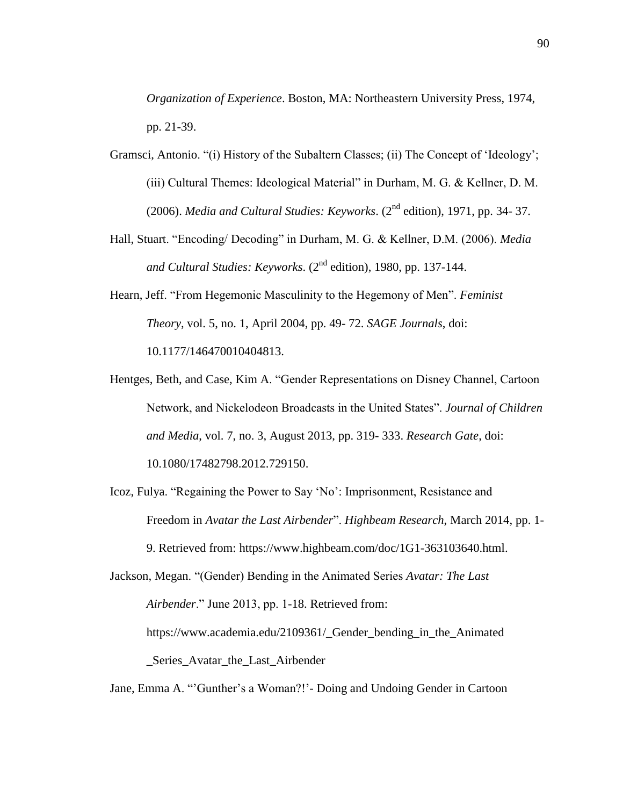*Organization of Experience*. Boston, MA: Northeastern University Press, 1974, pp. 21-39.

- Gramsci, Antonio. "(i) History of the Subaltern Classes; (ii) The Concept of 'Ideology'; (iii) Cultural Themes: Ideological Material" in Durham, M. G. & Kellner, D. M. (2006). *Media and Cultural Studies: Keyworks*. (2nd edition), 1971, pp. 34- 37.
- Hall, Stuart. "Encoding/ Decoding" in Durham, M. G. & Kellner, D.M. (2006). *Media and Cultural Studies: Keyworks*. (2nd edition), 1980, pp. 137-144.
- Hearn, Jeff. "From Hegemonic Masculinity to the Hegemony of Men". *Feminist Theory*, vol. 5, no. 1, April 2004, pp. 49- 72. *SAGE Journals*, doi: 10.1177/146470010404813.
- Hentges, Beth, and Case, Kim A. "Gender Representations on Disney Channel, Cartoon Network, and Nickelodeon Broadcasts in the United States". *Journal of Children and Media*, vol. 7, no. 3, August 2013, pp. 319- 333. *Research Gate*, doi: 10.1080/17482798.2012.729150.
- Icoz, Fulya. "Regaining the Power to Say 'No': Imprisonment, Resistance and Freedom in *Avatar the Last Airbender*". *Highbeam Research*, March 2014, pp. 1- 9. Retrieved from: https://www.highbeam.com/doc/1G1-363103640.html.
- Jackson, Megan. "(Gender) Bending in the Animated Series *Avatar: The Last Airbender*." June 2013, pp. 1-18. Retrieved from: https://www.academia.edu/2109361/\_Gender\_bending\_in\_the\_Animated \_Series\_Avatar\_the\_Last\_Airbender
- Jane, Emma A. "'Gunther's a Woman?!'- Doing and Undoing Gender in Cartoon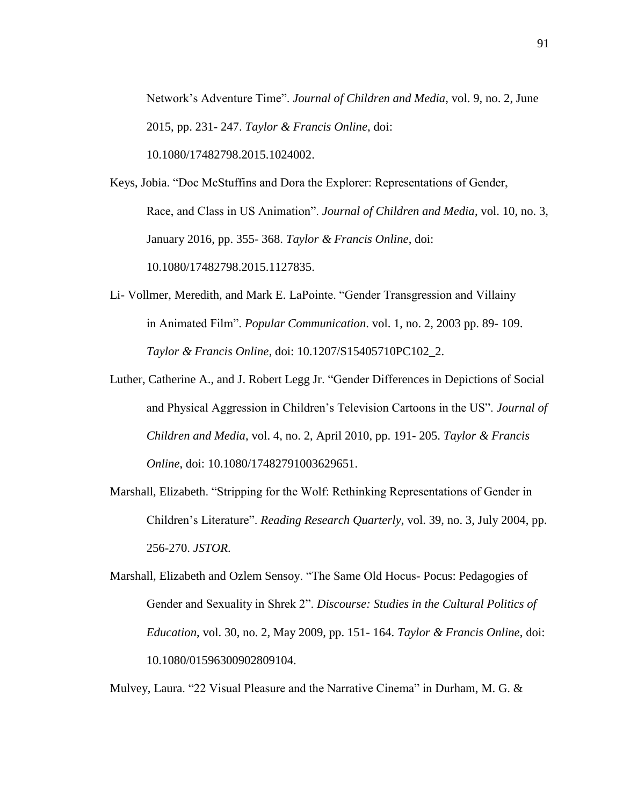Network's Adventure Time". *Journal of Children and Media*, vol. 9, no. 2, June 2015, pp. 231- 247. *Taylor & Francis Online*, doi: 10.1080/17482798.2015.1024002.

Keys, Jobia. "Doc McStuffins and Dora the Explorer: Representations of Gender, Race, and Class in US Animation". *Journal of Children and Media*, vol. 10, no. 3, January 2016, pp. 355- 368. *Taylor & Francis Online*, doi: 10.1080/17482798.2015.1127835.

- Li- Vollmer, Meredith, and Mark E. LaPointe. "Gender Transgression and Villainy in Animated Film". *Popular Communication*. vol. 1, no. 2, 2003 pp. 89- 109. *Taylor & Francis Online*, doi: 10.1207/S15405710PC102\_2.
- Luther, Catherine A., and J. Robert Legg Jr. "Gender Differences in Depictions of Social and Physical Aggression in Children's Television Cartoons in the US". *Journal of Children and Media*, vol. 4, no. 2, April 2010, pp. 191- 205. *Taylor & Francis Online*, doi: 10.1080/17482791003629651.
- Marshall, Elizabeth. "Stripping for the Wolf: Rethinking Representations of Gender in Children's Literature". *Reading Research Quarterly*, vol. 39, no. 3, July 2004, pp. 256-270. *JSTOR*.
- Marshall, Elizabeth and Ozlem Sensoy. "The Same Old Hocus- Pocus: Pedagogies of Gender and Sexuality in Shrek 2". *Discourse: Studies in the Cultural Politics of Education*, vol. 30, no. 2, May 2009, pp. 151- 164. *Taylor & Francis Online*, doi: 10.1080/01596300902809104.

Mulvey, Laura. "22 Visual Pleasure and the Narrative Cinema" in Durham, M. G. &